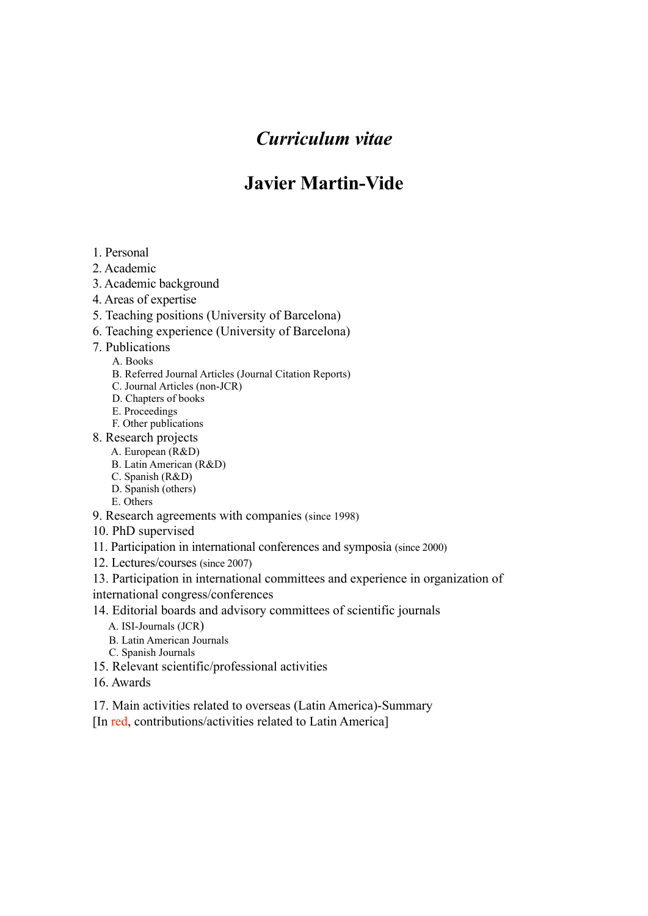# *Curriculum vitae*

# **Javier Martin-Vide**

- 1. Personal
- 2. Academic
- 3. Academic background
- 4. Areas of expertise
- 5. Teaching positions (University of Barcelona)
- 6. Teaching experience (University of Barcelona)
- 7. Publications
	- A. Books
	- B. Referred Journal Articles (Journal Citation Reports)
	- C. Journal Articles (non-JCR)
	- D. Chapters of books
	- E. Proceedings
	- F. Other publications
- 8. Research projects
	- A. European (R&D)
	- B. Latin American (R&D)
	- C. Spanish (R&D)
	- D. Spanish (others)
- E. Others 9. Research agreements with companies (since 1998)
- 10. PhD supervised
- 11. Participation in international conferences and symposia (since 2000)
- 12. Lectures/courses (since 2007)
- 13. Participation in international committees and experience in organization of
- international congress/conferences
- 14. Editorial boards and advisory committees of scientific journals
	- A. ISI-Journals (JCR)
	- B. Latin American Journals
	- C. Spanish Journals
- 15. Relevant scientific/professional activities
- 16. Awards
- 17. Main activities related to overseas (Latin America)-Summary
- [In red, contributions/activities related to Latin America]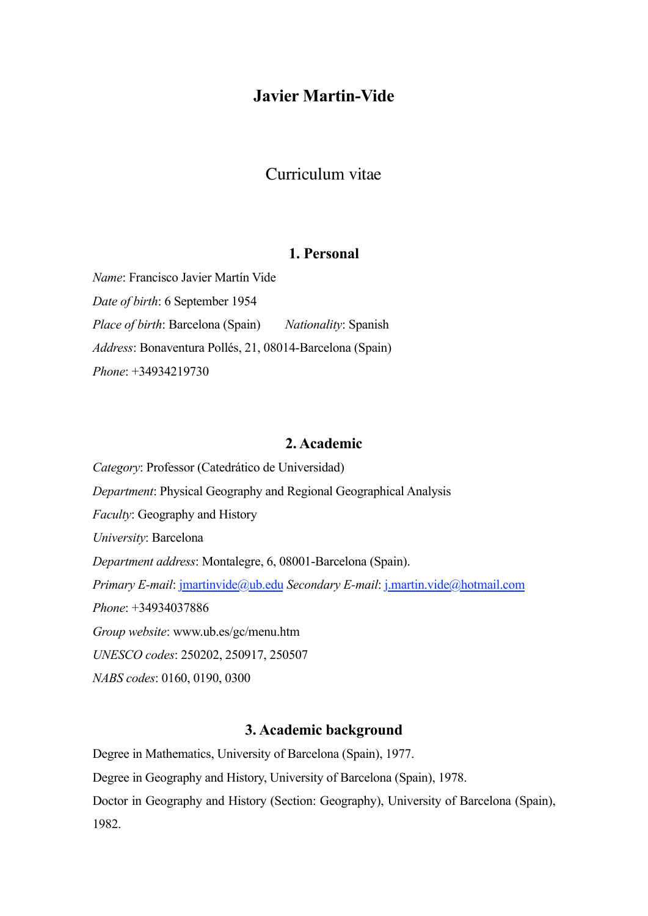# **Javier Martin-Vide**

# Curriculum vitae

## **1. Personal**

*Name*: Francisco Javier Martín Vide *Date of birth*: 6 September 1954 *Place of birth*: Barcelona (Spain) *Nationality*: Spanish *Address*: Bonaventura Pollés, 21, 08014-Barcelona (Spain) *Phone*: +34934219730

#### **2. Academic**

*Category*: Professor (Catedrático de Universidad) *Department*: Physical Geography and Regional Geographical Analysis *Faculty*: Geography and History *University*: Barcelona *Department address*: Montalegre, 6, 08001-Barcelona (Spain). *Primary E-mail*: [jmartinvide@ub.edu](mailto:jmartinvideub.edu) *Secondary E-mail*: [j.martin.vide@hotmail.com](mailto:j.martin.vide@hotmail.com) *Phone*: +34934037886 *Group website*: www.ub.es/gc/menu.htm *UNESCO codes*: 250202, 250917, 250507 *NABS codes*: 0160, 0190, 0300

#### **3. Academic background**

Degree in Mathematics, University of Barcelona (Spain), 1977. Degree in Geography and History, University of Barcelona (Spain), 1978. Doctor in Geography and History (Section: Geography), University of Barcelona (Spain), 1982.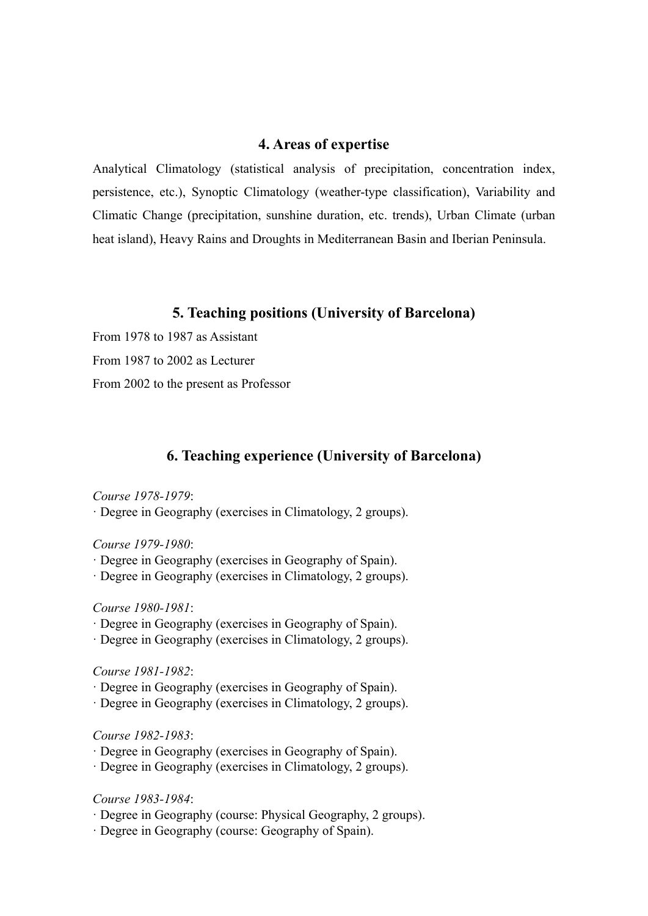### **4. Areas of expertise**

Analytical Climatology (statistical analysis of precipitation, concentration index, persistence, etc.), Synoptic Climatology (weather-type classification), Variability and Climatic Change (precipitation, sunshine duration, etc. trends), Urban Climate (urban heat island), Heavy Rains and Droughts in Mediterranean Basin and Iberian Peninsula.

## **5. Teaching positions (University of Barcelona)**

From 1978 to 1987 as Assistant

From 1987 to 2002 as Lecturer

From 2002 to the present as Professor

## **6. Teaching experience (University of Barcelona)**

#### *Course 1978-1979*:

· Degree in Geography (exercises in Climatology, 2 groups).

#### *Course 1979-1980*:

- · Degree in Geography (exercises in Geography of Spain).
- · Degree in Geography (exercises in Climatology, 2 groups).

#### *Course 1980-1981*:

- · Degree in Geography (exercises in Geography of Spain).
- · Degree in Geography (exercises in Climatology, 2 groups).

#### *Course 1981-1982*:

- · Degree in Geography (exercises in Geography of Spain).
- · Degree in Geography (exercises in Climatology, 2 groups).

#### *Course 1982-1983*:

- · Degree in Geography (exercises in Geography of Spain).
- · Degree in Geography (exercises in Climatology, 2 groups).

#### *Course 1983-1984*:

- · Degree in Geography (course: Physical Geography, 2 groups).
- · Degree in Geography (course: Geography of Spain).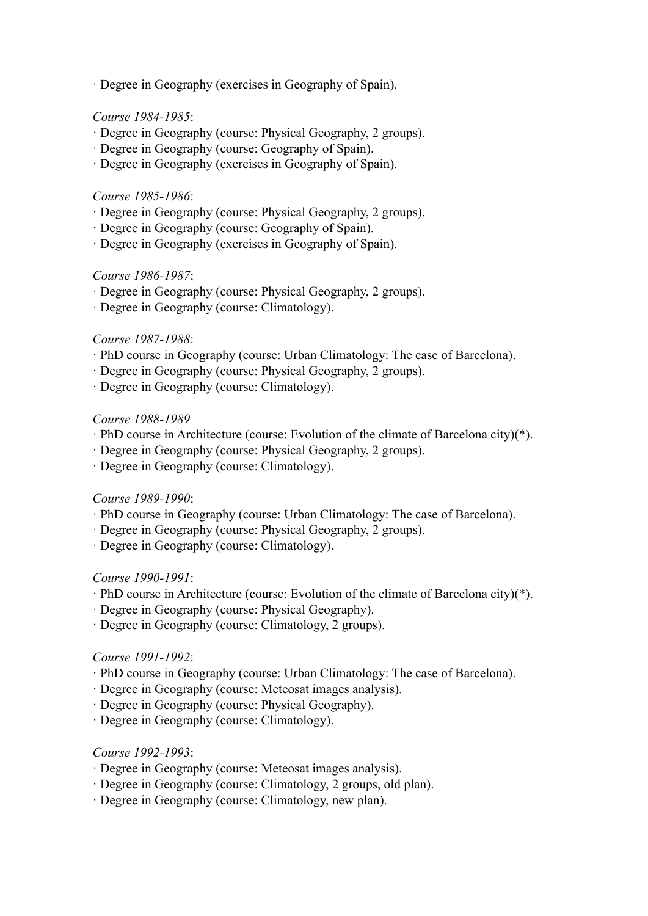· Degree in Geography (exercises in Geography of Spain).

#### *Course 1984-1985*:

- · Degree in Geography (course: Physical Geography, 2 groups).
- · Degree in Geography (course: Geography of Spain).
- · Degree in Geography (exercises in Geography of Spain).

#### *Course 1985-1986*:

- · Degree in Geography (course: Physical Geography, 2 groups).
- · Degree in Geography (course: Geography of Spain).
- · Degree in Geography (exercises in Geography of Spain).

#### *Course 1986-1987*:

- · Degree in Geography (course: Physical Geography, 2 groups).
- · Degree in Geography (course: Climatology).

#### *Course 1987-1988*:

- · PhD course in Geography (course: Urban Climatology: The case of Barcelona).
- · Degree in Geography (course: Physical Geography, 2 groups).
- · Degree in Geography (course: Climatology).

#### *Course 1988-1989*

- · PhD course in Architecture (course: Evolution of the climate of Barcelona city)(\*).
- · Degree in Geography (course: Physical Geography, 2 groups).
- · Degree in Geography (course: Climatology).

#### *Course 1989-1990*:

- · PhD course in Geography (course: Urban Climatology: The case of Barcelona).
- · Degree in Geography (course: Physical Geography, 2 groups).
- · Degree in Geography (course: Climatology).

#### *Course 1990-1991*:

- · PhD course in Architecture (course: Evolution of the climate of Barcelona city)(\*).
- · Degree in Geography (course: Physical Geography).
- · Degree in Geography (course: Climatology, 2 groups).

#### *Course 1991-1992*:

- · PhD course in Geography (course: Urban Climatology: The case of Barcelona).
- · Degree in Geography (course: Meteosat images analysis).
- · Degree in Geography (course: Physical Geography).
- · Degree in Geography (course: Climatology).

#### *Course 1992-1993*:

- · Degree in Geography (course: Meteosat images analysis).
- · Degree in Geography (course: Climatology, 2 groups, old plan).
- · Degree in Geography (course: Climatology, new plan).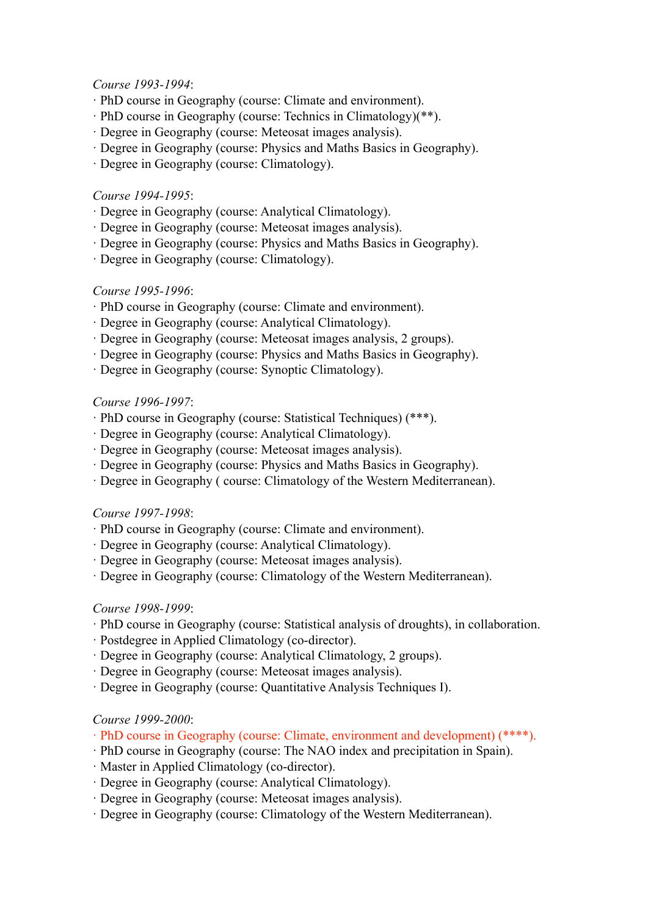#### *Course 1993-1994*:

- · PhD course in Geography (course: Climate and environment).
- · PhD course in Geography (course: Technics in Climatology)(\*\*).
- · Degree in Geography (course: Meteosat images analysis).
- · Degree in Geography (course: Physics and Maths Basics in Geography).
- · Degree in Geography (course: Climatology).

#### *Course 1994-1995*:

- · Degree in Geography (course: Analytical Climatology).
- · Degree in Geography (course: Meteosat images analysis).
- · Degree in Geography (course: Physics and Maths Basics in Geography).
- · Degree in Geography (course: Climatology).

#### *Course 1995-1996*:

- · PhD course in Geography (course: Climate and environment).
- · Degree in Geography (course: Analytical Climatology).
- · Degree in Geography (course: Meteosat images analysis, 2 groups).
- · Degree in Geography (course: Physics and Maths Basics in Geography).
- · Degree in Geography (course: Synoptic Climatology).

#### *Course 1996-1997*:

- · PhD course in Geography (course: Statistical Techniques) (\*\*\*).
- · Degree in Geography (course: Analytical Climatology).
- · Degree in Geography (course: Meteosat images analysis).
- · Degree in Geography (course: Physics and Maths Basics in Geography).
- · Degree in Geography ( course: Climatology of the Western Mediterranean).

#### *Course 1997-1998*:

- · PhD course in Geography (course: Climate and environment).
- · Degree in Geography (course: Analytical Climatology).
- · Degree in Geography (course: Meteosat images analysis).
- · Degree in Geography (course: Climatology of the Western Mediterranean).

#### *Course 1998-1999*:

- · PhD course in Geography (course: Statistical analysis of droughts), in collaboration.
- · Postdegree in Applied Climatology (co-director).
- · Degree in Geography (course: Analytical Climatology, 2 groups).
- · Degree in Geography (course: Meteosat images analysis).
- · Degree in Geography (course: Quantitative Analysis Techniques I).

#### *Course 1999-2000*:

- · PhD course in Geography (course: Climate, environment and development) (\*\*\*\*).
- · PhD course in Geography (course: The NAO index and precipitation in Spain).
- · Master in Applied Climatology (co-director).
- · Degree in Geography (course: Analytical Climatology).
- · Degree in Geography (course: Meteosat images analysis).
- · Degree in Geography (course: Climatology of the Western Mediterranean).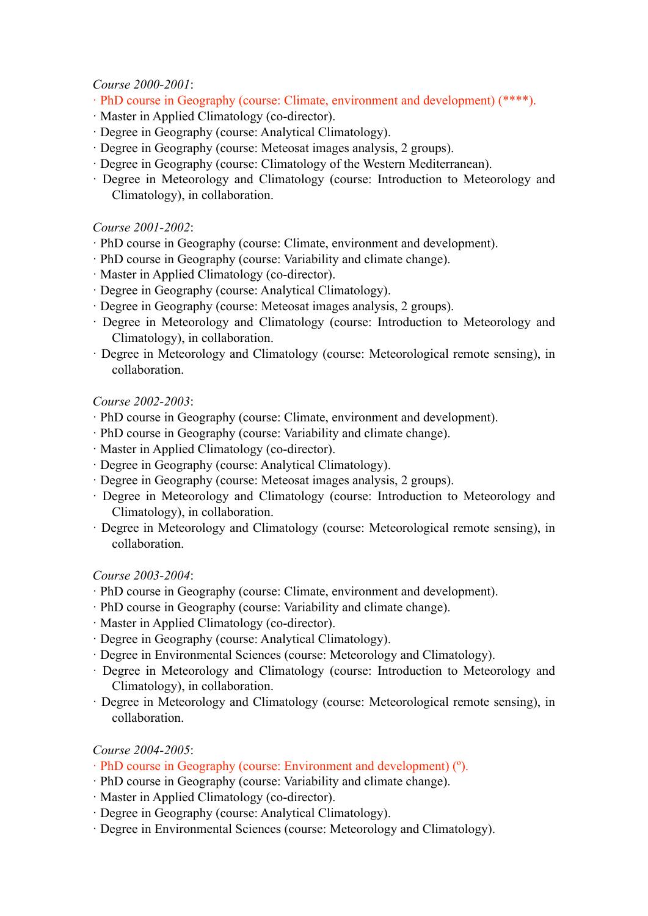*Course 2000-2001*:

- · PhD course in Geography (course: Climate, environment and development) (\*\*\*\*).
- · Master in Applied Climatology (co-director).
- · Degree in Geography (course: Analytical Climatology).
- · Degree in Geography (course: Meteosat images analysis, 2 groups).
- · Degree in Geography (course: Climatology of the Western Mediterranean).
- · Degree in Meteorology and Climatology (course: Introduction to Meteorology and Climatology), in collaboration.

### *Course 2001-2002*:

- · PhD course in Geography (course: Climate, environment and development).
- · PhD course in Geography (course: Variability and climate change).
- · Master in Applied Climatology (co-director).
- · Degree in Geography (course: Analytical Climatology).
- · Degree in Geography (course: Meteosat images analysis, 2 groups).
- · Degree in Meteorology and Climatology (course: Introduction to Meteorology and Climatology), in collaboration.
- · Degree in Meteorology and Climatology (course: Meteorological remote sensing), in collaboration.

## *Course 2002-2003*:

- · PhD course in Geography (course: Climate, environment and development).
- · PhD course in Geography (course: Variability and climate change).
- · Master in Applied Climatology (co-director).
- · Degree in Geography (course: Analytical Climatology).
- · Degree in Geography (course: Meteosat images analysis, 2 groups).
- · Degree in Meteorology and Climatology (course: Introduction to Meteorology and Climatology), in collaboration.
- · Degree in Meteorology and Climatology (course: Meteorological remote sensing), in collaboration.

#### *Course 2003-2004*:

- · PhD course in Geography (course: Climate, environment and development).
- · PhD course in Geography (course: Variability and climate change).
- · Master in Applied Climatology (co-director).
- · Degree in Geography (course: Analytical Climatology).
- · Degree in Environmental Sciences (course: Meteorology and Climatology).
- · Degree in Meteorology and Climatology (course: Introduction to Meteorology and Climatology), in collaboration.
- · Degree in Meteorology and Climatology (course: Meteorological remote sensing), in collaboration.

## *Course 2004-2005*:

- · PhD course in Geography (course: Environment and development) (º).
- · PhD course in Geography (course: Variability and climate change).
- · Master in Applied Climatology (co-director).
- · Degree in Geography (course: Analytical Climatology).
- · Degree in Environmental Sciences (course: Meteorology and Climatology).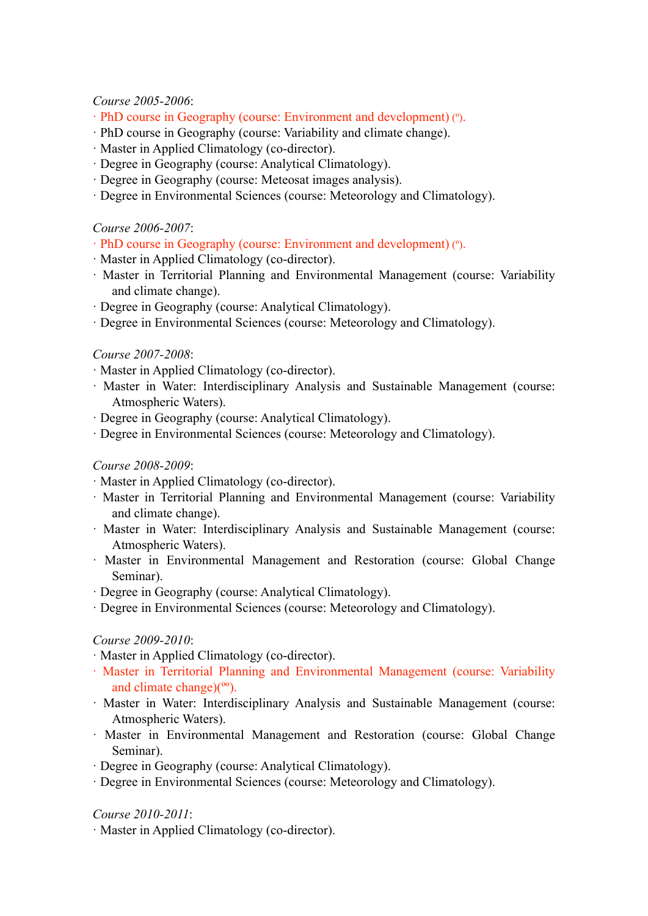*Course 2005-2006*:

- · PhD course in Geography (course: Environment and development) (º).
- · PhD course in Geography (course: Variability and climate change).
- · Master in Applied Climatology (co-director).
- · Degree in Geography (course: Analytical Climatology).
- · Degree in Geography (course: Meteosat images analysis).
- · Degree in Environmental Sciences (course: Meteorology and Climatology).

### *Course 2006-2007*:

- · PhD course in Geography (course: Environment and development) (º).
- · Master in Applied Climatology (co-director).
- · Master in Territorial Planning and Environmental Management (course: Variability and climate change).
- · Degree in Geography (course: Analytical Climatology).
- · Degree in Environmental Sciences (course: Meteorology and Climatology).

## *Course 2007-2008*:

- · Master in Applied Climatology (co-director).
- · Master in Water: Interdisciplinary Analysis and Sustainable Management (course: Atmospheric Waters).
- · Degree in Geography (course: Analytical Climatology).
- · Degree in Environmental Sciences (course: Meteorology and Climatology).

### *Course 2008-2009*:

- · Master in Applied Climatology (co-director).
- · Master in Territorial Planning and Environmental Management (course: Variability and climate change).
- · Master in Water: Interdisciplinary Analysis and Sustainable Management (course: Atmospheric Waters).
- · Master in Environmental Management and Restoration (course: Global Change Seminar).
- · Degree in Geography (course: Analytical Climatology).
- · Degree in Environmental Sciences (course: Meteorology and Climatology).

#### *Course 2009-2010*:

- · Master in Applied Climatology (co-director).
- · Master in Territorial Planning and Environmental Management (course: Variability and climate change) $(°°)$ .
- · Master in Water: Interdisciplinary Analysis and Sustainable Management (course: Atmospheric Waters).
- · Master in Environmental Management and Restoration (course: Global Change Seminar).
- · Degree in Geography (course: Analytical Climatology).
- · Degree in Environmental Sciences (course: Meteorology and Climatology).

*Course 2010-2011*:

· Master in Applied Climatology (co-director).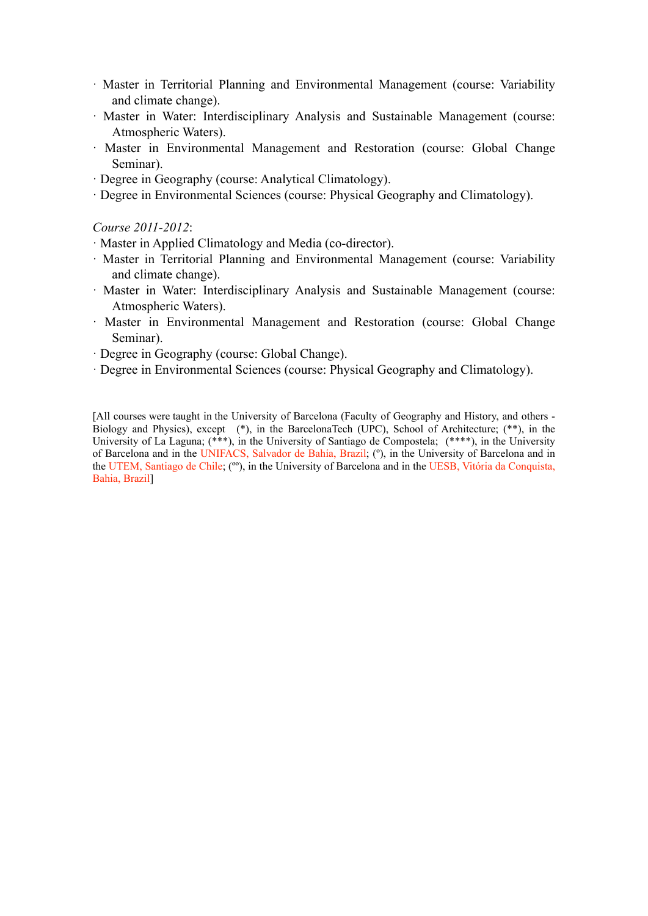- · Master in Territorial Planning and Environmental Management (course: Variability and climate change).
- · Master in Water: Interdisciplinary Analysis and Sustainable Management (course: Atmospheric Waters).
- · Master in Environmental Management and Restoration (course: Global Change Seminar).
- · Degree in Geography (course: Analytical Climatology).
- · Degree in Environmental Sciences (course: Physical Geography and Climatology).

*Course 2011-2012*:

- · Master in Applied Climatology and Media (co-director).
- · Master in Territorial Planning and Environmental Management (course: Variability and climate change).
- · Master in Water: Interdisciplinary Analysis and Sustainable Management (course: Atmospheric Waters).
- · Master in Environmental Management and Restoration (course: Global Change Seminar).
- · Degree in Geography (course: Global Change).
- · Degree in Environmental Sciences (course: Physical Geography and Climatology).

[All courses were taught in the University of Barcelona (Faculty of Geography and History, and others -Biology and Physics), except (\*), in the BarcelonaTech (UPC), School of Architecture; (\*\*), in the University of La Laguna; (\*\*\*), in the University of Santiago de Compostela; (\*\*\*\*), in the University of Barcelona and in the UNIFACS, Salvador de Bahía, Brazil; (º), in the University of Barcelona and in the UTEM, Santiago de Chile; (ºº), in the University of Barcelona and in the UESB, Vitória da Conquista, Bahia, Brazil]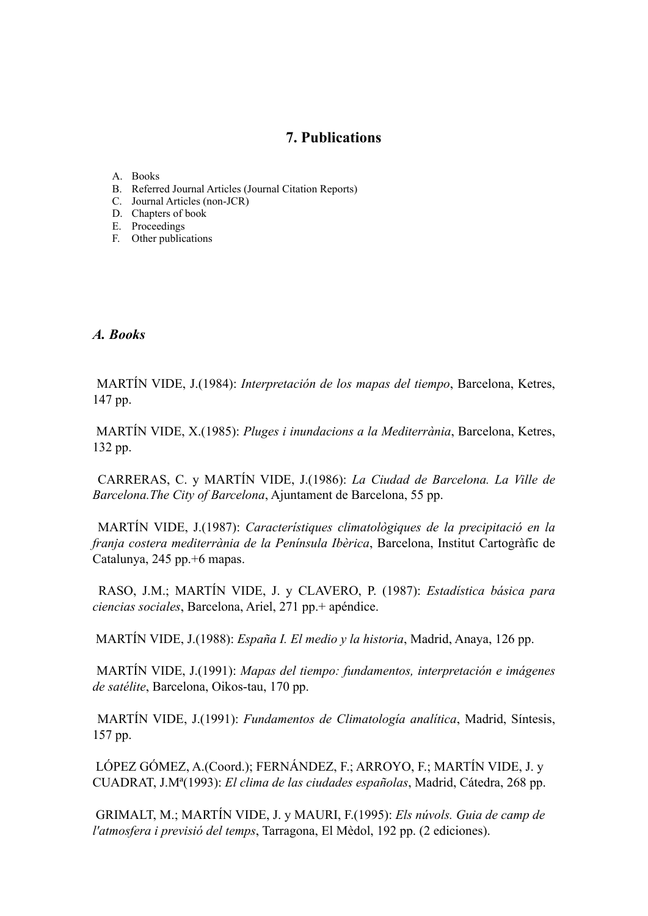# **7. Publications**

- A. Books
- B. Referred Journal Articles (Journal Citation Reports)
- C. Journal Articles (non-JCR)
- D. Chapters of book
- E. Proceedings
- F. Other publications

#### *A. Books*

 MARTÍN VIDE, J.(1984): *Interpretación de los mapas del tiempo*, Barcelona, Ketres, 147 pp.

 MARTÍN VIDE, X.(1985): *Pluges i inundacions a la Mediterrània*, Barcelona, Ketres, 132 pp.

 CARRERAS, C. y MARTÍN VIDE, J.(1986): *La Ciudad de Barcelona. La Ville de Barcelona.The City of Barcelona*, Ajuntament de Barcelona, 55 pp.

 MARTÍN VIDE, J.(1987): *Característiques climatològiques de la precipitació en la franja costera mediterrània de la Península Ibèrica*, Barcelona, Institut Cartogràfic de Catalunya, 245 pp.+6 mapas.

 RASO, J.M.; MARTÍN VIDE, J. y CLAVERO, P. (1987): *Estadística básica para ciencias sociales*, Barcelona, Ariel, 271 pp.+ apéndice.

MARTÍN VIDE, J.(1988): *España I. El medio y la historia*, Madrid, Anaya, 126 pp.

 MARTÍN VIDE, J.(1991): *Mapas del tiempo: fundamentos, interpretación e imágenes de satélite*, Barcelona, Oikos-tau, 170 pp.

 MARTÍN VIDE, J.(1991): *Fundamentos de Climatología analítica*, Madrid, Síntesis, 157 pp.

 LÓPEZ GÓMEZ, A.(Coord.); FERNÁNDEZ, F.; ARROYO, F.; MARTÍN VIDE, J. y CUADRAT, J.Mª(1993): *El clima de las ciudades españolas*, Madrid, Cátedra, 268 pp.

 GRIMALT, M.; MARTÍN VIDE, J. y MAURI, F.(1995): *Els núvols. Guia de camp de l'atmosfera i previsió del temps*, Tarragona, El Mèdol, 192 pp. (2 ediciones).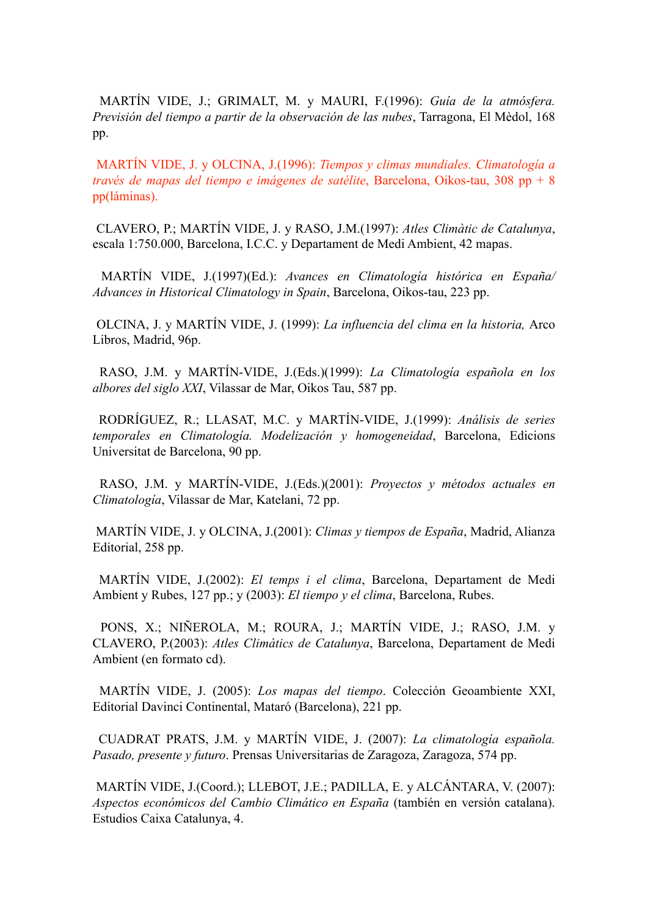MARTÍN VIDE, J.; GRIMALT, M. y MAURI, F.(1996): *Guía de la atmósfera. Previsión del tiempo a partir de la observación de las nubes*, Tarragona, El Mèdol, 168 pp.

 MARTÍN VIDE, J. y OLCINA, J.(1996): *Tiempos y climas mundiales. Climatología a través de mapas del tiempo e imágenes de satélite*, Barcelona, Oikos-tau, 308 pp + 8 pp(láminas).

 CLAVERO, P.; MARTÍN VIDE, J. y RASO, J.M.(1997): *Atles Climàtic de Catalunya*, escala 1:750.000, Barcelona, I.C.C. y Departament de Medi Ambient, 42 mapas.

 MARTÍN VIDE, J.(1997)(Ed.): *Avances en Climatología histórica en España/ Advances in Historical Climatology in Spain*, Barcelona, Oikos-tau, 223 pp.

 OLCINA, J. y MARTÍN VIDE, J. (1999): *La influencia del clima en la historia,* Arco Libros, Madrid, 96p.

 RASO, J.M. y MARTÍN-VIDE, J.(Eds.)(1999): *La Climatología española en los albores del siglo XXI*, Vilassar de Mar, Oikos Tau, 587 pp.

 RODRÍGUEZ, R.; LLASAT, M.C. y MARTÍN-VIDE, J.(1999): *Análisis de series temporales en Climatología. Modelización y homogeneidad*, Barcelona, Edicions Universitat de Barcelona, 90 pp.

 RASO, J.M. y MARTÍN-VIDE, J.(Eds.)(2001): *Proyectos y métodos actuales en Climatología*, Vilassar de Mar, Katelani, 72 pp.

 MARTÍN VIDE, J. y OLCINA, J.(2001): *Climas y tiempos de España*, Madrid, Alianza Editorial, 258 pp.

MARTÍN VIDE, J.(2002): *El temps i el clima*, Barcelona, Departament de Medi Ambient y Rubes, 127 pp.; y (2003): *El tiempo y el clima*, Barcelona, Rubes.

 PONS, X.; NIÑEROLA, M.; ROURA, J.; MARTÍN VIDE, J.; RASO, J.M. y CLAVERO, P.(2003): *Atles Climàtics de Catalunya*, Barcelona, Departament de Medi Ambient (en formato cd).

 MARTÍN VIDE, J. (2005): *Los mapas del tiempo*. Colección Geoambiente XXI, Editorial Davinci Continental, Mataró (Barcelona), 221 pp.

 CUADRAT PRATS, J.M. y MARTÍN VIDE, J. (2007): *La climatología española. Pasado, presente y futuro*. Prensas Universitarias de Zaragoza, Zaragoza, 574 pp.

 MARTÍN VIDE, J.(Coord.); LLEBOT, J.E.; PADILLA, E. y ALCÁNTARA, V. (2007): *Aspectos económicos del Cambio Climático en España* (también en versión catalana). Estudios Caixa Catalunya, 4.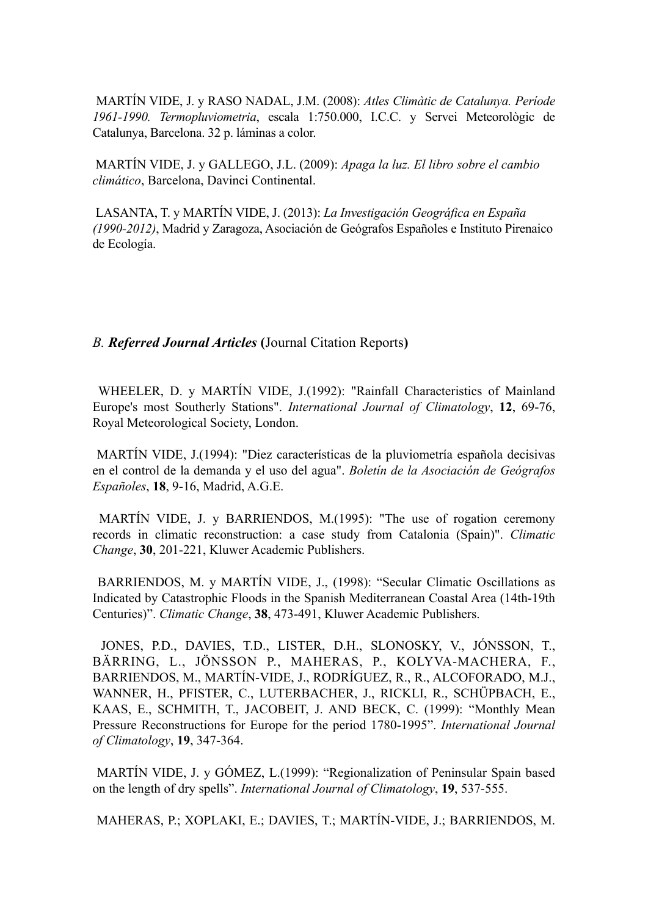MARTÍN VIDE, J. y RASO NADAL, J.M. (2008): *Atles Climàtic de Catalunya. Període 1961-1990. Termopluviometria*, escala 1:750.000, I.C.C. y Servei Meteorològic de Catalunya, Barcelona. 32 p. láminas a color.

MARTÍN VIDE, J. y GALLEGO, J.L. (2009): *Apaga la luz. El libro sobre el cambio climático*, Barcelona, Davinci Continental.

 LASANTA, T. y MARTÍN VIDE, J. (2013): *La Investigación Geográfica en España (1990-2012)*, Madrid y Zaragoza, Asociación de Geógrafos Españoles e Instituto Pirenaico de Ecología.

*B. Referred Journal Articles* **(**Journal Citation Reports**)**

WHEELER, D. y MARTÍN VIDE, J.(1992): "Rainfall Characteristics of Mainland Europe's most Southerly Stations". *International Journal of Climatology*, **12**, 69-76, Royal Meteorological Society, London.

MARTÍN VIDE, J.(1994): "Diez características de la pluviometría española decisivas en el control de la demanda y el uso del agua". *Boletín de la Asociación de Geógrafos Españoles*, **18**, 9-16, Madrid, A.G.E.

MARTÍN VIDE, J. y BARRIENDOS, M.(1995): "The use of rogation ceremony records in climatic reconstruction: a case study from Catalonia (Spain)". *Climatic Change*, **30**, 201-221, Kluwer Academic Publishers.

 BARRIENDOS, M. y MARTÍN VIDE, J., (1998): "Secular Climatic Oscillations as Indicated by Catastrophic Floods in the Spanish Mediterranean Coastal Area (14th-19th Centuries)". *Climatic Change*, **38**, 473-491, Kluwer Academic Publishers.

 JONES, P.D., DAVIES, T.D., LISTER, D.H., SLONOSKY, V., JÓNSSON, T., BÄRRING, L., JÖNSSON P., MAHERAS, P., KOLYVA-MACHERA, F., BARRIENDOS, M., MARTÍN-VIDE, J., RODRÍGUEZ, R., R., ALCOFORADO, M.J., WANNER, H., PFISTER, C., LUTERBACHER, J., RICKLI, R., SCHÜPBACH, E., KAAS, E., SCHMITH, T., JACOBEIT, J. AND BECK, C. (1999): "Monthly Mean Pressure Reconstructions for Europe for the period 1780-1995". *International Journal of Climatology*, **19**, 347-364.

 MARTÍN VIDE, J. y GÓMEZ, L.(1999): "Regionalization of Peninsular Spain based on the length of dry spells". *International Journal of Climatology*, **19**, 537-555.

MAHERAS, P.; XOPLAKI, E.; DAVIES, T.; MARTÍN-VIDE, J.; BARRIENDOS, M.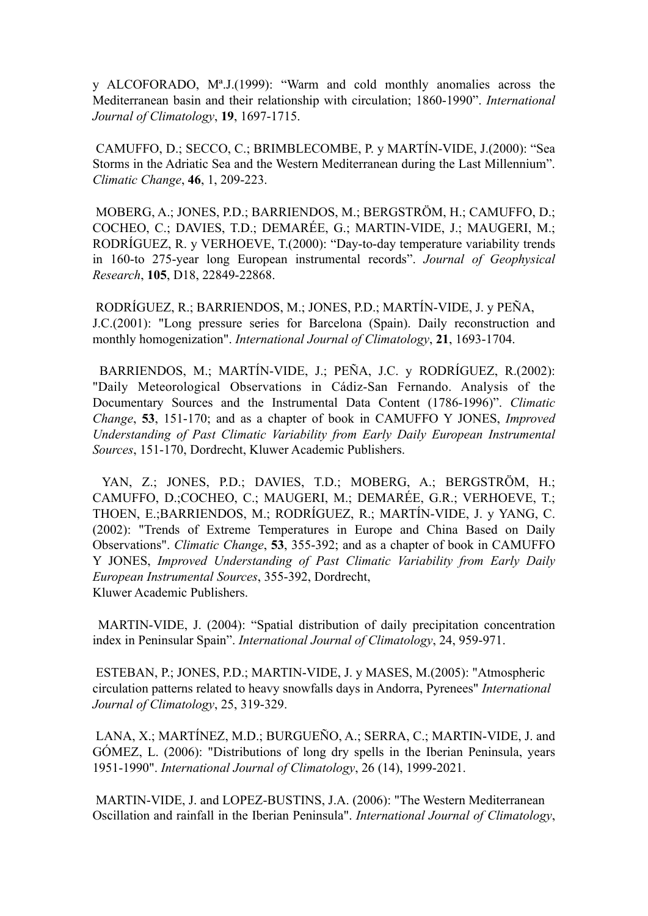y ALCOFORADO, Mª.J.(1999): "Warm and cold monthly anomalies across the Mediterranean basin and their relationship with circulation; 1860-1990". *International Journal of Climatology*, **19**, 1697-1715.

 CAMUFFO, D.; SECCO, C.; BRIMBLECOMBE, P. y MARTÍN-VIDE, J.(2000): "Sea Storms in the Adriatic Sea and the Western Mediterranean during the Last Millennium". *Climatic Change*, **46**, 1, 209-223.

 MOBERG, A.; JONES, P.D.; BARRIENDOS, M.; BERGSTRÖM, H.; CAMUFFO, D.; COCHEO, C.; DAVIES, T.D.; DEMARÉE, G.; MARTIN-VIDE, J.; MAUGERI, M.; RODRÍGUEZ, R. y VERHOEVE, T.(2000): "Day-to-day temperature variability trends in 160-to 275-year long European instrumental records". *Journal of Geophysical Research*, **105**, D18, 22849-22868.

 RODRÍGUEZ, R.; BARRIENDOS, M.; JONES, P.D.; MARTÍN-VIDE, J. y PEÑA, J.C.(2001): "Long pressure series for Barcelona (Spain). Daily reconstruction and monthly homogenization". *International Journal of Climatology*, **21**, 1693-1704.

 BARRIENDOS, M.; MARTÍN-VIDE, J.; PEÑA, J.C. y RODRÍGUEZ, R.(2002): "Daily Meteorological Observations in Cádiz-San Fernando. Analysis of the Documentary Sources and the Instrumental Data Content (1786-1996)". *Climatic Change*, **53**, 151-170; and as a chapter of book in CAMUFFO Y JONES, *Improved Understanding of Past Climatic Variability from Early Daily European Instrumental Sources*, 151-170, Dordrecht, Kluwer Academic Publishers.

 YAN, Z.; JONES, P.D.; DAVIES, T.D.; MOBERG, A.; BERGSTRÖM, H.; CAMUFFO, D.;COCHEO, C.; MAUGERI, M.; DEMARÉE, G.R.; VERHOEVE, T.; THOEN, E.;BARRIENDOS, M.; RODRÍGUEZ, R.; MARTÍN-VIDE, J. y YANG, C. (2002): "Trends of Extreme Temperatures in Europe and China Based on Daily Observations". *Climatic Change*, **53**, 355-392; and as a chapter of book in CAMUFFO Y JONES, *Improved Understanding of Past Climatic Variability from Early Daily European Instrumental Sources*, 355-392, Dordrecht, Kluwer Academic Publishers.

 MARTIN-VIDE, J. (2004): "Spatial distribution of daily precipitation concentration index in Peninsular Spain". *International Journal of Climatology*, 24, 959-971.

 ESTEBAN, P.; JONES, P.D.; MARTIN-VIDE, J. y MASES, M.(2005): "Atmospheric circulation patterns related to heavy snowfalls days in Andorra, Pyrenees" *International Journal of Climatology*, 25, 319-329.

 LANA, X.; MARTÍNEZ, M.D.; BURGUEÑO, A.; SERRA, C.; MARTIN-VIDE, J. and GÓMEZ, L. (2006): "Distributions of long dry spells in the Iberian Peninsula, years 1951-1990". *International Journal of Climatology*, 26 (14), 1999-2021.

 MARTIN-VIDE, J. and LOPEZ-BUSTINS, J.A. (2006): "The Western Mediterranean Oscillation and rainfall in the Iberian Peninsula". *International Journal of Climatology*,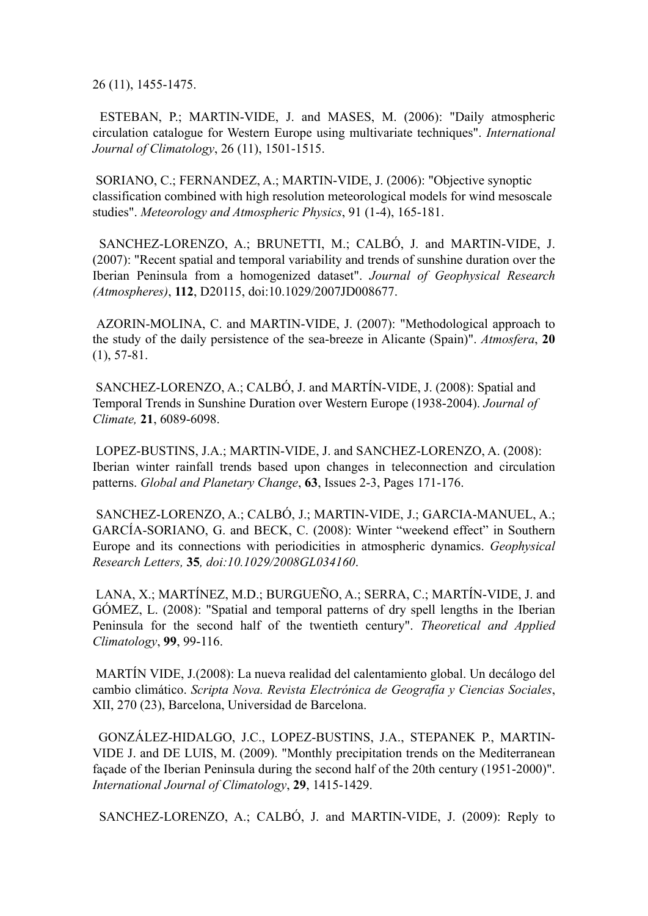26 (11), 1455-1475.

ESTEBAN, P.; MARTIN-VIDE, J. and MASES, M. (2006): "Daily atmospheric circulation catalogue for Western Europe using multivariate techniques". *International Journal of Climatology*, 26 (11), 1501-1515.

 SORIANO, C.; FERNANDEZ, A.; MARTIN-VIDE, J. (2006): "Objective synoptic classification combined with high resolution meteorological models for wind mesoscale studies". *Meteorology and Atmospheric Physics*, 91 (1-4), 165-181.

 SANCHEZ-LORENZO, A.; BRUNETTI, M.; CALBÓ, J. and MARTIN-VIDE, J. (2007): "Recent spatial and temporal variability and trends of sunshine duration over the Iberian Peninsula from a homogenized dataset". *Journal of Geophysical Research (Atmospheres)*, **112**, D20115, doi:10.1029/2007JD008677.

 AZORIN-MOLINA, C. and MARTIN-VIDE, J. (2007): "Methodological approach to the study of the daily persistence of the sea-breeze in Alicante (Spain)". *Atmosfera*, **20**  (1), 57-81.

 SANCHEZ-LORENZO, A.; CALBÓ, J. and MARTÍN-VIDE, J. (2008): Spatial and Temporal Trends in Sunshine Duration over Western Europe (1938-2004). *Journal of Climate,* **21**, 6089-6098.

 LOPEZ-BUSTINS, J.A.; MARTIN-VIDE, J. and SANCHEZ-LORENZO, A. (2008): Iberian winter rainfall trends based upon changes in teleconnection and circulation patterns. *Global and Planetary Change*, **63**, Issues 2-3, Pages 171-176.

 SANCHEZ-LORENZO, A.; CALBÓ, J.; MARTIN-VIDE, J.; GARCIA-MANUEL, A.; GARCÍA-SORIANO, G. and BECK, C. (2008): Winter "weekend effect" in Southern Europe and its connections with periodicities in atmospheric dynamics. *Geophysical Research Letters,* **35***, doi:10.1029/2008GL034160*.

 LANA, X.; MARTÍNEZ, M.D.; BURGUEÑO, A.; SERRA, C.; MARTÍN-VIDE, J. and GÓMEZ, L. (2008): "Spatial and temporal patterns of dry spell lengths in the Iberian Peninsula for the second half of the twentieth century". *Theoretical and Applied Climatology*, **99**, 99-116.

 MARTÍN VIDE, J.(2008): La nueva realidad del calentamiento global. Un decálogo del cambio climático. *Scripta Nova. Revista Electrónica de Geografía y Ciencias Sociales*, XII, 270 (23), Barcelona, Universidad de Barcelona.

 GONZÁLEZ-HIDALGO, J.C., LOPEZ-BUSTINS, J.A., STEPANEK P., MARTIN-VIDE J. and DE LUIS, M. (2009). "Monthly precipitation trends on the Mediterranean façade of the Iberian Peninsula during the second half of the 20th century (1951-2000)". *International Journal of Climatology*, **29**, 1415-1429.

SANCHEZ-LORENZO, A.; CALBÓ, J. and MARTIN-VIDE, J. (2009): [Reply to](http://www.agu.org/pubs/crossref/2009/2009GL038041.shtml%22%20%5Ct%20%22_blank)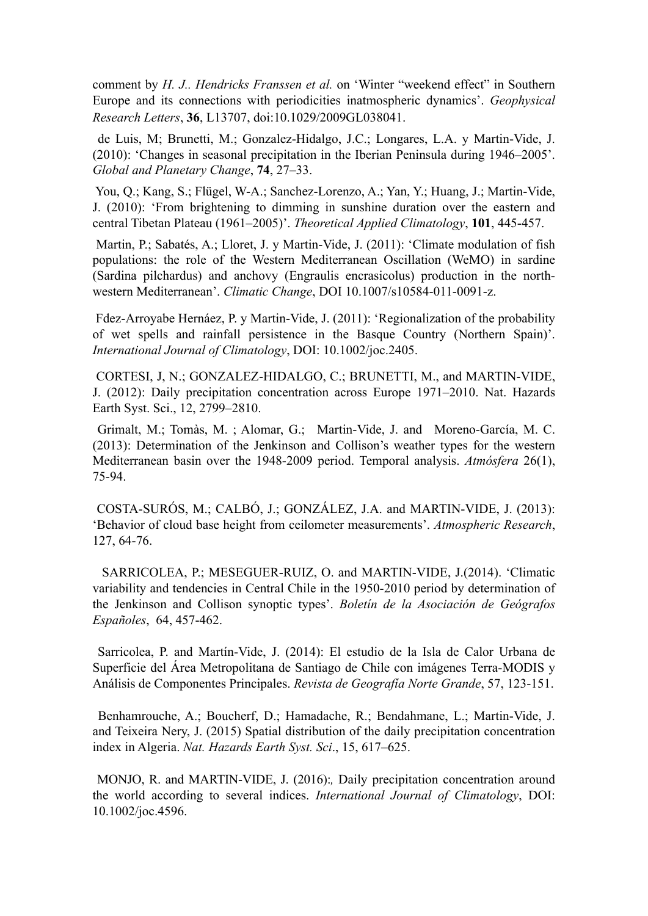[comment by](http://www.agu.org/pubs/crossref/2009/2009GL038041.shtml%22%20%5Ct%20%22_blank) *[H. J.. Hendricks Franssen et al.](http://www.agu.org/pubs/crossref/2009/2009GL038041.shtml%22%20%5Ct%20%22_blank)* [on 'Winter "weekend effect" in Southern](http://www.agu.org/pubs/crossref/2009/2009GL038041.shtml%22%20%5Ct%20%22_blank) [Europe and its connections with periodicities inatmospheric dynamics'.](http://www.agu.org/pubs/crossref/2009/2009GL038041.shtml%22%20%5Ct%20%22_blank) *Geophysical Research Letters*, **36**, L13707, doi:10.1029/2009GL038041.

 de Luis, M; Brunetti, M.; Gonzalez-Hidalgo, J.C.; Longares, L.A. y Martin-Vide, J. (2010): 'Changes in seasonal precipitation in the Iberian Peninsula during 1946–2005'. *Global and Planetary Change*, **74**, 27–33.

 You, Q.; Kang, S.; Flügel, W-A.; Sanchez-Lorenzo, A.; Yan, Y.; Huang, J.; Martin-Vide, J. (2010): 'From brightening to dimming in sunshine duration over the eastern and central Tibetan Plateau (1961–2005)'. *Theoretical Applied Climatology*, **101**, 445-457.

Martin, P.; Sabatés, A.; Lloret, J. y Martin-Vide, J. (2011): ['Climate modulation of fish](http://www.springerlink.com/content/w8180m90jp26h611/fulltext.pdf) [populations: the role of the Western Mediterranean Oscillation \(WeMO\) in sardine](http://www.springerlink.com/content/w8180m90jp26h611/fulltext.pdf) [\(Sardina pilchardus\) and anchovy \(Engraulis encrasicolus\) production in the north](http://www.springerlink.com/content/w8180m90jp26h611/fulltext.pdf)[western Mediterranean'.](http://www.springerlink.com/content/w8180m90jp26h611/fulltext.pdf) *Climatic Change*, DOI 10.1007/s10584-011-0091-z.

 Fdez-Arroyabe Hernáez, P. y Martin-Vide, J. (2011): '[Regionalization of the probability](http://onlinelibrary.wiley.com/doi/10.1002/joc.2405/pdf) [of wet spells and rainfall persistence in the Basque Country \(Northern Spain\)'.](http://onlinelibrary.wiley.com/doi/10.1002/joc.2405/pdf) *International Journal of Climatology*, DOI: 10.1002/joc.2405.

CORTESI, J, N.; GONZALEZ-HIDALGO, C.; BRUNETTI, M., and MARTIN-VIDE, J. (2012): Daily precipitation concentration across Europe 1971–2010. Nat. Hazards Earth Syst. Sci., 12, 2799–2810.

Grimalt, M.; Tomàs, M. ; Alomar, G.; Martin-Vide, J. and Moreno-García, M. C. (2013): Determination of the Jenkinson and Collison's weather types for the western Mediterranean basin over the 1948-2009 period. Temporal analysis. *Atmósfera* 26(1), 75-94.

COSTA-SURÓS, M.; CALBÓ, J.; GONZÁLEZ, J.A. and MARTIN-VIDE, J. (2013): 'Behavior of cloud base height from ceilometer measurements'. *Atmospheric Research*, 127, 64-76.

 SARRICOLEA, P.; MESEGUER-RUIZ, O. and MARTIN-VIDE, J.(2014). 'Climatic variability and tendencies in Central Chile in the 1950-2010 period by determination of the Jenkinson and Collison synoptic types'. *Boletín de la Asociación de Geógrafos Españoles*, 64, 457-462.

Sarricolea, P. and Martín-Vide, J. (2014): El estudio de la Isla de Calor Urbana de Superficie del Área Metropolitana de Santiago de Chile con imágenes Terra-MODIS y Análisis de Componentes Principales. *Revista de Geografía Norte Grande*, 57, 123-151.

 Benhamrouche, A.; Boucherf, D.; Hamadache, R.; Bendahmane, L.; Martin-Vide, J. and Teixeira Nery, J. (2015) Spatial distribution of the daily precipitation concentration index in Algeria. *Nat. Hazards Earth Syst. Sci*., 15, 617–625.

 MONJO, R. and MARTIN-VIDE, J. (2016):*,* Daily precipitation concentration around the world according to several indices. *International Journal of Climatology*, DOI: 10.1002/joc.4596.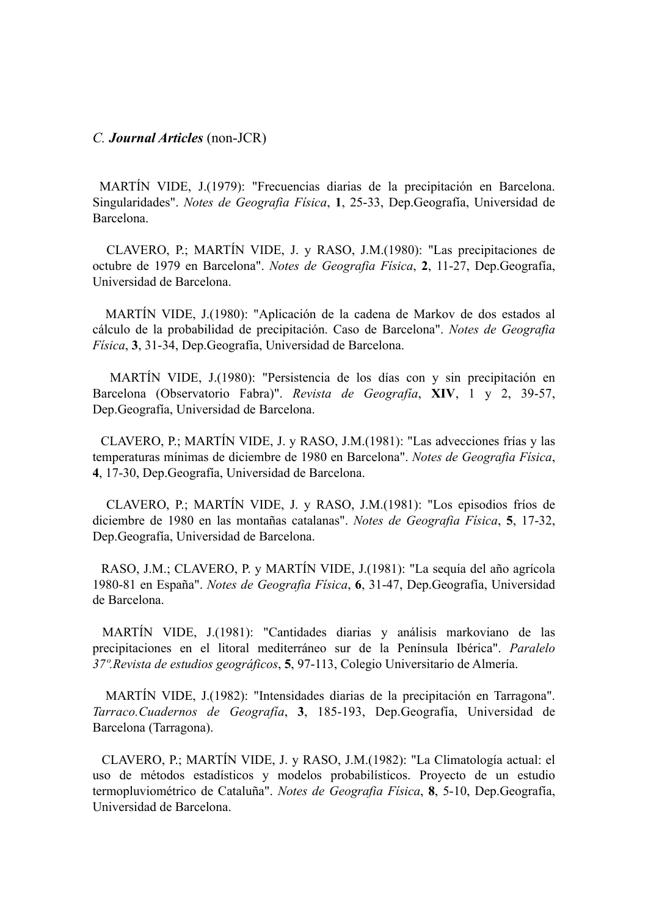#### *C. Journal Articles* (non-JCR)

MARTÍN VIDE, J.(1979): "Frecuencias diarias de la precipitación en Barcelona. Singularidades". *Notes de Geografia Física*, **1**, 25-33, Dep.Geografía, Universidad de Barcelona.

 CLAVERO, P.; MARTÍN VIDE, J. y RASO, J.M.(1980): "Las precipitaciones de octubre de 1979 en Barcelona". *Notes de Geografia Física*, **2**, 11-27, Dep.Geografía, Universidad de Barcelona.

 MARTÍN VIDE, J.(1980): "Aplicación de la cadena de Markov de dos estados al cálculo de la probabilidad de precipitación. Caso de Barcelona". *Notes de Geografia Física*, **3**, 31-34, Dep.Geografía, Universidad de Barcelona.

 MARTÍN VIDE, J.(1980): "Persistencia de los días con y sin precipitación en Barcelona (Observatorio Fabra)". *Revista de Geografía*, **XIV**, 1 y 2, 39-57, Dep.Geografía, Universidad de Barcelona.

 CLAVERO, P.; MARTÍN VIDE, J. y RASO, J.M.(1981): "Las advecciones frías y las temperaturas mínimas de diciembre de 1980 en Barcelona". *Notes de Geografia Física*, **4**, 17-30, Dep.Geografía, Universidad de Barcelona.

 CLAVERO, P.; MARTÍN VIDE, J. y RASO, J.M.(1981): "Los episodios fríos de diciembre de 1980 en las montañas catalanas". *Notes de Geografia Física*, **5**, 17-32, Dep.Geografía, Universidad de Barcelona.

 RASO, J.M.; CLAVERO, P. y MARTÍN VIDE, J.(1981): "La sequía del año agrícola 1980-81 en España". *Notes de Geografia Física*, **6**, 31-47, Dep.Geografía, Universidad de Barcelona.

MARTÍN VIDE, J.(1981): "Cantidades diarias y análisis markoviano de las precipitaciones en el litoral mediterráneo sur de la Península Ibérica". *Paralelo 37º.Revista de estudios geográficos*, **5**, 97-113, Colegio Universitario de Almería.

 MARTÍN VIDE, J.(1982): "Intensidades diarias de la precipitación en Tarragona". *Tarraco.Cuadernos de Geografía*, **3**, 185-193, Dep.Geografía, Universidad de Barcelona (Tarragona).

 CLAVERO, P.; MARTÍN VIDE, J. y RASO, J.M.(1982): "La Climatología actual: el uso de métodos estadísticos y modelos probabilísticos. Proyecto de un estudio termopluviométrico de Cataluña". *Notes de Geografia Física*, **8**, 5-10, Dep.Geografía, Universidad de Barcelona.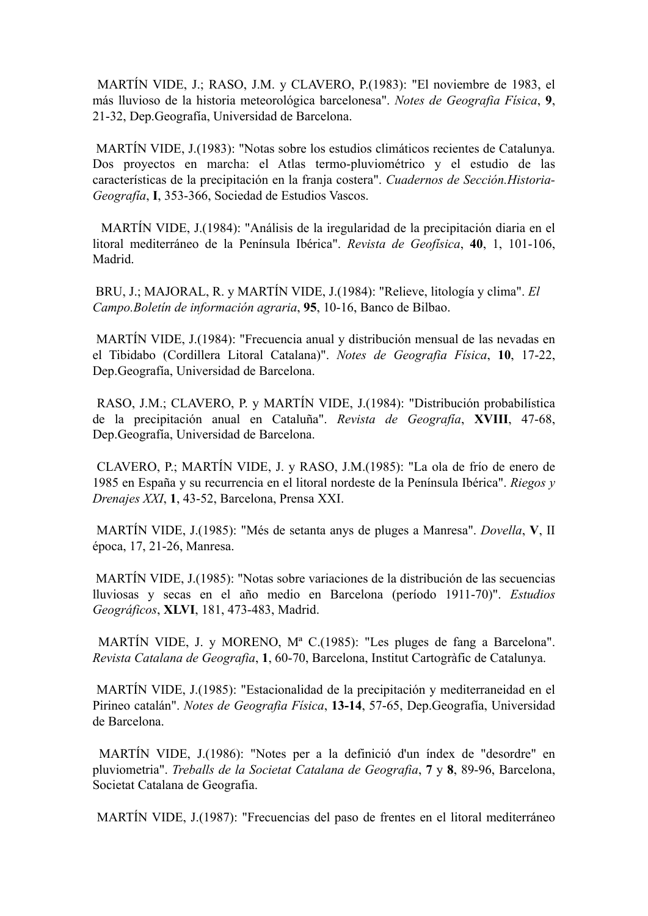MARTÍN VIDE, J.; RASO, J.M. y CLAVERO, P.(1983): "El noviembre de 1983, el más lluvioso de la historia meteorológica barcelonesa". *Notes de Geografia Física*, **9**, 21-32, Dep.Geografía, Universidad de Barcelona.

MARTÍN VIDE, J.(1983): "Notas sobre los estudios climáticos recientes de Catalunya. Dos proyectos en marcha: el Atlas termo-pluviométrico y el estudio de las características de la precipitación en la franja costera". *Cuadernos de Sección.Historia-Geografía*, **I**, 353-366, Sociedad de Estudios Vascos.

 MARTÍN VIDE, J.(1984): "Análisis de la iregularidad de la precipitación diaria en el litoral mediterráneo de la Península Ibérica". *Revista de Geofísica*, **40**, 1, 101-106, Madrid.

BRU, J.; MAJORAL, R. y MARTÍN VIDE, J.(1984): "Relieve, litología y clima". *El Campo.Boletín de información agraria*, **95**, 10-16, Banco de Bilbao.

MARTÍN VIDE, J.(1984): "Frecuencia anual y distribución mensual de las nevadas en el Tibidabo (Cordillera Litoral Catalana)". *Notes de Geografia Física*, **10**, 17-22, Dep.Geografía, Universidad de Barcelona.

RASO, J.M.; CLAVERO, P. y MARTÍN VIDE, J.(1984): "Distribución probabilística de la precipitación anual en Cataluña". *Revista de Geografía*, **XVIII**, 47-68, Dep.Geografía, Universidad de Barcelona.

CLAVERO, P.; MARTÍN VIDE, J. y RASO, J.M.(1985): "La ola de frío de enero de 1985 en España y su recurrencia en el litoral nordeste de la Península Ibérica". *Riegos y Drenajes XXI*, **1**, 43-52, Barcelona, Prensa XXI.

MARTÍN VIDE, J.(1985): "Més de setanta anys de pluges a Manresa". *Dovella*, **V**, II época, 17, 21-26, Manresa.

MARTÍN VIDE, J.(1985): "Notas sobre variaciones de la distribución de las secuencias lluviosas y secas en el año medio en Barcelona (período 1911-70)". *Estudios Geográficos*, **XLVI**, 181, 473-483, Madrid.

MARTÍN VIDE, J. y MORENO, Mª C.(1985): "Les pluges de fang a Barcelona". *Revista Catalana de Geografia*, **1**, 60-70, Barcelona, Institut Cartogràfic de Catalunya.

MARTÍN VIDE, J.(1985): "Estacionalidad de la precipitación y mediterraneidad en el Pirineo catalán". *Notes de Geografia Física*, **13-14**, 57-65, Dep.Geografía, Universidad de Barcelona.

MARTÍN VIDE, J.(1986): "Notes per a la definició d'un índex de "desordre" en pluviometria". *Treballs de la Societat Catalana de Geografia*, **7** y **8**, 89-96, Barcelona, Societat Catalana de Geografia.

MARTÍN VIDE, J.(1987): "Frecuencias del paso de frentes en el litoral mediterráneo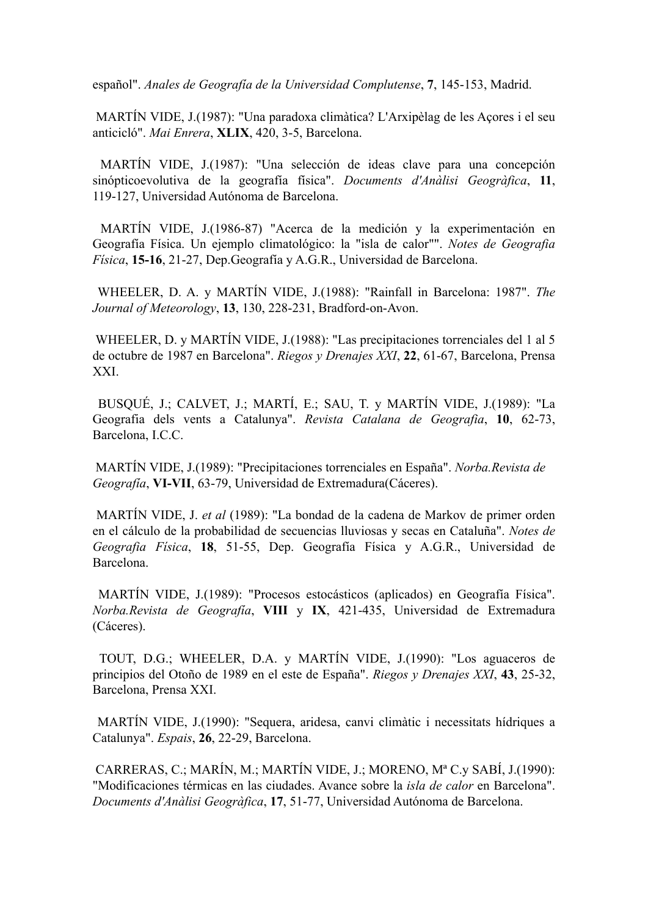español". *Anales de Geografía de la Universidad Complutense*, **7**, 145-153, Madrid.

MARTÍN VIDE, J.(1987): "Una paradoxa climàtica? L'Arxipèlag de les Açores i el seu anticicló". *Mai Enrera*, **XLIX**, 420, 3-5, Barcelona.

MARTÍN VIDE, J.(1987): "Una selección de ideas clave para una concepción sinópticoevolutiva de la geografía física". *Documents d'Anàlisi Geogràfica*, **11**, 119-127, Universidad Autónoma de Barcelona.

MARTÍN VIDE, J.(1986-87) "Acerca de la medición y la experimentación en Geografía Física. Un ejemplo climatológico: la "isla de calor"". *Notes de Geografia Física*, **15-16**, 21-27, Dep.Geografía y A.G.R., Universidad de Barcelona.

WHEELER, D. A. y MARTÍN VIDE, J.(1988): "Rainfall in Barcelona: 1987". *The Journal of Meteorology*, **13**, 130, 228-231, Bradford-on-Avon.

WHEELER, D. y MARTÍN VIDE, J.(1988): "Las precipitaciones torrenciales del 1 al 5 de octubre de 1987 en Barcelona". *Riegos y Drenajes XXI*, **22**, 61-67, Barcelona, Prensa XXI.

BUSQUÉ, J.; CALVET, J.; MARTÍ, E.; SAU, T. y MARTÍN VIDE, J.(1989): "La Geografia dels vents a Catalunya". *Revista Catalana de Geografia*, **10**, 62-73, Barcelona, I.C.C.

MARTÍN VIDE, J.(1989): "Precipitaciones torrenciales en España". *Norba.Revista de Geografía*, **VI-VII**, 63-79, Universidad de Extremadura(Cáceres).

MARTÍN VIDE, J. *et al* (1989): "La bondad de la cadena de Markov de primer orden en el cálculo de la probabilidad de secuencias lluviosas y secas en Cataluña". *Notes de Geografia Física*, **18**, 51-55, Dep. Geografía Física y A.G.R., Universidad de Barcelona.

MARTÍN VIDE, J.(1989): "Procesos estocásticos (aplicados) en Geografía Física". *Norba.Revista de Geografía*, **VIII** y **IX**, 421-435, Universidad de Extremadura (Cáceres).

TOUT, D.G.; WHEELER, D.A. y MARTÍN VIDE, J.(1990): "Los aguaceros de principios del Otoño de 1989 en el este de España". *Riegos y Drenajes XXI*, **43**, 25-32, Barcelona, Prensa XXI.

MARTÍN VIDE, J.(1990): "Sequera, aridesa, canvi climàtic i necessitats hídriques a Catalunya". *Espais*, **26**, 22-29, Barcelona.

CARRERAS, C.; MARÍN, M.; MARTÍN VIDE, J.; MORENO, Mª C.y SABÍ, J.(1990): "Modificaciones térmicas en las ciudades. Avance sobre la *isla de calor* en Barcelona". *Documents d'Anàlisi Geogràfica*, **17**, 51-77, Universidad Autónoma de Barcelona.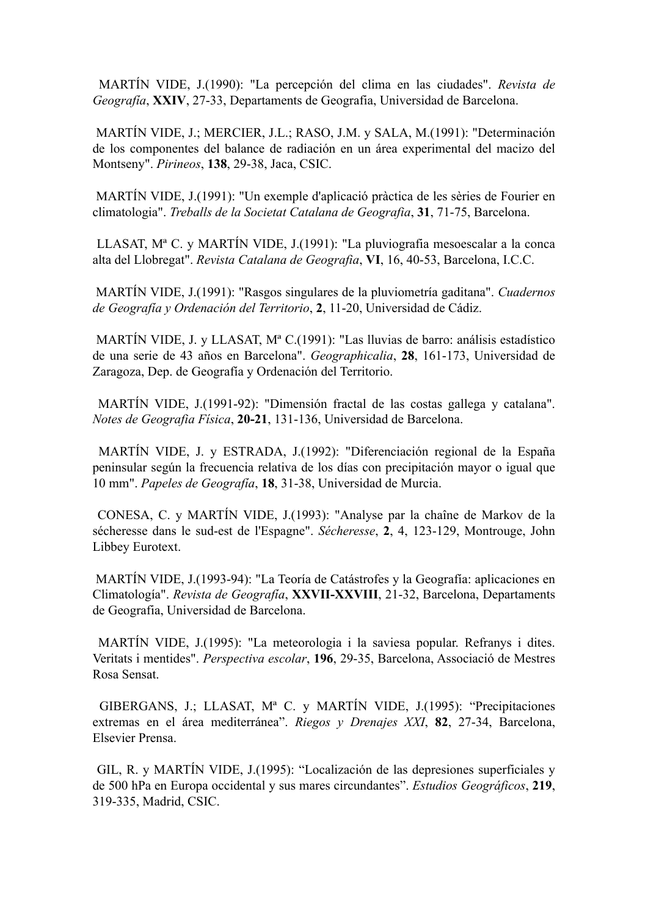MARTÍN VIDE, J.(1990): "La percepción del clima en las ciudades". *Revista de Geografía*, **XXIV**, 27-33, Departaments de Geografia, Universidad de Barcelona.

 MARTÍN VIDE, J.; MERCIER, J.L.; RASO, J.M. y SALA, M.(1991): "Determinación de los componentes del balance de radiación en un área experimental del macizo del Montseny". *Pirineos*, **138**, 29-38, Jaca, CSIC.

MARTÍN VIDE, J.(1991): "Un exemple d'aplicació pràctica de les sèries de Fourier en climatologia". *Treballs de la Societat Catalana de Geografia*, **31**, 71-75, Barcelona.

 LLASAT, Mª C. y MARTÍN VIDE, J.(1991): "La pluviografia mesoescalar a la conca alta del Llobregat". *Revista Catalana de Geografia*, **VI**, 16, 40-53, Barcelona, I.C.C.

MARTÍN VIDE, J.(1991): "Rasgos singulares de la pluviometría gaditana". *Cuadernos de Geografía y Ordenación del Territorio*, **2**, 11-20, Universidad de Cádiz.

MARTÍN VIDE, J. y LLASAT, Mª C.(1991): "Las lluvias de barro: análisis estadístico de una serie de 43 años en Barcelona". *Geographicalia*, **28**, 161-173, Universidad de Zaragoza, Dep. de Geografía y Ordenación del Territorio.

MARTÍN VIDE, J.(1991-92): "Dimensión fractal de las costas gallega y catalana". *Notes de Geografia Física*, **20-21**, 131-136, Universidad de Barcelona.

MARTÍN VIDE, J. y ESTRADA, J.(1992): "Diferenciación regional de la España peninsular según la frecuencia relativa de los días con precipitación mayor o igual que 10 mm". *Papeles de Geografía*, **18**, 31-38, Universidad de Murcia.

CONESA, C. y MARTÍN VIDE, J.(1993): "Analyse par la chaîne de Markov de la sécheresse dans le sud-est de l'Espagne". *Sécheresse*, **2**, 4, 123-129, Montrouge, John Libbey Eurotext.

MARTÍN VIDE, J.(1993-94): "La Teoría de Catástrofes y la Geografía: aplicaciones en Climatología". *Revista de Geografía*, **XXVII-XXVIII**, 21-32, Barcelona, Departaments de Geografia, Universidad de Barcelona.

MARTÍN VIDE, J.(1995): "La meteorologia i la saviesa popular. Refranys i dites. Veritats i mentides". *Perspectiva escolar*, **196**, 29-35, Barcelona, Associació de Mestres Rosa Sensat.

GIBERGANS, J.; LLASAT, Mª C. y MARTÍN VIDE, J.(1995): "Precipitaciones extremas en el área mediterránea". *Riegos y Drenajes XXI*, **82**, 27-34, Barcelona, Elsevier Prensa.

 GIL, R. y MARTÍN VIDE, J.(1995): "Localización de las depresiones superficiales y de 500 hPa en Europa occidental y sus mares circundantes". *Estudios Geográficos*, **219**, 319-335, Madrid, CSIC.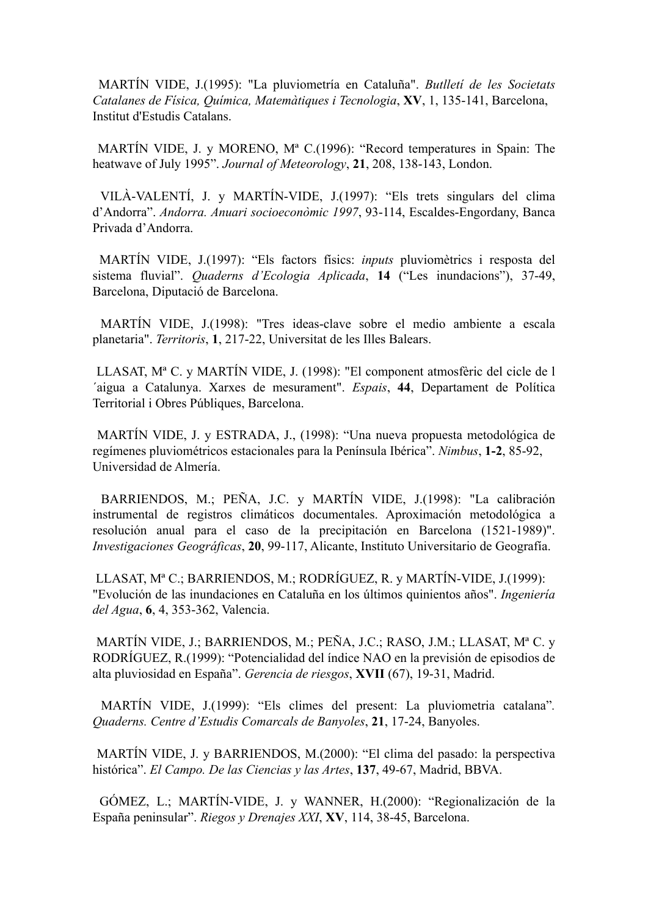MARTÍN VIDE, J.(1995): "La pluviometría en Cataluña". *Butlletí de les Societats Catalanes de Física, Química, Matemàtiques i Tecnologia*, **XV**, 1, 135-141, Barcelona, Institut d'Estudis Catalans.

 MARTÍN VIDE, J. y MORENO, Mª C.(1996): "Record temperatures in Spain: The heatwave of July 1995". *Journal of Meteorology*, **21**, 208, 138-143, London.

 VILÀ-VALENTÍ, J. y MARTÍN-VIDE, J.(1997): "Els trets singulars del clima d'Andorra". *Andorra. Anuari socioeconòmic 1997*, 93-114, Escaldes-Engordany, Banca Privada d'Andorra.

 MARTÍN VIDE, J.(1997): "Els factors físics: *inputs* pluviomètrics i resposta del sistema fluvial". *Quaderns d'Ecologia Aplicada*, **14** ("Les inundacions"), 37-49, Barcelona, Diputació de Barcelona.

 MARTÍN VIDE, J.(1998): "Tres ideas-clave sobre el medio ambiente a escala planetaria". *Territoris*, **1**, 217-22, Universitat de les Illes Balears.

 LLASAT, Mª C. y MARTÍN VIDE, J. (1998): "El component atmosfèric del cicle de l ´aigua a Catalunya. Xarxes de mesurament". *Espais*, **44**, Departament de Política Territorial i Obres Públiques, Barcelona.

 MARTÍN VIDE, J. y ESTRADA, J., (1998): "Una nueva propuesta metodológica de regímenes pluviométricos estacionales para la Península Ibérica". *Nimbus*, **1-2**, 85-92, Universidad de Almería.

 BARRIENDOS, M.; PEÑA, J.C. y MARTÍN VIDE, J.(1998): "La calibración instrumental de registros climáticos documentales. Aproximación metodológica a resolución anual para el caso de la precipitación en Barcelona (1521-1989)". *Investigaciones Geográficas*, **20**, 99-117, Alicante, Instituto Universitario de Geografía.

 LLASAT, Mª C.; BARRIENDOS, M.; RODRÍGUEZ, R. y MARTÍN-VIDE, J.(1999): "Evolución de las inundaciones en Cataluña en los últimos quinientos años". *Ingeniería del Agua*, **6**, 4, 353-362, Valencia.

 MARTÍN VIDE, J.; BARRIENDOS, M.; PEÑA, J.C.; RASO, J.M.; LLASAT, Mª C. y RODRÍGUEZ, R.(1999): "Potencialidad del índice NAO en la previsión de episodios de alta pluviosidad en España". *Gerencia de riesgos*, **XVII** (67), 19-31, Madrid.

 MARTÍN VIDE, J.(1999): "Els climes del present: La pluviometria catalana"*. Quaderns. Centre d'Estudis Comarcals de Banyoles*, **21**, 17-24, Banyoles.

 MARTÍN VIDE, J. y BARRIENDOS, M.(2000): "El clima del pasado: la perspectiva histórica". *El Campo. De las Ciencias y las Artes*, **137**, 49-67, Madrid, BBVA.

 GÓMEZ, L.; MARTÍN-VIDE, J. y WANNER, H.(2000): "Regionalización de la España peninsular". *Riegos y Drenajes XXI*, **XV**, 114, 38-45, Barcelona.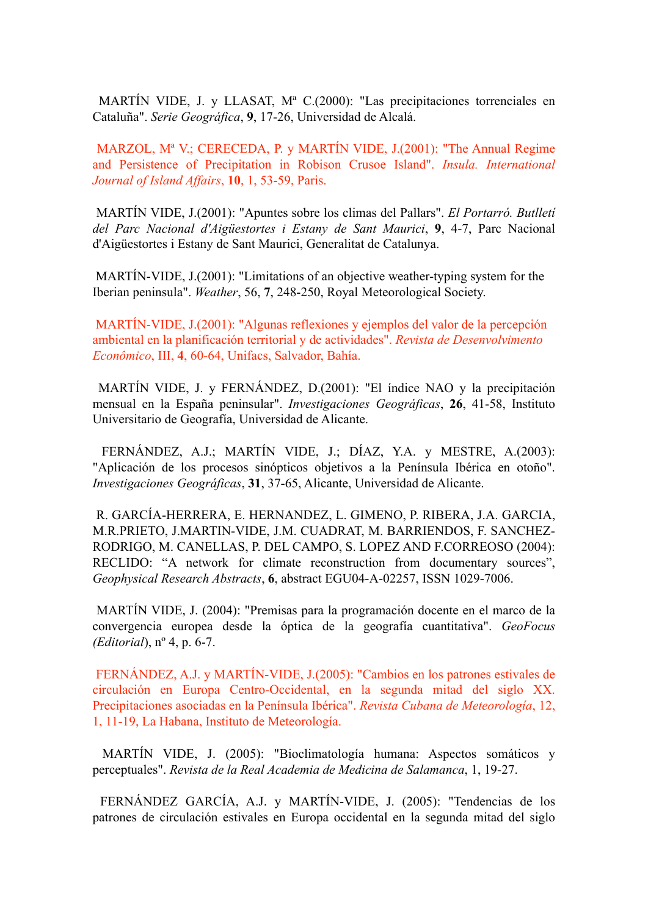MARTÍN VIDE, J. y LLASAT, Mª C.(2000): "Las precipitaciones torrenciales en Cataluña". *Serie Geográfica*, **9**, 17-26, Universidad de Alcalá.

 MARZOL, Mª V.; CERECEDA, P. y MARTÍN VIDE, J.(2001): "The Annual Regime and Persistence of Precipitation in Robison Crusoe Island". *Insula. International Journal of Island Affairs*, **10**, 1, 53-59, Paris.

 MARTÍN VIDE, J.(2001): "Apuntes sobre los climas del Pallars". *El Portarró. Butlletí del Parc Nacional d'Aigüestortes i Estany de Sant Maurici*, **9**, 4-7, Parc Nacional d'Aigüestortes i Estany de Sant Maurici, Generalitat de Catalunya.

 MARTÍN-VIDE, J.(2001): "Limitations of an objective weather-typing system for the Iberian peninsula". *Weather*, 56, **7**, 248-250, Royal Meteorological Society.

 MARTÍN-VIDE, J.(2001): "Algunas reflexiones y ejemplos del valor de la percepción ambiental en la planificación territorial y de actividades". *Revista de Desenvolvimento Econômico*, III, **4**, 60-64, Unifacs, Salvador, Bahía.

 MARTÍN VIDE, J. y FERNÁNDEZ, D.(2001): "El índice NAO y la precipitación mensual en la España peninsular". *Investigaciones Geográficas*, **26**, 41-58, Instituto Universitario de Geografía, Universidad de Alicante.

 FERNÁNDEZ, A.J.; MARTÍN VIDE, J.; DÍAZ, Y.A. y MESTRE, A.(2003): "Aplicación de los procesos sinópticos objetivos a la Península Ibérica en otoño". *Investigaciones Geográficas*, **31**, 37-65, Alicante, Universidad de Alicante.

 R. GARCÍA-HERRERA, E. HERNANDEZ, L. GIMENO, P. RIBERA, J.A. GARCIA, M.R.PRIETO, J.MARTIN-VIDE, J.M. CUADRAT, M. BARRIENDOS, F. SANCHEZ-RODRIGO, M. CANELLAS, P. DEL CAMPO, S. LOPEZ AND F.CORREOSO (2004): RECLIDO: "A network for climate reconstruction from documentary sources", *Geophysical Research Abstracts*, **6**, abstract EGU04-A-02257, ISSN 1029-7006.

 MARTÍN VIDE, J. (2004): "Premisas para la programación docente en el marco de la convergencia europea desde la óptica de la geografía cuantitativa". *GeoFocus (Editorial*), nº 4, p. 6-7.

 FERNÁNDEZ, A.J. y MARTÍN-VIDE, J.(2005): "Cambios en los patrones estivales de circulación en Europa Centro-Occidental, en la segunda mitad del siglo XX. Precipitaciones asociadas en la Península Ibérica". *Revista Cubana de Meteorología*, 12, 1, 11-19, La Habana, Instituto de Meteorología.

 MARTÍN VIDE, J. (2005): "Bioclimatología humana: Aspectos somáticos y perceptuales". *Revista de la Real Academia de Medicina de Salamanca*, 1, 19-27.

 FERNÁNDEZ GARCÍA, A.J. y MARTÍN-VIDE, J. (2005): "Tendencias de los patrones de circulación estivales en Europa occidental en la segunda mitad del siglo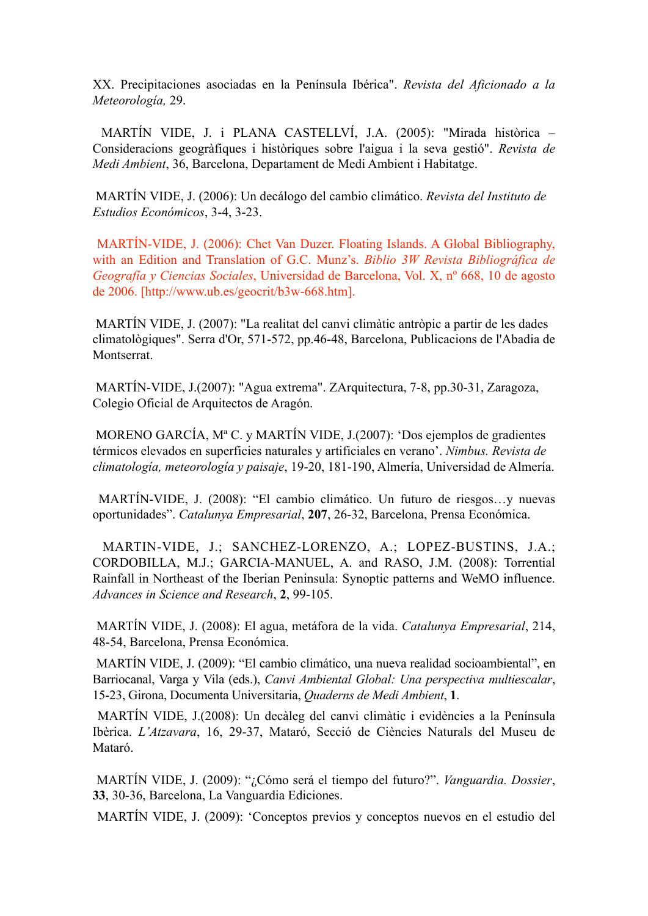XX. Precipitaciones asociadas en la Península Ibérica". *Revista del Aficionado a la Meteorología,* 29.

 MARTÍN VIDE, J. i PLANA CASTELLVÍ, J.A. (2005): "Mirada històrica – Consideracions geogràfiques i històriques sobre l'aigua i la seva gestió". *Revista de Medi Ambient*, 36, Barcelona, Departament de Medi Ambient i Habitatge.

 MARTÍN VIDE, J. (2006): Un decálogo del cambio climático. *Revista del Instituto de Estudios Económicos*, 3-4, 3-23.

 MARTÍN-VIDE, J. (2006): Chet Van Duzer. Floating Islands. A Global Bibliography, with an Edition and Translation of G.C. Munz's. *Biblio 3W Revista Bibliográfica de Geografía y Ciencias Sociales*, Universidad de Barcelona, Vol. X, nº 668, 10 de agosto de 2006. [http://www.ub.es/geocrit/b3w-668.htm].

 MARTÍN VIDE, J. (2007): "La realitat del canvi climàtic antròpic a partir de les dades climatològiques". Serra d'Or, 571-572, pp.46-48, Barcelona, Publicacions de l'Abadia de **Montserrat** 

 MARTÍN-VIDE, J.(2007): "Agua extrema". ZArquitectura, 7-8, pp.30-31, Zaragoza, Colegio Oficial de Arquitectos de Aragón.

 MORENO GARCÍA, Mª C. y MARTÍN VIDE, J.(2007): 'Dos ejemplos de gradientes térmicos elevados en superficies naturales y artificiales en verano'. *Nimbus. Revista de climatología, meteorología y paisaje*, 19-20, 181-190, Almería, Universidad de Almería.

 MARTÍN-VIDE, J. (2008): "El cambio climático. Un futuro de riesgos…y nuevas oportunidades". *Catalunya Empresarial*, **207**, 26-32, Barcelona, Prensa Económica.

 MARTIN-VIDE, J.; SANCHEZ-LORENZO, A.; LOPEZ-BUSTINS, J.A.; CORDOBILLA, M.J.; GARCIA-MANUEL, A. and RASO, J.M. (2008): Torrential Rainfall in Northeast of the Iberian Peninsula: Synoptic patterns and WeMO influence. *Advances in Science and Research*, **2**, 99-105.

 MARTÍN VIDE, J. (2008): El agua, metáfora de la vida. *Catalunya Empresarial*, 214, 48-54, Barcelona, Prensa Económica.

MARTÍN VIDE, J. (2009): "El cambio climático, una nueva realidad socioambiental", en Barriocanal, Varga y Vila (eds.), *Canvi Ambiental Global: Una perspectiva multiescalar*, 15-23, Girona, Documenta Universitaria, *Quaderns de Medi Ambient*, **1**.

 MARTÍN VIDE, J.(2008): Un decàleg del canvi climàtic i evidències a la Península Ibèrica. *L'Atzavara*, 16, 29-37, Mataró, Secció de Ciències Naturals del Museu de Mataró.

 MARTÍN VIDE, J. (2009): "¿Cómo será el tiempo del futuro?". *Vanguardia. Dossier*, **33**, 30-36, Barcelona, La Vanguardia Ediciones.

MARTÍN VIDE, J. (2009): '[Conceptos previos y conceptos nuevos en el estudio del](http://dialnet.unirioja.es/servlet/articulo?codigo=3235651)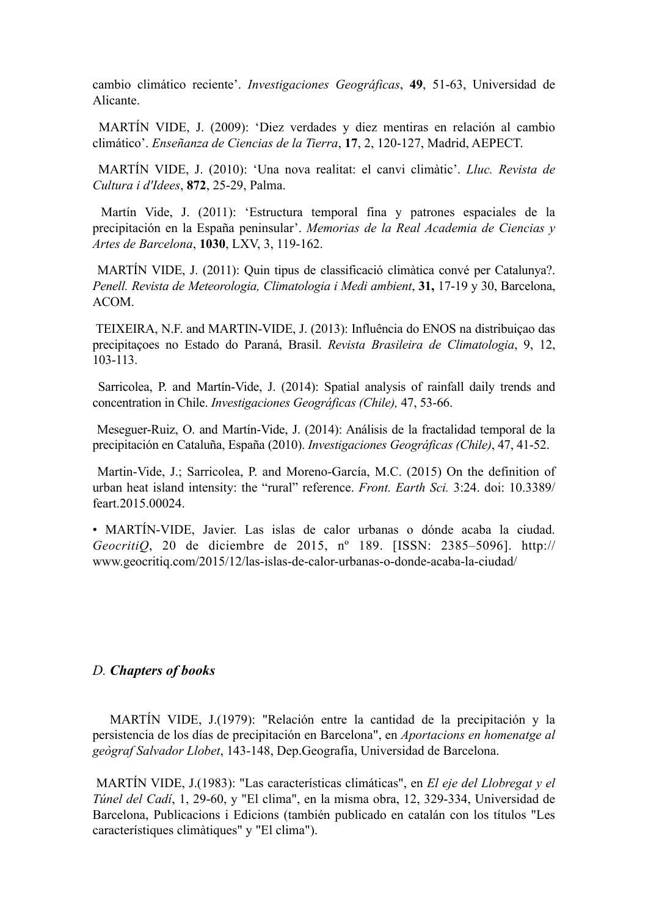[cambio climático reciente'](http://dialnet.unirioja.es/servlet/articulo?codigo=3235651). *Investigaciones Geográficas*, **49**, 51-63, Universidad de Alicante.

 MARTÍN VIDE, J. (2009): ['Diez verdades y diez mentiras en relación al cambio](http://www.aepect.org/larevista.htm%22%20%5Ct%20%22_blank) [climático'.](http://www.aepect.org/larevista.htm%22%20%5Ct%20%22_blank) *[Enseñanza de Ciencias de la Tierra](http://www.aepect.org/larevista.htm%22%20%5Ct%20%22_blank)*, **17**, 2, 120-127, Madrid, AEPECT.

 MARTÍN VIDE, J. (2010): 'Una nova realitat: el canvi climàtic'. *Lluc. Revista de Cultura i d'Idees*, **872**, 25-29, Palma.

Martín Vide, J. (2011): ['Estructura temporal fina y patrones espaciales de la](http://www.racab.es/publicacions/pdf/1030.pdf) [precipitación en la España peninsular'.](http://www.racab.es/publicacions/pdf/1030.pdf) *[Memorias de la Real Academia de Ciencias y](http://www.racab.es/publicacions/pdf/1030.pdf) [Artes de Barcelona](http://www.racab.es/publicacions/pdf/1030.pdf)*, **1030**, LXV, 3, 119-162.

 MARTÍN VIDE, J. (2011): Quin tipus de classificació climàtica convé per Catalunya?. *Penell. Revista de Meteorologia, Climatologia i Medi ambient*, **31,** 17-19 y 30, Barcelona, ACOM.

 TEIXEIRA, N.F. and MARTIN-VIDE, J. (2013): Influência do ENOS na distribuiçao das precipitaçoes no Estado do Paraná, Brasil. *Revista Brasileira de Climatologia*, 9, 12, 103-113.

 Sarricolea, P. and Martín-Vide, J. (2014): Spatial analysis of rainfall daily trends and concentration in Chile. *Investigaciones Geográficas (Chile),* 47, 53-66.

 Meseguer-Ruiz, O. and Martín-Vide, J. (2014): Análisis de la fractalidad temporal de la precipitación en Cataluña, España (2010). *Investigaciones Geográficas (Chile)*, 47, 41-52.

Martin-Vide, J.; Sarricolea, P. and Moreno-García, M.C. (2015) On the definition of urban heat island intensity: the "rural" reference. *Front. Earth Sci.* 3:24. doi: 10.3389/ feart.2015.00024.

• MARTÍN-VIDE, Javier. Las islas de calor urbanas o dónde acaba la ciudad. *GeocritiQ*, 20 de diciembre de 2015, nº 189. [ISSN: 2385–5096]. http:// www.geocritiq.com/2015/12/las-islas-de-calor-urbanas-o-donde-acaba-la-ciudad/

#### *D. Chapters of books*

 MARTÍN VIDE, J.(1979): "Relación entre la cantidad de la precipitación y la persistencia de los días de precipitación en Barcelona", en *Aportacions en homenatge al geògraf Salvador Llobet*, 143-148, Dep.Geografía, Universidad de Barcelona.

MARTÍN VIDE, J.(1983): "Las características climáticas", en *El eje del Llobregat y el Túnel del Cadí*, 1, 29-60, y "El clima", en la misma obra, 12, 329-334, Universidad de Barcelona, Publicacions i Edicions (también publicado en catalán con los títulos "Les característiques climàtiques" y "El clima").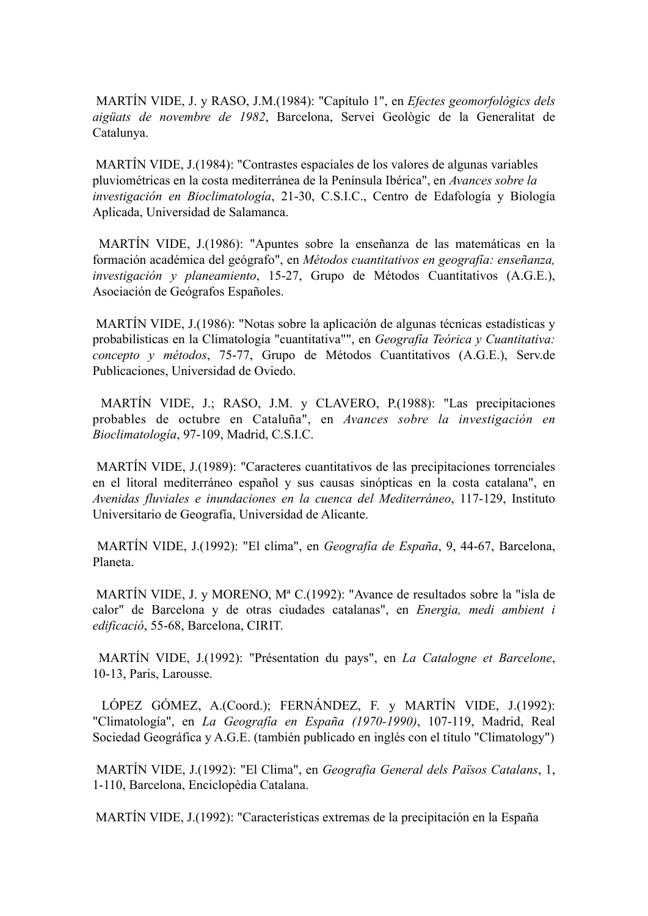MARTÍN VIDE, J. y RASO, J.M.(1984): "Capítulo 1", en *Efectes geomorfològics dels aigüats de novembre de 1982*, Barcelona, Servei Geològic de la Generalitat de Catalunya.

MARTÍN VIDE, J.(1984): "Contrastes espaciales de los valores de algunas variables pluviométricas en la costa mediterránea de la Península Ibérica", en *Avances sobre la investigación en Bioclimatología*, 21-30, C.S.I.C., Centro de Edafología y Biología Aplicada, Universidad de Salamanca.

MARTÍN VIDE, J.(1986): "Apuntes sobre la enseñanza de las matemáticas en la formación académica del geógrafo", en *Métodos cuantitativos en geografía: enseñanza, investigación y planeamiento*, 15-27, Grupo de Métodos Cuantitativos (A.G.E.), Asociación de Geógrafos Españoles.

MARTÍN VIDE, J.(1986): "Notas sobre la aplicación de algunas técnicas estadísticas y probabilísticas en la Climatología "cuantitativa"", en *Geografía Teórica y Cuantitativa: concepto y métodos*, 75-77, Grupo de Métodos Cuantitativos (A.G.E.), Serv.de Publicaciones, Universidad de Oviedo.

MARTÍN VIDE, J.; RASO, J.M. y CLAVERO, P.(1988): "Las precipitaciones probables de octubre en Cataluña", en *Avances sobre la investigación en Bioclimatología*, 97-109, Madrid, C.S.I.C.

MARTÍN VIDE, J.(1989): "Caracteres cuantitativos de las precipitaciones torrenciales en el litoral mediterráneo español y sus causas sinópticas en la costa catalana", en *Avenidas fluviales e inundaciones en la cuenca del Mediterráneo*, 117-129, Instituto Universitario de Geografía, Universidad de Alicante.

 MARTÍN VIDE, J.(1992): "El clima", en *Geografía de España*, 9, 44-67, Barcelona, Planeta.

MARTÍN VIDE, J. y MORENO, Mª C.(1992): "Avance de resultados sobre la "isla de calor" de Barcelona y de otras ciudades catalanas", en *Energia, medi ambient i edificació*, 55-68, Barcelona, CIRIT.

MARTÍN VIDE, J.(1992): "Présentation du pays", en *La Catalogne et Barcelone*, 10-13, Paris, Larousse.

LÓPEZ GÓMEZ, A.(Coord.); FERNÁNDEZ, F. y MARTÍN VIDE, J.(1992): "Climatología", en *La Geografía en España (1970-1990)*, 107-119, Madrid, Real Sociedad Geográfica y A.G.E. (también publicado en inglés con el título "Climatology")

MARTÍN VIDE, J.(1992): "El Clima", en *Geografia General dels Països Catalans*, 1, 1-110, Barcelona, Enciclopèdia Catalana.

MARTÍN VIDE, J.(1992): "Características extremas de la precipitación en la España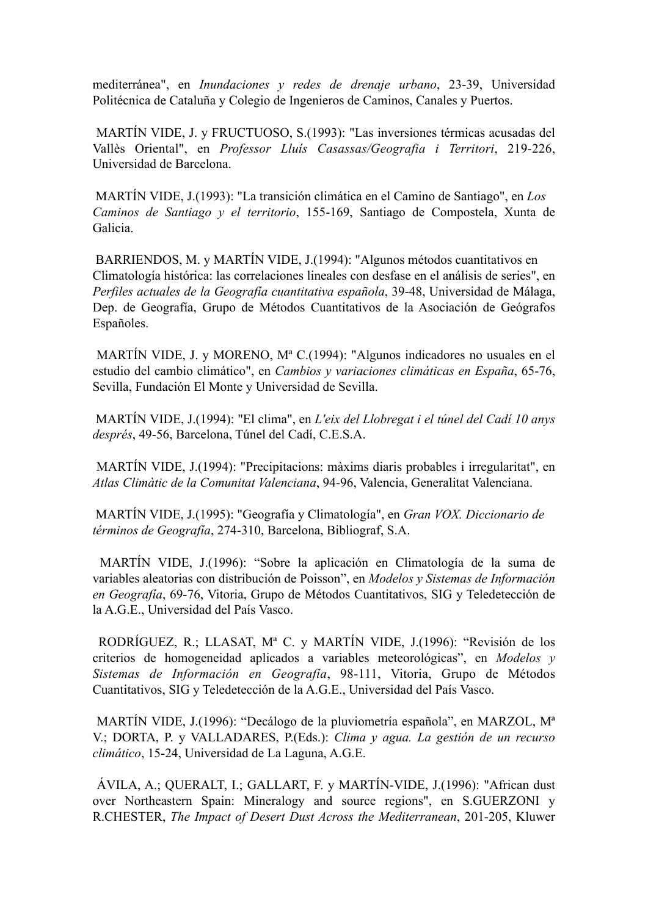mediterránea", en *Inundaciones y redes de drenaje urbano*, 23-39, Universidad Politécnica de Cataluña y Colegio de Ingenieros de Caminos, Canales y Puertos.

MARTÍN VIDE, J. y FRUCTUOSO, S.(1993): "Las inversiones térmicas acusadas del Vallès Oriental", en *Professor Lluís Casassas/Geografia i Territori*, 219-226, Universidad de Barcelona.

MARTÍN VIDE, J.(1993): "La transición climática en el Camino de Santiago", en *Los Caminos de Santiago y el territorio*, 155-169, Santiago de Compostela, Xunta de Galicia.

BARRIENDOS, M. y MARTÍN VIDE, J.(1994): "Algunos métodos cuantitativos en Climatología histórica: las correlaciones lineales con desfase en el análisis de series", en *Perfiles actuales de la Geografía cuantitativa española*, 39-48, Universidad de Málaga, Dep. de Geografía, Grupo de Métodos Cuantitativos de la Asociación de Geógrafos Españoles.

MARTÍN VIDE, J. y MORENO, Mª C.(1994): "Algunos indicadores no usuales en el estudio del cambio climático", en *Cambios y variaciones climáticas en España*, 65-76, Sevilla, Fundación El Monte y Universidad de Sevilla.

MARTÍN VIDE, J.(1994): "El clima", en *L'eix del Llobregat i el túnel del Cadí 10 anys després*, 49-56, Barcelona, Túnel del Cadí, C.E.S.A.

MARTÍN VIDE, J.(1994): "Precipitacions: màxims diaris probables i irregularitat", en *Atlas Climàtic de la Comunitat Valenciana*, 94-96, Valencia, Generalitat Valenciana.

MARTÍN VIDE, J.(1995): "Geografía y Climatología", en *Gran VOX. Diccionario de términos de Geografía*, 274-310, Barcelona, Bibliograf, S.A.

 MARTÍN VIDE, J.(1996): "Sobre la aplicación en Climatología de la suma de variables aleatorias con distribución de Poisson", en *Modelos y Sistemas de Información en Geografía*, 69-76, Vitoria, Grupo de Métodos Cuantitativos, SIG y Teledetección de la A.G.E., Universidad del País Vasco.

 RODRÍGUEZ, R.; LLASAT, Mª C. y MARTÍN VIDE, J.(1996): "Revisión de los criterios de homogeneidad aplicados a variables meteorológicas", en *Modelos y Sistemas de Información en Geografía*, 98-111, Vitoria, Grupo de Métodos Cuantitativos, SIG y Teledetección de la A.G.E., Universidad del País Vasco.

 MARTÍN VIDE, J.(1996): "Decálogo de la pluviometría española", en MARZOL, Mª V.; DORTA, P. y VALLADARES, P.(Eds.): *Clima y agua. La gestión de un recurso climático*, 15-24, Universidad de La Laguna, A.G.E.

 ÁVILA, A.; QUERALT, I.; GALLART, F. y MARTÍN-VIDE, J.(1996): "African dust over Northeastern Spain: Mineralogy and source regions", en S.GUERZONI y R.CHESTER, *The Impact of Desert Dust Across the Mediterranean*, 201-205, Kluwer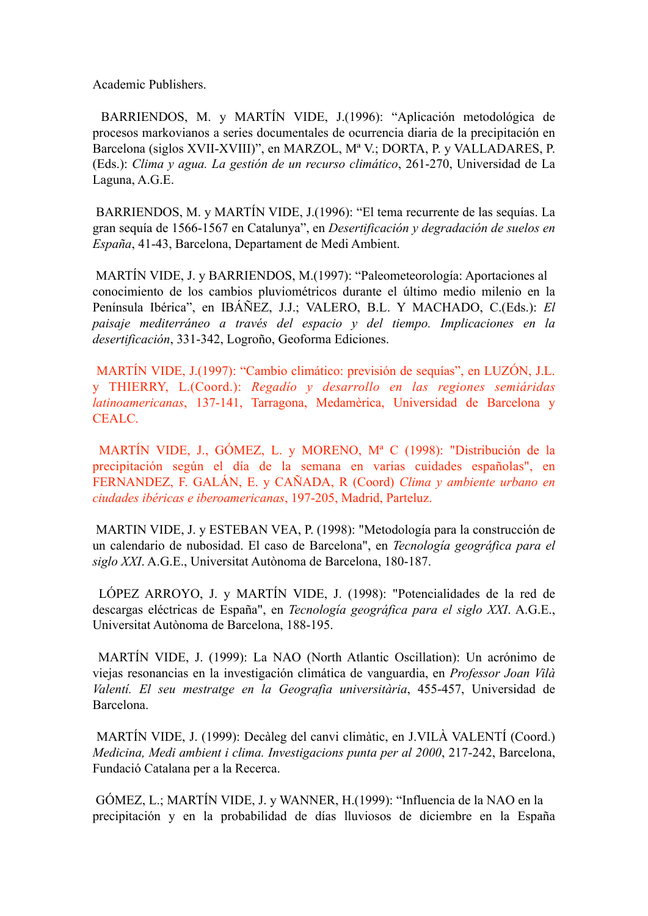Academic Publishers.

 BARRIENDOS, M. y MARTÍN VIDE, J.(1996): "Aplicación metodológica de procesos markovianos a series documentales de ocurrencia diaria de la precipitación en Barcelona (siglos XVII-XVIII)", en MARZOL, Mª V.; DORTA, P. y VALLADARES, P. (Eds.): *Clima y agua. La gestión de un recurso climático*, 261-270, Universidad de La Laguna, A.G.E.

 BARRIENDOS, M. y MARTÍN VIDE, J.(1996): "El tema recurrente de las sequías. La gran sequía de 1566-1567 en Catalunya", en *Desertificación y degradación de suelos en España*, 41-43, Barcelona, Departament de Medi Ambient.

 MARTÍN VIDE, J. y BARRIENDOS, M.(1997): "Paleometeorología: Aportaciones al conocimiento de los cambios pluviométricos durante el último medio milenio en la Península Ibérica", en IBÁÑEZ, J.J.; VALERO, B.L. Y MACHADO, C.(Eds.): *El paisaje mediterráneo a través del espacio y del tiempo. Implicaciones en la desertificación*, 331-342, Logroño, Geoforma Ediciones.

 MARTÍN VIDE, J.(1997): "Cambio climático: previsión de sequías", en LUZÓN, J.L. y THIERRY, L.(Coord.): *Regadío y desarrollo en las regiones semiáridas latinoamericanas*, 137-141, Tarragona, Medamèrica, Universidad de Barcelona y CEALC.

 MARTÍN VIDE, J., GÓMEZ, L. y MORENO, Mª C (1998): "Distribución de la precipitación según el día de la semana en varias cuidades españolas", en FERNANDEZ, F. GALÁN, E. y CAÑADA, R (Coord) *Clima y ambiente urbano en ciudades ibéricas e iberoamericanas*, 197-205, Madrid, Parteluz.

 MARTIN VIDE, J. y ESTEBAN VEA, P. (1998): "Metodología para la construcción de un calendario de nubosidad. El caso de Barcelona", en *Tecnología geográfica para el siglo XXI*. A.G.E., Universitat Autònoma de Barcelona, 180-187.

 LÓPEZ ARROYO, J. y MARTÍN VIDE, J. (1998): "Potencialidades de la red de descargas eléctricas de España", en *Tecnología geográfica para el siglo XXI*. A.G.E., Universitat Autònoma de Barcelona, 188-195.

MARTÍN VIDE, J. (1999): La NAO (North Atlantic Oscillation): Un acrónimo de viejas resonancias en la investigación climática de vanguardia, en *Professor Joan Vilà Valentí. El seu mestratge en la Geografia universitària*, 455-457, Universidad de Barcelona.

 MARTÍN VIDE, J. (1999): Decàleg del canvi climàtic, en J.VILÀ VALENTÍ (Coord.) *Medicina, Medi ambient i clima. Investigacions punta per al 2000*, 217-242, Barcelona, Fundació Catalana per a la Recerca.

 GÓMEZ, L.; MARTÍN VIDE, J. y WANNER, H.(1999): "Influencia de la NAO en la precipitación y en la probabilidad de días lluviosos de diciembre en la España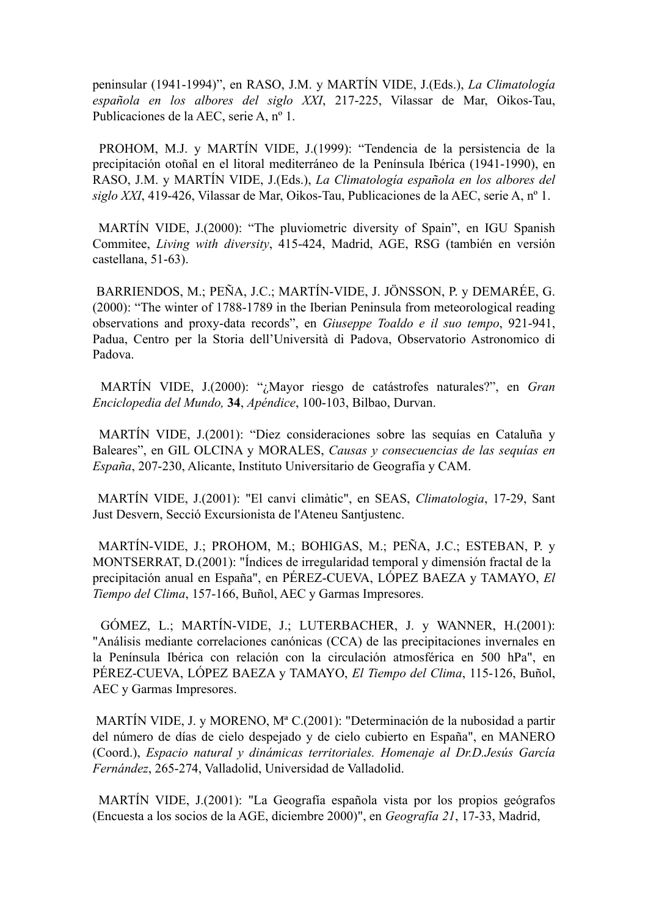peninsular (1941-1994)", en RASO, J.M. y MARTÍN VIDE, J.(Eds.), *La Climatología española en los albores del siglo XXI*, 217-225, Vilassar de Mar, Oikos-Tau, Publicaciones de la AEC, serie A, nº 1.

 PROHOM, M.J. y MARTÍN VIDE, J.(1999): "Tendencia de la persistencia de la precipitación otoñal en el litoral mediterráneo de la Península Ibérica (1941-1990), en RASO, J.M. y MARTÍN VIDE, J.(Eds.), *La Climatología española en los albores del siglo XXI*, 419-426, Vilassar de Mar, Oikos-Tau, Publicaciones de la AEC, serie A, nº 1.

 MARTÍN VIDE, J.(2000): "The pluviometric diversity of Spain", en IGU Spanish Commitee, *Living with diversity*, 415-424, Madrid, AGE, RSG (también en versión castellana, 51-63).

 BARRIENDOS, M.; PEÑA, J.C.; MARTÍN-VIDE, J. JÖNSSON, P. y DEMARÉE, G. (2000): "The winter of 1788-1789 in the Iberian Peninsula from meteorological reading observations and proxy-data records", en *Giuseppe Toaldo e il suo tempo*, 921-941, Padua, Centro per la Storia dell'Università di Padova, Observatorio Astronomico di Padova.

MARTÍN VIDE, J.(2000): "¿Mayor riesgo de catástrofes naturales?", en *Gran Enciclopedia del Mundo,* **34**, *Apéndice*, 100-103, Bilbao, Durvan.

 MARTÍN VIDE, J.(2001): "Diez consideraciones sobre las sequías en Cataluña y Baleares", en GIL OLCINA y MORALES, *Causas y consecuencias de las sequías en España*, 207-230, Alicante, Instituto Universitario de Geografía y CAM.

 MARTÍN VIDE, J.(2001): "El canvi climàtic", en SEAS, *Climatologia*, 17-29, Sant Just Desvern, Secció Excursionista de l'Ateneu Santjustenc.

 MARTÍN-VIDE, J.; PROHOM, M.; BOHIGAS, M.; PEÑA, J.C.; ESTEBAN, P. y MONTSERRAT, D.(2001): "Índices de irregularidad temporal y dimensión fractal de la precipitación anual en España", en PÉREZ-CUEVA, LÓPEZ BAEZA y TAMAYO, *El Tiempo del Clima*, 157-166, Buñol, AEC y Garmas Impresores.

 GÓMEZ, L.; MARTÍN-VIDE, J.; LUTERBACHER, J. y WANNER, H.(2001): "Análisis mediante correlaciones canónicas (CCA) de las precipitaciones invernales en la Península Ibérica con relación con la circulación atmosférica en 500 hPa", en PÉREZ-CUEVA, LÓPEZ BAEZA y TAMAYO, *El Tiempo del Clima*, 115-126, Buñol, AEC y Garmas Impresores.

 MARTÍN VIDE, J. y MORENO, Mª C.(2001): "Determinación de la nubosidad a partir del número de días de cielo despejado y de cielo cubierto en España", en MANERO (Coord.), *Espacio natural y dinámicas territoriales. Homenaje al Dr.D.Jesús García Fernández*, 265-274, Valladolid, Universidad de Valladolid.

 MARTÍN VIDE, J.(2001): "La Geografía española vista por los propios geógrafos (Encuesta a los socios de la AGE, diciembre 2000)", en *Geografía 21*, 17-33, Madrid,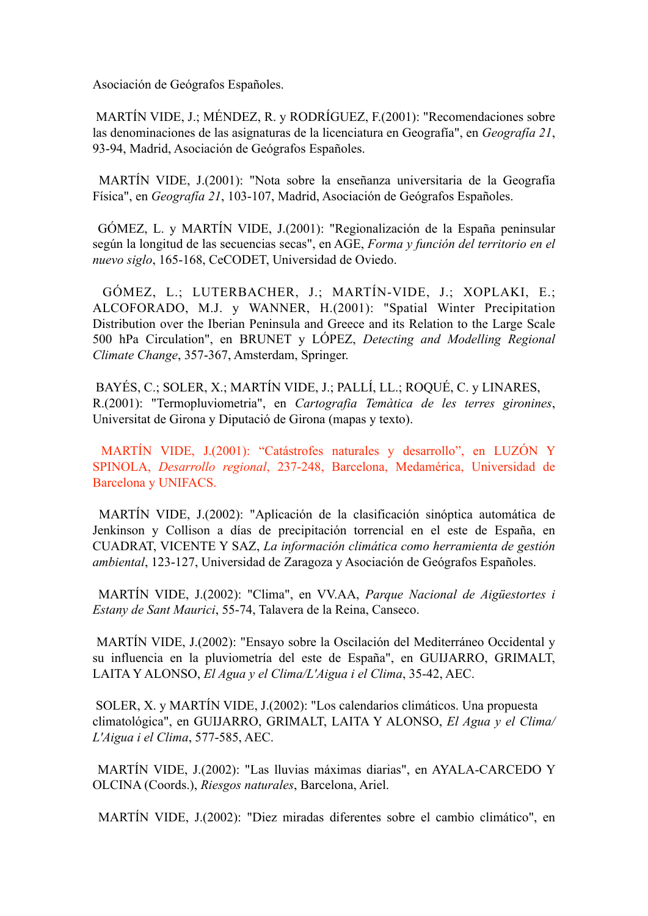Asociación de Geógrafos Españoles.

 MARTÍN VIDE, J.; MÉNDEZ, R. y RODRÍGUEZ, F.(2001): "Recomendaciones sobre las denominaciones de las asignaturas de la licenciatura en Geografía", en *Geografía 21*, 93-94, Madrid, Asociación de Geógrafos Españoles.

 MARTÍN VIDE, J.(2001): "Nota sobre la enseñanza universitaria de la Geografía Física", en *Geografía 21*, 103-107, Madrid, Asociación de Geógrafos Españoles.

 GÓMEZ, L. y MARTÍN VIDE, J.(2001): "Regionalización de la España peninsular según la longitud de las secuencias secas", en AGE, *Forma y función del territorio en el nuevo siglo*, 165-168, CeCODET, Universidad de Oviedo.

 GÓMEZ, L.; LUTERBACHER, J.; MARTÍN-VIDE, J.; XOPLAKI, E.; ALCOFORADO, M.J. y WANNER, H.(2001): "Spatial Winter Precipitation Distribution over the Iberian Peninsula and Greece and its Relation to the Large Scale 500 hPa Circulation", en BRUNET y LÓPEZ, *Detecting and Modelling Regional Climate Change*, 357-367, Amsterdam, Springer.

 BAYÉS, C.; SOLER, X.; MARTÍN VIDE, J.; PALLÍ, LL.; ROQUÉ, C. y LINARES, R.(2001): "Termopluviometria", en *Cartografia Temàtica de les terres gironines*, Universitat de Girona y Diputació de Girona (mapas y texto).

 MARTÍN VIDE, J.(2001): "Catástrofes naturales y desarrollo", en LUZÓN Y SPINOLA, *Desarrollo regional*, 237-248, Barcelona, Medamérica, Universidad de Barcelona y UNIFACS.

 MARTÍN VIDE, J.(2002): "Aplicación de la clasificación sinóptica automática de Jenkinson y Collison a días de precipitación torrencial en el este de España, en CUADRAT, VICENTE Y SAZ, *La información climática como herramienta de gestión ambiental*, 123-127, Universidad de Zaragoza y Asociación de Geógrafos Españoles.

 MARTÍN VIDE, J.(2002): "Clima", en VV.AA, *Parque Nacional de Aigüestortes i Estany de Sant Maurici*, 55-74, Talavera de la Reina, Canseco.

 MARTÍN VIDE, J.(2002): "Ensayo sobre la Oscilación del Mediterráneo Occidental y su influencia en la pluviometría del este de España", en GUIJARRO, GRIMALT, LAITA Y ALONSO, *El Agua y el Clima/L'Aigua i el Clima*, 35-42, AEC.

 SOLER, X. y MARTÍN VIDE, J.(2002): "Los calendarios climáticos. Una propuesta climatológica", en GUIJARRO, GRIMALT, LAITA Y ALONSO, *El Agua y el Clima/ L'Aigua i el Clima*, 577-585, AEC.

 MARTÍN VIDE, J.(2002): "Las lluvias máximas diarias", en AYALA-CARCEDO Y OLCINA (Coords.), *Riesgos naturales*, Barcelona, Ariel.

MARTÍN VIDE, J.(2002): "Diez miradas diferentes sobre el cambio climático", en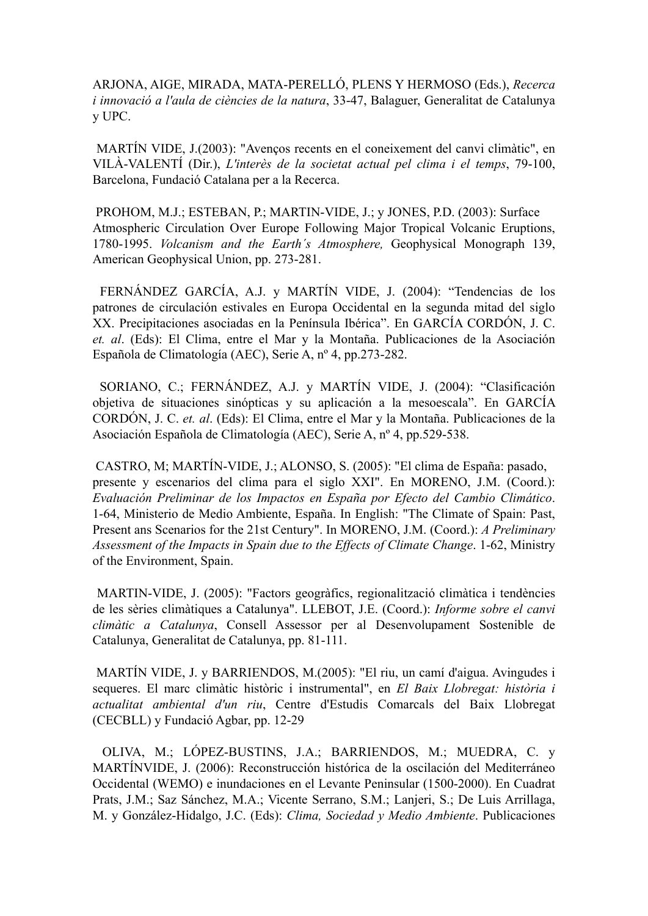ARJONA, AIGE, MIRADA, MATA-PERELLÓ, PLENS Y HERMOSO (Eds.), *Recerca i innovació a l'aula de ciències de la natura*, 33-47, Balaguer, Generalitat de Catalunya y UPC.

 MARTÍN VIDE, J.(2003): "Avenços recents en el coneixement del canvi climàtic", en VILÀ-VALENTÍ (Dir.), *L'interès de la societat actual pel clima i el temps*, 79-100, Barcelona, Fundació Catalana per a la Recerca.

 PROHOM, M.J.; ESTEBAN, P.; MARTIN-VIDE, J.; y JONES, P.D. (2003): Surface Atmospheric Circulation Over Europe Following Major Tropical Volcanic Eruptions, 1780-1995. *Volcanism and the Earth´s Atmosphere,* Geophysical Monograph 139, American Geophysical Union, pp. 273-281.

 FERNÁNDEZ GARCÍA, A.J. y MARTÍN VIDE, J. (2004): "Tendencias de los patrones de circulación estivales en Europa Occidental en la segunda mitad del siglo XX. Precipitaciones asociadas en la Península Ibérica". En GARCÍA CORDÓN, J. C. *et. al*. (Eds): El Clima, entre el Mar y la Montaña. Publicaciones de la Asociación Española de Climatología (AEC), Serie A, nº 4, pp.273-282.

 SORIANO, C.; FERNÁNDEZ, A.J. y MARTÍN VIDE, J. (2004): "Clasificación objetiva de situaciones sinópticas y su aplicación a la mesoescala". En GARCÍA CORDÓN, J. C. *et. al*. (Eds): El Clima, entre el Mar y la Montaña. Publicaciones de la Asociación Española de Climatología (AEC), Serie A, nº 4, pp.529-538.

 CASTRO, M; MARTÍN-VIDE, J.; ALONSO, S. (2005): "El clima de España: pasado, presente y escenarios del clima para el siglo XXI". En MORENO, J.M. (Coord.): *Evaluación Preliminar de los Impactos en España por Efecto del Cambio Climático*. 1-64, Ministerio de Medio Ambiente, España. In English: "The Climate of Spain: Past, Present ans Scenarios for the 21st Century". In MORENO, J.M. (Coord.): *A Preliminary Assessment of the Impacts in Spain due to the Effects of Climate Change*. 1-62, Ministry of the Environment, Spain.

 MARTIN-VIDE, J. (2005): "Factors geogràfics, regionalització climàtica i tendències de les sèries climàtiques a Catalunya". LLEBOT, J.E. (Coord.): *Informe sobre el canvi climàtic a Catalunya*, Consell Assessor per al Desenvolupament Sostenible de Catalunya, Generalitat de Catalunya, pp. 81-111.

 MARTÍN VIDE, J. y BARRIENDOS, M.(2005): "El riu, un camí d'aigua. Avingudes i sequeres. El marc climàtic històric i instrumental", en *El Baix Llobregat: història i actualitat ambiental d'un riu*, Centre d'Estudis Comarcals del Baix Llobregat (CECBLL) y Fundació Agbar, pp. 12-29

 OLIVA, M.; LÓPEZ-BUSTINS, J.A.; BARRIENDOS, M.; MUEDRA, C. y MARTÍNVIDE, J. (2006): Reconstrucción histórica de la oscilación del Mediterráneo Occidental (WEMO) e inundaciones en el Levante Peninsular (1500-2000). En Cuadrat Prats, J.M.; Saz Sánchez, M.A.; Vicente Serrano, S.M.; Lanjeri, S.; De Luis Arrillaga, M. y González-Hidalgo, J.C. (Eds): *Clima, Sociedad y Medio Ambiente*. Publicaciones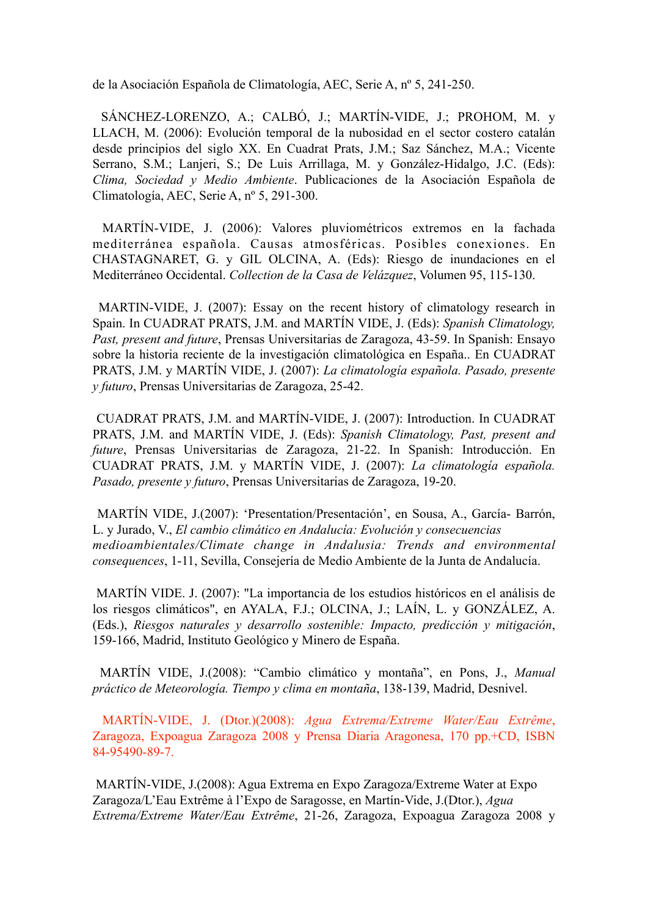de la Asociación Española de Climatología, AEC, Serie A, nº 5, 241-250.

 SÁNCHEZ-LORENZO, A.; CALBÓ, J.; MARTÍN-VIDE, J.; PROHOM, M. y LLACH, M. (2006): Evolución temporal de la nubosidad en el sector costero catalán desde principios del siglo XX. En Cuadrat Prats, J.M.; Saz Sánchez, M.A.; Vicente Serrano, S.M.; Lanjeri, S.; De Luis Arrillaga, M. y González-Hidalgo, J.C. (Eds): *Clima, Sociedad y Medio Ambiente*. Publicaciones de la Asociación Española de Climatología, AEC, Serie A, nº 5, 291-300.

 MARTÍN-VIDE, J. (2006): Valores pluviométricos extremos en la fachada mediterránea española. Causas atmosféricas. Posibles conexiones. En CHASTAGNARET, G. y GIL OLCINA, A. (Eds): Riesgo de inundaciones en el Mediterráneo Occidental. *Collection de la Casa de Velázquez*, Volumen 95, 115-130.

 MARTIN-VIDE, J. (2007): Essay on the recent history of climatology research in Spain. In CUADRAT PRATS, J.M. and MARTÍN VIDE, J. (Eds): *Spanish Climatology, Past, present and future*, Prensas Universitarias de Zaragoza, 43-59. In Spanish: Ensayo sobre la historia reciente de la investigación climatológica en España.. En CUADRAT PRATS, J.M. y MARTÍN VIDE, J. (2007): *La climatología española. Pasado, presente y futuro*, Prensas Universitarias de Zaragoza, 25-42.

 CUADRAT PRATS, J.M. and MARTÍN-VIDE, J. (2007): Introduction. In CUADRAT PRATS, J.M. and MARTÍN VIDE, J. (Eds): *Spanish Climatology, Past, present and future*, Prensas Universitarias de Zaragoza, 21-22. In Spanish: Introducción. En CUADRAT PRATS, J.M. y MARTÍN VIDE, J. (2007): *La climatología española. Pasado, presente y futuro*, Prensas Universitarias de Zaragoza, 19-20.

 MARTÍN VIDE, J.(2007): 'Presentation/Presentación', en Sousa, A., García- Barrón, L. y Jurado, V., *El cambio climático en Andalucía: Evolución y consecuencias medioambientales/Climate change in Andalusia: Trends and environmental consequences*, 1-11, Sevilla, Consejería de Medio Ambiente de la Junta de Andalucía.

 MARTÍN VIDE. J. (2007): "La importancia de los estudios históricos en el análisis de los riesgos climáticos", en AYALA, F.J.; OLCINA, J.; LAÍN, L. y GONZÁLEZ, A. (Eds.), *Riesgos naturales y desarrollo sostenible: Impacto, predicción y mitigación*, 159-166, Madrid, Instituto Geológico y Minero de España.

 MARTÍN VIDE, J.(2008): "Cambio climático y montaña", en Pons, J., *Manual práctico de Meteorología. Tiempo y clima en montaña*, 138-139, Madrid, Desnivel.

 MARTÍN-VIDE, J. (Dtor.)(2008): *Agua Extrema/Extreme Water/Eau Extrême*, Zaragoza, Expoagua Zaragoza 2008 y Prensa Diaria Aragonesa, 170 pp.+CD, ISBN 84-95490-89-7.

 MARTÍN-VIDE, J.(2008): Agua Extrema en Expo Zaragoza/Extreme Water at Expo Zaragoza/L'Eau Extrême à l'Expo de Saragosse, en Martín-Vide, J.(Dtor.), *Agua Extrema/Extreme Water/Eau Extrême*, 21-26, Zaragoza, Expoagua Zaragoza 2008 y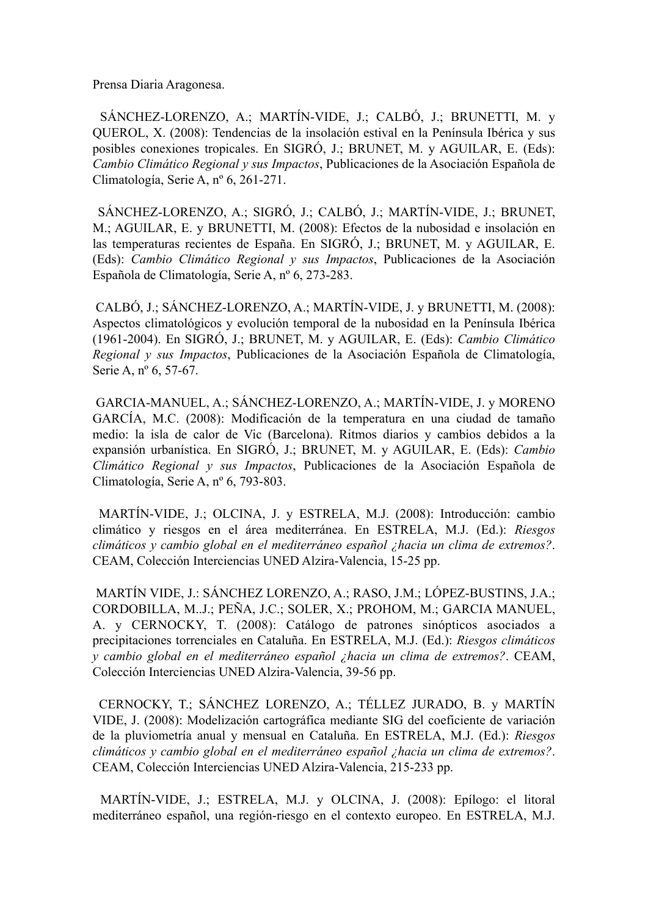Prensa Diaria Aragonesa.

 SÁNCHEZ-LORENZO, A.; MARTÍN-VIDE, J.; CALBÓ, J.; BRUNETTI, M. y QUEROL, X. (2008): Tendencias de la insolación estival en la Península Ibérica y sus posibles conexiones tropicales. En SIGRÓ, J.; BRUNET, M. y AGUILAR, E. (Eds): *Cambio Climático Regional y sus Impactos*, Publicaciones de la Asociación Española de Climatología, Serie A, nº 6, 261-271.

 SÁNCHEZ-LORENZO, A.; SIGRÓ, J.; CALBÓ, J.; MARTÍN-VIDE, J.; BRUNET, M.; AGUILAR, E. y BRUNETTI, M. (2008): Efectos de la nubosidad e insolación en las temperaturas recientes de España. En SIGRÓ, J.; BRUNET, M. y AGUILAR, E. (Eds): *Cambio Climático Regional y sus Impactos*, Publicaciones de la Asociación Española de Climatología, Serie A, nº 6, 273-283.

 CALBÓ, J.; SÁNCHEZ-LORENZO, A.; MARTÍN-VIDE, J. y BRUNETTI, M. (2008): Aspectos climatológicos y evolución temporal de la nubosidad en la Península Ibérica (1961-2004). En SIGRÓ, J.; BRUNET, M. y AGUILAR, E. (Eds): *Cambio Climático Regional y sus Impactos*, Publicaciones de la Asociación Española de Climatología, Serie A, nº 6, 57-67.

GARCIA-MANUEL, A.; SÁNCHEZ-LORENZO, A.; MARTÍN-VIDE, J. y MORENO GARCÍA, M.C. (2008): Modificación de la temperatura en una ciudad de tamaño medio: la isla de calor de Vic (Barcelona). Ritmos diarios y cambios debidos a la expansión urbanística. En SIGRÓ, J.; BRUNET, M. y AGUILAR, E. (Eds): *Cambio Climático Regional y sus Impactos*, Publicaciones de la Asociación Española de Climatología, Serie A, nº 6, 793-803.

 MARTÍN-VIDE, J.; OLCINA, J. y ESTRELA, M.J. (2008): Introducción: cambio climático y riesgos en el área mediterránea. En ESTRELA, M.J. (Ed.): *Riesgos climáticos y cambio global en el mediterráneo español ¿hacia un clima de extremos?*. CEAM, Colección Interciencias UNED Alzira-Valencia, 15-25 pp.

 MARTÍN VIDE, J.: SÁNCHEZ LORENZO, A.; RASO, J.M.; LÓPEZ-BUSTINS, J.A.; CORDOBILLA, M..J.; PEÑA, J.C.; SOLER, X.; PROHOM, M.; GARCIA MANUEL, A. y CERNOCKY, T. (2008): Catálogo de patrones sinópticos asociados a precipitaciones torrenciales en Cataluña. En ESTRELA, M.J. (Ed.): *Riesgos climáticos y cambio global en el mediterráneo español ¿hacia un clima de extremos?*. CEAM, Colección Interciencias UNED Alzira-Valencia, 39-56 pp.

 CERNOCKY, T.; SÁNCHEZ LORENZO, A.; TÉLLEZ JURADO, B. y MARTÍN VIDE, J. (2008): Modelización cartográfica mediante SIG del coeficiente de variación de la pluviometría anual y mensual en Cataluña. En ESTRELA, M.J. (Ed.): *Riesgos climáticos y cambio global en el mediterráneo español ¿hacia un clima de extremos?*. CEAM, Colección Interciencias UNED Alzira-Valencia, 215-233 pp.

 MARTÍN-VIDE, J.; ESTRELA, M.J. y OLCINA, J. (2008): Epílogo: el litoral mediterráneo español, una región-riesgo en el contexto europeo. En ESTRELA, M.J.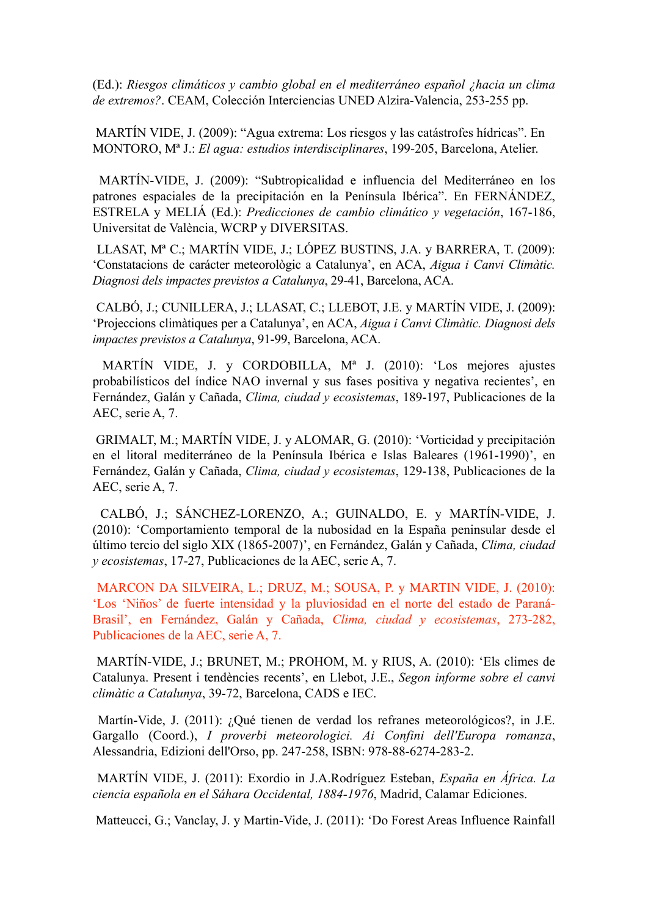(Ed.): *Riesgos climáticos y cambio global en el mediterráneo español ¿hacia un clima de extremos?*. CEAM, Colección Interciencias UNED Alzira-Valencia, 253-255 pp.

 MARTÍN VIDE, J. (2009): "Agua extrema: Los riesgos y las catástrofes hídricas". En MONTORO, Mª J.: *El agua: estudios interdisciplinares*, 199-205, Barcelona, Atelier.

 MARTÍN-VIDE, J. (2009): "Subtropicalidad e influencia del Mediterráneo en los patrones espaciales de la precipitación en la Península Ibérica". En FERNÁNDEZ, ESTRELA y MELIÁ (Ed.): *Predicciones de cambio climático y vegetación*, 167-186, Universitat de València, WCRP y DIVERSITAS.

LLASAT, Mª C.; MARTÍN VIDE, J.; LÓPEZ BUSTINS, J.A. y BARRERA, T. (2009): ['Constatacions de carácter meteorològic a Catalunya'](http://aca-web.gencat.cat/aca/documents/ca/publicacions/escenaris_climatics/capitol1_lowress.pdf%22%20%5Ct%20%22_blank), en ACA, *Aigua i Canvi Climàtic. Diagnosi dels impactes previstos a Catalunya*, 29-41, Barcelona, ACA.

CALBÓ, J.; CUNILLERA, J.; LLASAT, C.; LLEBOT, J.E. y MARTÍN VIDE, J. (2009): 'Projeccions climàtiques per a Catalunya', en ACA, *Aigua i Canvi Climàtic. Diagnosi dels impactes previstos a Catalunya*, 91-99, Barcelona, ACA.

 MARTÍN VIDE, J. y CORDOBILLA, Mª J. (2010): 'Los mejores ajustes probabilísticos del índice NAO invernal y sus fases positiva y negativa recientes', en Fernández, Galán y Cañada, *Clima, ciudad y ecosistemas*, 189-197, Publicaciones de la AEC, serie A, 7.

 GRIMALT, M.; MARTÍN VIDE, J. y ALOMAR, G. (2010): 'Vorticidad y precipitación en el litoral mediterráneo de la Península Ibérica e Islas Baleares (1961-1990)', en Fernández, Galán y Cañada, *Clima, ciudad y ecosistemas*, 129-138, Publicaciones de la AEC, serie A, 7.

 CALBÓ, J.; SÁNCHEZ-LORENZO, A.; GUINALDO, E. y MARTÍN-VIDE, J. (2010): 'Comportamiento temporal de la nubosidad en la España peninsular desde el último tercio del siglo XIX (1865-2007)', en Fernández, Galán y Cañada, *Clima, ciudad y ecosistemas*, 17-27, Publicaciones de la AEC, serie A, 7.

 MARCON DA SILVEIRA, L.; DRUZ, M.; SOUSA, P. y MARTIN VIDE, J. (2010): 'Los 'Niños' de fuerte intensidad y la pluviosidad en el norte del estado de Paraná-Brasil', en Fernández, Galán y Cañada, *Clima, ciudad y ecosistemas*, 273-282, Publicaciones de la AEC, serie A, 7.

MARTÍN-VIDE, J.; BRUNET, M.; PROHOM, M. y RIUS, A. (2010): 'Els climes de Catalunya. Present i tendències recents', en Llebot, J.E., *Segon informe sobre el canvi climàtic a Catalunya*, 39-72, Barcelona, CADS e IEC.

Martín-Vide, J. (2011): ¿Qué tienen de verdad los refranes meteorológicos?, in J.E. Gargallo (Coord.), *I proverbi meteorologici. Ai Confini dell'Europa romanza*, Alessandria, Edizioni dell'Orso, pp. 247-258, ISBN: 978-88-6274-283-2.

 MARTÍN VIDE, J. (2011): Exordio in J.A.Rodríguez Esteban, *España en África. La ciencia española en el Sáhara Occidental, 1884-1976*, Madrid, Calamar Ediciones.

Matteucci, G.; Vanclay, J. y Martin-Vide, J. (2011): 'Do Forest Areas Influence Rainfall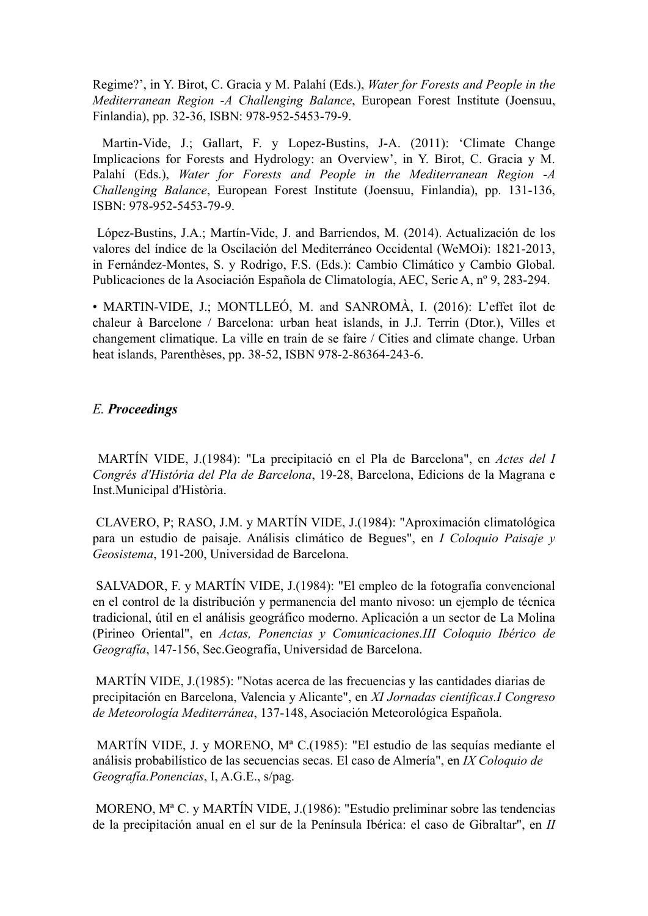Regime?', in Y. Birot, C. Gracia y M. Palahí (Eds.), *Water for Forests and People in the Mediterranean Region -A Challenging Balance*, European Forest Institute (Joensuu, Finlandia), pp. 32-36, ISBN: 978-952-5453-79-9.

Martin-Vide, J.; Gallart, F. y Lopez-Bustins, J-A. (2011): 'Climate Change Implicacions for Forests and Hydrology: an Overview', in Y. Birot, C. Gracia y M. Palahí (Eds.), *Water for Forests and People in the Mediterranean Region -A Challenging Balance*, European Forest Institute (Joensuu, Finlandia), pp. 131-136, ISBN: 978-952-5453-79-9.

López-Bustins, J.A.; Martín-Vide, J. and Barriendos, M. (2014). Actualización de los valores del índice de la Oscilación del Mediterráneo Occidental (WeMOi): 1821-2013, in Fernández-Montes, S. y Rodrigo, F.S. (Eds.): Cambio Climático y Cambio Global. Publicaciones de la Asociación Española de Climatología, AEC, Serie A, nº 9, 283-294.

• MARTIN-VIDE, J.: MONTLLEÓ, M. and SANROMÀ, I. (2016): L'effet îlot de chaleur à Barcelone / Barcelona: urban heat islands, in J.J. Terrin (Dtor.), Villes et changement climatique. La ville en train de se faire / Cities and climate change. Urban heat islands, Parenthèses, pp. 38-52, ISBN 978-2-86364-243-6.

## *E. Proceedings*

MARTÍN VIDE, J.(1984): "La precipitació en el Pla de Barcelona", en *Actes del I Congrés d'História del Pla de Barcelona*, 19-28, Barcelona, Edicions de la Magrana e Inst.Municipal d'Història.

CLAVERO, P; RASO, J.M. y MARTÍN VIDE, J.(1984): "Aproximación climatológica para un estudio de paisaje. Análisis climático de Begues", en *I Coloquio Paisaje y Geosistema*, 191-200, Universidad de Barcelona.

SALVADOR, F. y MARTÍN VIDE, J.(1984): "El empleo de la fotografía convencional en el control de la distribución y permanencia del manto nivoso: un ejemplo de técnica tradicional, útil en el análisis geográfico moderno. Aplicación a un sector de La Molina (Pirineo Oriental", en *Actas, Ponencias y Comunicaciones.III Coloquio Ibérico de Geografía*, 147-156, Sec.Geografía, Universidad de Barcelona.

MARTÍN VIDE, J.(1985): "Notas acerca de las frecuencias y las cantidades diarias de precipitación en Barcelona, Valencia y Alicante", en *XI Jornadas científicas.I Congreso de Meteorología Mediterránea*, 137-148, Asociación Meteorológica Española.

MARTÍN VIDE, J. y MORENO, Mª C.(1985): "El estudio de las sequías mediante el análisis probabilístico de las secuencias secas. El caso de Almería", en *IX Coloquio de Geografía.Ponencias*, I, A.G.E., s/pag.

MORENO, Mª C. y MARTÍN VIDE, J.(1986): "Estudio preliminar sobre las tendencias de la precipitación anual en el sur de la Península Ibérica: el caso de Gibraltar", en *II*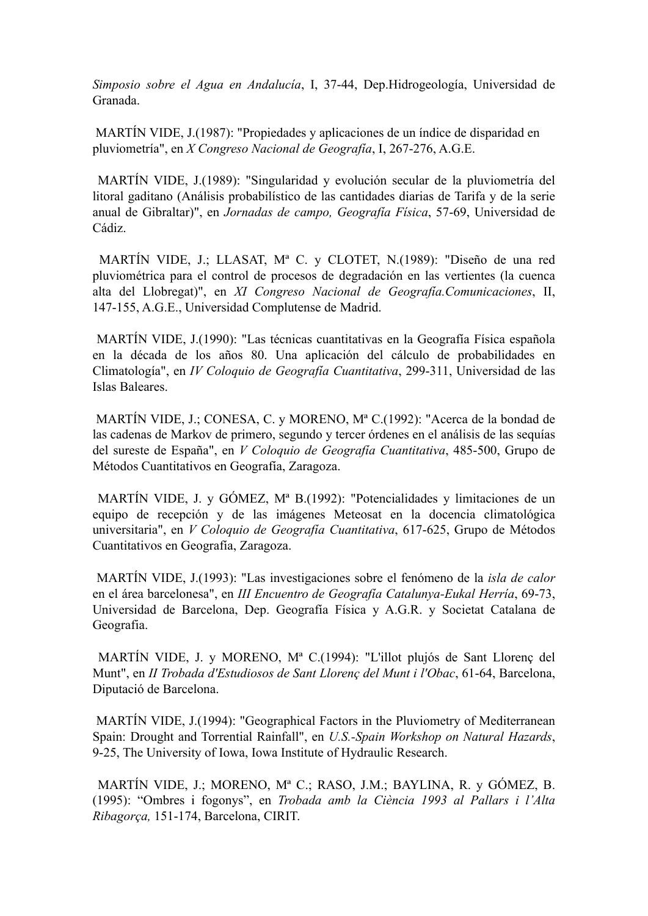*Simposio sobre el Agua en Andalucía*, I, 37-44, Dep.Hidrogeología, Universidad de Granada.

MARTÍN VIDE, J.(1987): "Propiedades y aplicaciones de un índice de disparidad en pluviometría", en *X Congreso Nacional de Geografía*, I, 267-276, A.G.E.

MARTÍN VIDE, J.(1989): "Singularidad y evolución secular de la pluviometría del litoral gaditano (Análisis probabilístico de las cantidades diarias de Tarifa y de la serie anual de Gibraltar)", en *Jornadas de campo, Geografía Física*, 57-69, Universidad de Cádiz.

MARTÍN VIDE, J.; LLASAT, Mª C. y CLOTET, N.(1989): "Diseño de una red pluviométrica para el control de procesos de degradación en las vertientes (la cuenca alta del Llobregat)", en *XI Congreso Nacional de Geografía.Comunicaciones*, II, 147-155, A.G.E., Universidad Complutense de Madrid.

MARTÍN VIDE, J.(1990): "Las técnicas cuantitativas en la Geografía Física española en la década de los años 80. Una aplicación del cálculo de probabilidades en Climatología", en *IV Coloquio de Geografía Cuantitativa*, 299-311, Universidad de las Islas Baleares.

MARTÍN VIDE, J.; CONESA, C. y MORENO, Mª C.(1992): "Acerca de la bondad de las cadenas de Markov de primero, segundo y tercer órdenes en el análisis de las sequías del sureste de España", en *V Coloquio de Geografía Cuantitativa*, 485-500, Grupo de Métodos Cuantitativos en Geografía, Zaragoza.

MARTÍN VIDE, J. y GÓMEZ, Mª B.(1992): "Potencialidades y limitaciones de un equipo de recepción y de las imágenes Meteosat en la docencia climatológica universitaria", en *V Coloquio de Geografía Cuantitativa*, 617-625, Grupo de Métodos Cuantitativos en Geografía, Zaragoza.

MARTÍN VIDE, J.(1993): "Las investigaciones sobre el fenómeno de la *isla de calor*  en el área barcelonesa", en *III Encuentro de Geografía Catalunya-Eukal Herría*, 69-73, Universidad de Barcelona, Dep. Geografía Física y A.G.R. y Societat Catalana de Geografia.

MARTÍN VIDE, J. y MORENO, Mª C.(1994): "L'illot plujós de Sant Llorenç del Munt", en *II Trobada d'Estudiosos de Sant Llorenç del Munt i l'Obac*, 61-64, Barcelona, Diputació de Barcelona.

MARTÍN VIDE, J.(1994): "Geographical Factors in the Pluviometry of Mediterranean Spain: Drought and Torrential Rainfall", en *U.S.-Spain Workshop on Natural Hazards*, 9-25, The University of Iowa, Iowa Institute of Hydraulic Research.

MARTÍN VIDE, J.; MORENO, Mª C.; RASO, J.M.; BAYLINA, R. y GÓMEZ, B. (1995): "Ombres i fogonys", en *Trobada amb la Ciència 1993 al Pallars i l'Alta Ribagorça,* 151-174, Barcelona, CIRIT.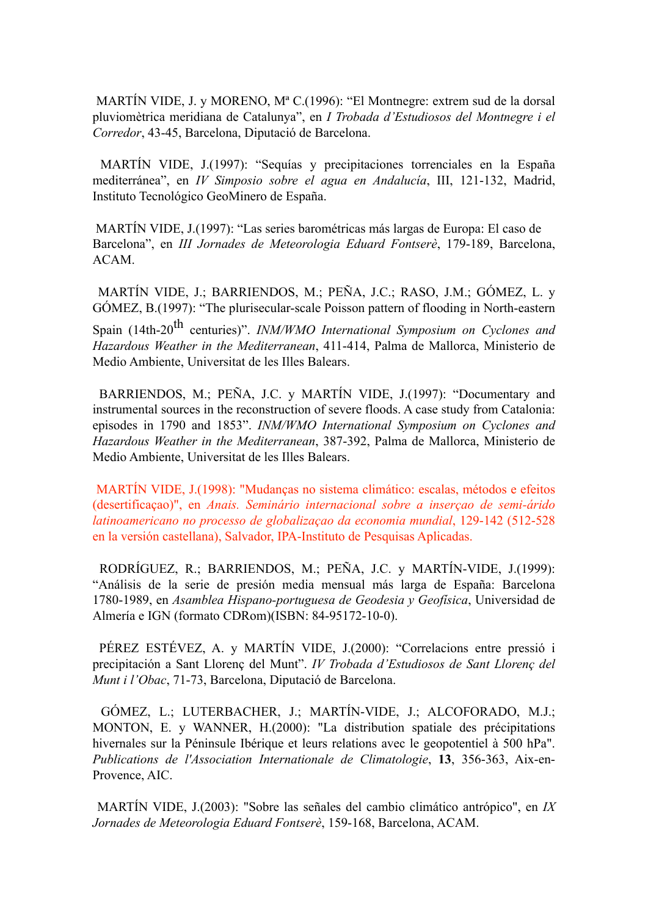MARTÍN VIDE, J. y MORENO, Mª C.(1996): "El Montnegre: extrem sud de la dorsal pluviomètrica meridiana de Catalunya", en *I Trobada d'Estudiosos del Montnegre i el Corredor*, 43-45, Barcelona, Diputació de Barcelona.

 MARTÍN VIDE, J.(1997): "Sequías y precipitaciones torrenciales en la España mediterránea", en *IV Simposio sobre el agua en Andalucía*, III, 121-132, Madrid, Instituto Tecnológico GeoMinero de España.

 MARTÍN VIDE, J.(1997): "Las series barométricas más largas de Europa: El caso de Barcelona", en *III Jornades de Meteorologia Eduard Fontserè*, 179-189, Barcelona, ACAM.

 MARTÍN VIDE, J.; BARRIENDOS, M.; PEÑA, J.C.; RASO, J.M.; GÓMEZ, L. y GÓMEZ, B.(1997): "The plurisecular-scale Poisson pattern of flooding in North-eastern

Spain (14th-20<sup>th</sup> centuries)". *INM/WMO International Symposium on Cyclones and Hazardous Weather in the Mediterranean*, 411-414, Palma de Mallorca, Ministerio de Medio Ambiente, Universitat de les Illes Balears.

 BARRIENDOS, M.; PEÑA, J.C. y MARTÍN VIDE, J.(1997): "Documentary and instrumental sources in the reconstruction of severe floods. A case study from Catalonia: episodes in 1790 and 1853". *INM/WMO International Symposium on Cyclones and Hazardous Weather in the Mediterranean*, 387-392, Palma de Mallorca, Ministerio de Medio Ambiente, Universitat de les Illes Balears.

 MARTÍN VIDE, J.(1998): "Mudanças no sistema climático: escalas, métodos e efeitos (desertificaçao)", en *Anais. Seminário internacional sobre a inserçao de semi-árido latinoamericano no processo de globalizaçao da economia mundial*, 129-142 (512-528 en la versión castellana), Salvador, IPA-Instituto de Pesquisas Aplicadas.

 RODRÍGUEZ, R.; BARRIENDOS, M.; PEÑA, J.C. y MARTÍN-VIDE, J.(1999): "Análisis de la serie de presión media mensual más larga de España: Barcelona 1780-1989, en *Asamblea Hispano-portuguesa de Geodesia y Geofísica*, Universidad de Almería e IGN (formato CDRom)(ISBN: 84-95172-10-0).

 PÉREZ ESTÉVEZ, A. y MARTÍN VIDE, J.(2000): "Correlacions entre pressió i precipitación a Sant Llorenç del Munt". *IV Trobada d'Estudiosos de Sant Llorenç del Munt i l'Obac*, 71-73, Barcelona, Diputació de Barcelona.

 GÓMEZ, L.; LUTERBACHER, J.; MARTÍN-VIDE, J.; ALCOFORADO, M.J.; MONTON, E. y WANNER, H.(2000): "La distribution spatiale des précipitations hivernales sur la Péninsule Ibérique et leurs relations avec le geopotentiel à 500 hPa". *Publications de l'Association Internationale de Climatologie*, **13**, 356-363, Aix-en-Provence, AIC.

 MARTÍN VIDE, J.(2003): "Sobre las señales del cambio climático antrópico", en *IX Jornades de Meteorologia Eduard Fontserè*, 159-168, Barcelona, ACAM.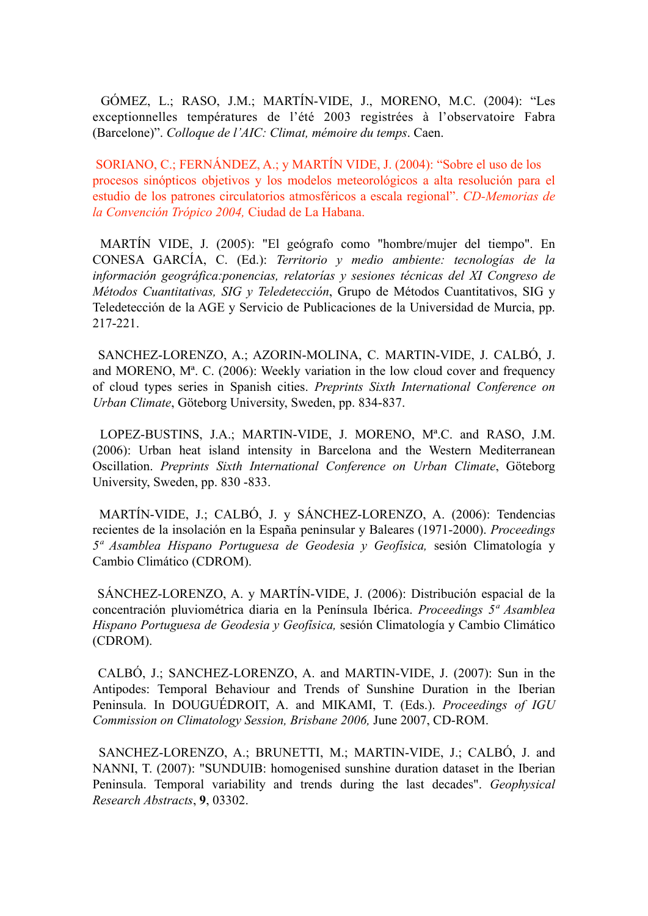GÓMEZ, L.; RASO, J.M.; MARTÍN-VIDE, J., MORENO, M.C. (2004): "Les exceptionnelles températures de l'été 2003 registrées à l'observatoire Fabra (Barcelone)". *Colloque de l'AIC: Climat, mémoire du temps*. Caen.

 SORIANO, C.; FERNÁNDEZ, A.; y MARTÍN VIDE, J. (2004): "Sobre el uso de los procesos sinópticos objetivos y los modelos meteorológicos a alta resolución para el estudio de los patrones circulatorios atmosféricos a escala regional". *CD-Memorias de la Convención Trópico 2004,* Ciudad de La Habana.

 MARTÍN VIDE, J. (2005): "El geógrafo como "hombre/mujer del tiempo". En CONESA GARCÍA, C. (Ed.): *Territorio y medio ambiente: tecnologías de la información geográfica:ponencias, relatorías y sesiones técnicas del XI Congreso de Métodos Cuantitativas, SIG y Teledetección*, Grupo de Métodos Cuantitativos, SIG y Teledetección de la AGE y Servicio de Publicaciones de la Universidad de Murcia, pp. 217-221.

 SANCHEZ-LORENZO, A.; AZORIN-MOLINA, C. MARTIN-VIDE, J. CALBÓ, J. and MORENO, Mª. C. (2006): Weekly variation in the low cloud cover and frequency of cloud types series in Spanish cities. *Preprints Sixth International Conference on Urban Climate*, Göteborg University, Sweden, pp. 834-837.

 LOPEZ-BUSTINS, J.A.; MARTIN-VIDE, J. MORENO, Mª.C. and RASO, J.M. (2006): Urban heat island intensity in Barcelona and the Western Mediterranean Oscillation. *Preprints Sixth International Conference on Urban Climate*, Göteborg University, Sweden, pp. 830 -833.

 MARTÍN-VIDE, J.; CALBÓ, J. y SÁNCHEZ-LORENZO, A. (2006): Tendencias recientes de la insolación en la España peninsular y Baleares (1971-2000). *Proceedings 5ª Asamblea Hispano Portuguesa de Geodesia y Geofísica,* sesión Climatología y Cambio Climático (CDROM).

 SÁNCHEZ-LORENZO, A. y MARTÍN-VIDE, J. (2006): Distribución espacial de la concentración pluviométrica diaria en la Península Ibérica. *Proceedings 5ª Asamblea Hispano Portuguesa de Geodesia y Geofísica,* sesión Climatología y Cambio Climático (CDROM).

 CALBÓ, J.; SANCHEZ-LORENZO, A. and MARTIN-VIDE, J. (2007): Sun in the Antipodes: Temporal Behaviour and Trends of Sunshine Duration in the Iberian Peninsula. In DOUGUÉDROIT, A. and MIKAMI, T. (Eds.). *Proceedings of IGU Commission on Climatology Session, Brisbane 2006,* June 2007, CD-ROM.

 SANCHEZ-LORENZO, A.; BRUNETTI, M.; MARTIN-VIDE, J.; CALBÓ, J. and NANNI, T. (2007): "SUNDUIB: homogenised sunshine duration dataset in the Iberian Peninsula. Temporal variability and trends during the last decades". *Geophysical Research Abstracts*, **9**, 03302.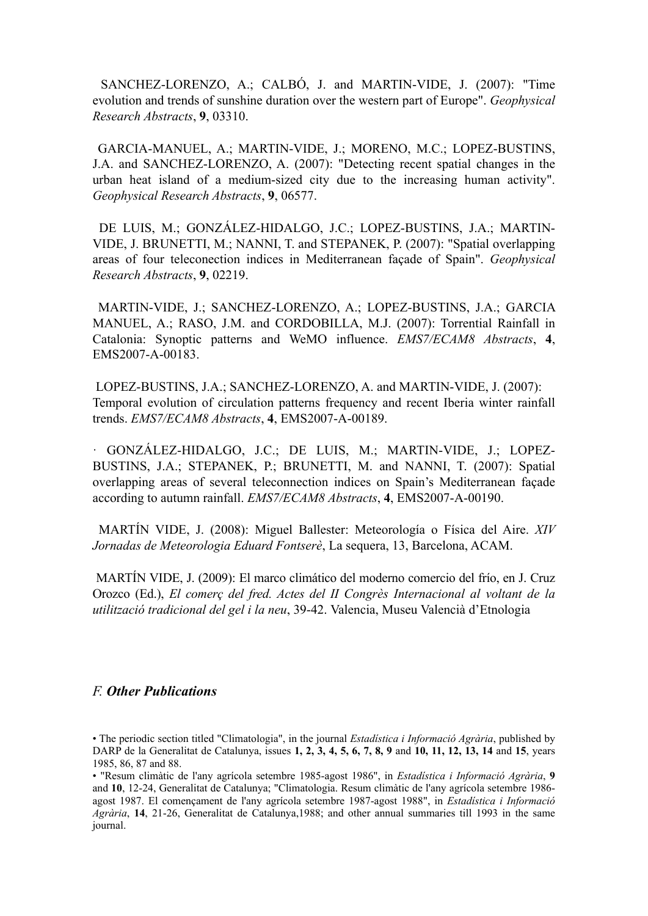SANCHEZ-LORENZO, A.; CALBÓ, J. and MARTIN-VIDE, J. (2007): "Time evolution and trends of sunshine duration over the western part of Europe". *Geophysical Research Abstracts*, **9**, 03310.

GARCIA-MANUEL, A.; MARTIN-VIDE, J.; MORENO, M.C.; LOPEZ-BUSTINS, J.A. and SANCHEZ-LORENZO, A. (2007): "Detecting recent spatial changes in the urban heat island of a medium-sized city due to the increasing human activity". *Geophysical Research Abstracts*, **9**, 06577.

 DE LUIS, M.; GONZÁLEZ-HIDALGO, J.C.; LOPEZ-BUSTINS, J.A.; MARTIN-VIDE, J. BRUNETTI, M.; NANNI, T. and STEPANEK, P. (2007): "Spatial overlapping areas of four teleconection indices in Mediterranean façade of Spain". *Geophysical Research Abstracts*, **9**, 02219.

 MARTIN-VIDE, J.; SANCHEZ-LORENZO, A.; LOPEZ-BUSTINS, J.A.; GARCIA MANUEL, A.; RASO, J.M. and CORDOBILLA, M.J. (2007): Torrential Rainfall in Catalonia: Synoptic patterns and WeMO influence. *EMS7/ECAM8 Abstracts*, **4**, EMS2007-A-00183.

 LOPEZ-BUSTINS, J.A.; SANCHEZ-LORENZO, A. and MARTIN-VIDE, J. (2007): Temporal evolution of circulation patterns frequency and recent Iberia winter rainfall trends. *EMS7/ECAM8 Abstracts*, **4**, EMS2007-A-00189.

· GONZÁLEZ-HIDALGO, J.C.; DE LUIS, M.; MARTIN-VIDE, J.; LOPEZ-BUSTINS, J.A.; STEPANEK, P.; BRUNETTI, M. and NANNI, T. (2007): Spatial overlapping areas of several teleconnection indices on Spain's Mediterranean façade according to autumn rainfall. *EMS7/ECAM8 Abstracts*, **4**, EMS2007-A-00190.

 MARTÍN VIDE, J. (2008): Miguel Ballester: Meteorología o Física del Aire. *XIV Jornadas de Meteorologia Eduard Fontserè*, La sequera, 13, Barcelona, ACAM.

 MARTÍN VIDE, J. (2009): El marco climático del moderno comercio del frío, en J. Cruz Orozco (Ed.), *El comerç del fred. Actes del II Congrès Internacional al voltant de la utilització tradicional del gel i la neu*, 39-42. Valencia, Museu Valencià d'Etnologia

#### *F. Other Publications*

<sup>•</sup> The periodic section titled "Climatologia", in the journal *Estadística i Informació Agrària*, published by DARP de la Generalitat de Catalunya, issues **1, 2, 3, 4, 5, 6, 7, 8, 9** and **10, 11, 12, 13, 14** and **15**, years 1985, 86, 87 and 88.

<sup>• &</sup>quot;Resum climàtic de l'any agrícola setembre 1985-agost 1986", in *Estadística i Informació Agrària*, **9**  and **10**, 12-24, Generalitat de Catalunya; "Climatologia. Resum climàtic de l'any agrícola setembre 1986 agost 1987. El començament de l'any agrícola setembre 1987-agost 1988", in *Estadística i Informació Agrària*, **14**, 21-26, Generalitat de Catalunya,1988; and other annual summaries till 1993 in the same journal.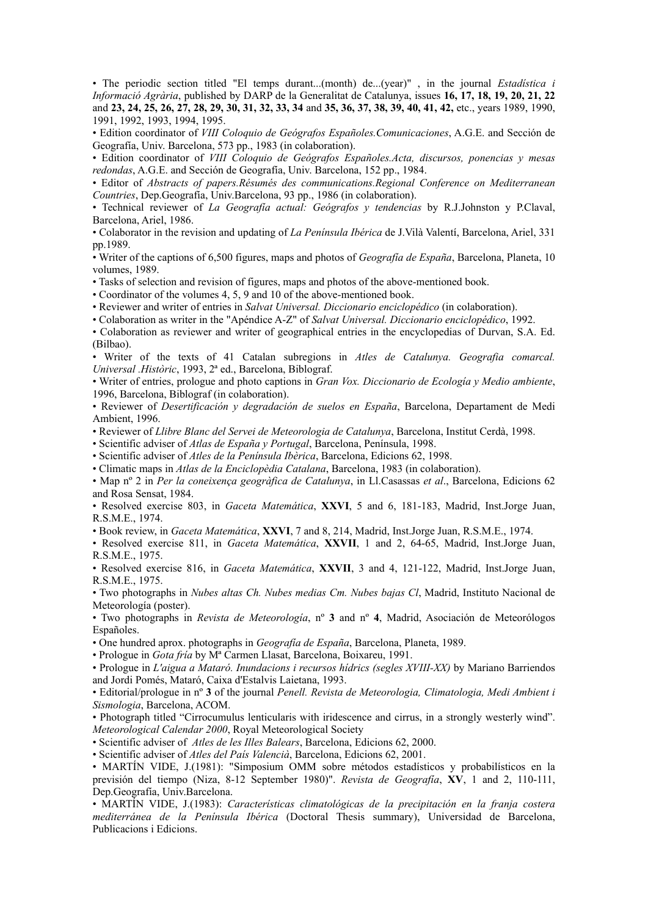• The periodic section titled "El temps durant...(month) de...(year)" , in the journal *Estadística i Informació Agrària*, published by DARP de la Generalitat de Catalunya, issues **16, 17, 18, 19, 20, 21, 22**  and **23, 24, 25, 26, 27, 28, 29, 30, 31, 32, 33, 34** and **35, 36, 37, 38, 39, 40, 41, 42,** etc., years 1989, 1990, 1991, 1992, 1993, 1994, 1995.

• Edition coordinator of *VIII Coloquio de Geógrafos Españoles.Comunicaciones*, A.G.E. and Sección de Geografía, Univ. Barcelona, 573 pp., 1983 (in colaboration).

• Edition coordinator of *VIII Coloquio de Geógrafos Españoles.Acta, discursos, ponencias y mesas redondas*, A.G.E. and Sección de Geografía, Univ. Barcelona, 152 pp., 1984.

• Editor of *Abstracts of papers.Résumés des communications.Regional Conference on Mediterranean Countries*, Dep.Geografía, Univ.Barcelona, 93 pp., 1986 (in colaboration).

• Technical reviewer of *La Geografía actual: Geógrafos y tendencias* by R.J.Johnston y P.Claval, Barcelona, Ariel, 1986.

• Colaborator in the revision and updating of *La Península Ibérica* de J.Vilà Valentí, Barcelona, Ariel, 331 pp.1989.

• Writer of the captions of 6,500 figures, maps and photos of *Geografía de España*, Barcelona, Planeta, 10 volumes, 1989.

• Tasks of selection and revision of figures, maps and photos of the above-mentioned book.

• Coordinator of the volumes 4, 5, 9 and 10 of the above-mentioned book.

• Reviewer and writer of entries in *Salvat Universal. Diccionario enciclopédico* (in colaboration).

• Colaboration as writer in the "Apéndice A-Z" of *Salvat Universal. Diccionario enciclopédico*, 1992.

• Colaboration as reviewer and writer of geographical entries in the encyclopedias of Durvan, S.A. Ed. (Bilbao).

• Writer of the texts of 41 Catalan subregions in *Atles de Catalunya. Geografia comarcal. Universal .Històric*, 1993, 2ª ed., Barcelona, Biblograf.

• Writer of entries, prologue and photo captions in *Gran Vox. Diccionario de Ecología y Medio ambiente*, 1996, Barcelona, Biblograf (in colaboration).

• Reviewer of *Desertificación y degradación de suelos en España*, Barcelona, Departament de Medi Ambient, 1996.

• Reviewer of *Llibre Blanc del Servei de Meteorologia de Catalunya*, Barcelona, Institut Cerdà, 1998.

• Scientific adviser of *Atlas de España y Portugal*, Barcelona, Península, 1998.

• Scientific adviser of *Atles de la Península Ibèrica*, Barcelona, Edicions 62, 1998.

• Climatic maps in *Atlas de la Enciclopèdia Catalana*, Barcelona, 1983 (in colaboration).

• Map nº 2 in *Per la coneixença geogràfica de Catalunya*, in Ll.Casassas *et al*., Barcelona, Edicions 62 and Rosa Sensat, 1984.

• Resolved exercise 803, in *Gaceta Matemática*, **XXVI**, 5 and 6, 181-183, Madrid, Inst.Jorge Juan, R.S.M.E., 1974.

• Book review, in *Gaceta Matemática*, **XXVI**, 7 and 8, 214, Madrid, Inst.Jorge Juan, R.S.M.E., 1974.

• Resolved exercise 811, in *Gaceta Matemática*, **XXVII**, 1 and 2, 64-65, Madrid, Inst.Jorge Juan, R.S.M.E., 1975.

• Resolved exercise 816, in *Gaceta Matemática*, **XXVII**, 3 and 4, 121-122, Madrid, Inst.Jorge Juan, R.S.M.E., 1975.

• Two photographs in *Nubes altas Ch. Nubes medias Cm. Nubes bajas Cl*, Madrid, Instituto Nacional de Meteorología (poster).

• Two photographs in *Revista de Meteorología*, nº **3** and nº **4**, Madrid, Asociación de Meteorólogos Españoles.

• One hundred aprox. photographs in *Geografía de España*, Barcelona, Planeta, 1989.

• Prologue in *Gota fría* by Mª Carmen Llasat, Barcelona, Boixareu, 1991.

• Prologue in *L'aigua a Mataró. Inundacions i recursos hídrics (segles XVIII-XX)* by Mariano Barriendos and Jordi Pomés, Mataró, Caixa d'Estalvis Laietana, 1993.

• Editorial/prologue in nº **3** of the journal *Penell. Revista de Meteorologia, Climatologia, Medi Ambient i Sismologia*, Barcelona, ACOM.

• Photograph titled "Cirrocumulus lenticularis with iridescence and cirrus, in a strongly westerly wind". *Meteorological Calendar 2000*, Royal Meteorological Society

• Scientific adviser of *Atles de les Illes Balears*, Barcelona, Edicions 62, 2000.

• Scientific adviser of *Atles del País Valencià*, Barcelona, Edicions 62, 2001.

• MARTÍN VIDE, J.(1981): "Simposium OMM sobre métodos estadísticos y probabilísticos en la previsión del tiempo (Niza, 8-12 September 1980)". *Revista de Geografía*, **XV**, 1 and 2, 110-111, Dep.Geografía, Univ.Barcelona.

• MARTÍN VIDE, J.(1983): *Características climatológicas de la precipitación en la franja costera mediterránea de la Península Ibérica* (Doctoral Thesis summary), Universidad de Barcelona, Publicacions i Edicions.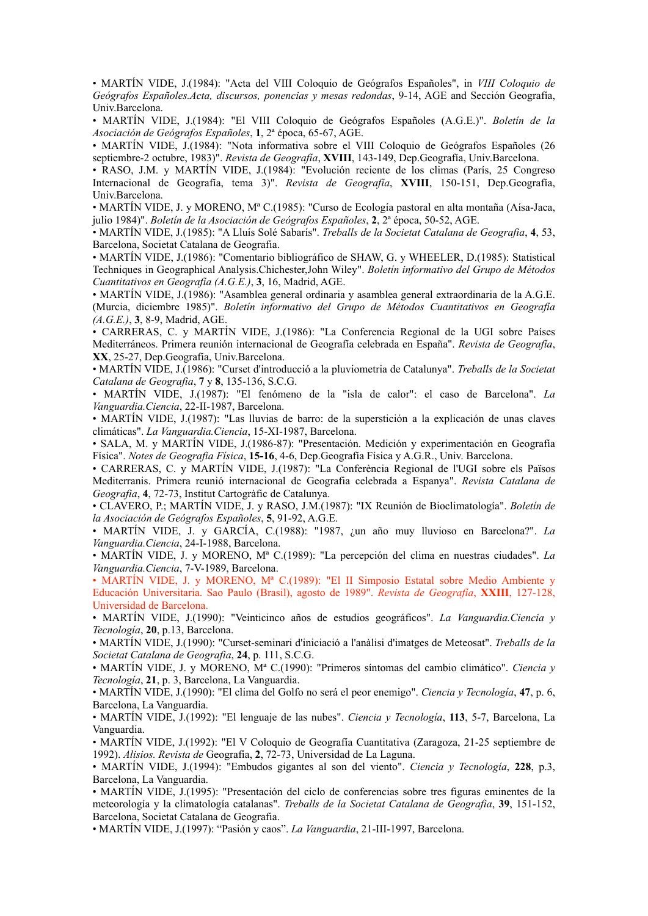• MARTÍN VIDE, J.(1984): "Acta del VIII Coloquio de Geógrafos Españoles", in *VIII Coloquio de Geógrafos Españoles.Acta, discursos, ponencias y mesas redondas*, 9-14, AGE and Sección Geografía, Univ.Barcelona.

• MARTÍN VIDE, J.(1984): "El VIII Coloquio de Geógrafos Españoles (A.G.E.)". *Boletín de la Asociación de Geógrafos Españoles*, **1**, 2ª época, 65-67, AGE.

• MARTÍN VIDE, J.(1984): "Nota informativa sobre el VIII Coloquio de Geógrafos Españoles (26 septiembre-2 octubre, 1983)". *Revista de Geografía*, **XVIII**, 143-149, Dep.Geografía, Univ.Barcelona.

• RASO, J.M. y MARTÍN VIDE, J.(1984): "Evolución reciente de los climas (París, 25 Congreso Internacional de Geografía, tema 3)". *Revista de Geografía*, **XVIII**, 150-151, Dep.Geografía, Univ.Barcelona.

• MARTÍN VIDE, J. y MORENO, Mª C.(1985): "Curso de Ecología pastoral en alta montaña (Aísa-Jaca, julio 1984)". *Boletín de la Asociación de Geógrafos Españoles*, **2**, 2ª época, 50-52, AGE.

• MARTÍN VIDE, J.(1985): "A Lluís Solé Sabarís". *Treballs de la Societat Catalana de Geografia*, **4**, 53, Barcelona, Societat Catalana de Geografia.

• MARTÍN VIDE, J.(1986): "Comentario bibliográfico de SHAW, G. y WHEELER, D.(1985): Statistical Techniques in Geographical Analysis.Chichester,John Wiley". *Boletín informativo del Grupo de Métodos Cuantitativos en Geografía (A.G.E.)*, **3**, 16, Madrid, AGE.

• MARTÍN VIDE, J.(1986): "Asamblea general ordinaria y asamblea general extraordinaria de la A.G.E. (Murcia, diciembre 1985)". *Boletín informativo del Grupo de Métodos Cuantitativos en Geografía (A.G.E.)*, **3**, 8-9, Madrid, AGE.

• CARRERAS, C. y MARTÍN VIDE, J.(1986): "La Conferencia Regional de la UGI sobre Países Mediterráneos. Primera reunión internacional de Geografía celebrada en España". *Revista de Geografía*, **XX**, 25-27, Dep.Geografía, Univ.Barcelona.

• MARTÍN VIDE, J.(1986): "Curset d'introducció a la pluviometria de Catalunya". *Treballs de la Societat Catalana de Geografia*, **7** y **8**, 135-136, S.C.G.

• MARTÍN VIDE, J.(1987): "El fenómeno de la "isla de calor": el caso de Barcelona". *La Vanguardia.Ciencia*, 22-II-1987, Barcelona.

• MARTÍN VIDE, J.(1987): "Las lluvias de barro: de la superstición a la explicación de unas claves climáticas". *La Vanguardia.Ciencia*, 15-XI-1987, Barcelona.

• SALA, M. y MARTÍN VIDE, J.(1986-87): "Presentación. Medición y experimentación en Geografía Física". *Notes de Geografia Física*, **15-16**, 4-6, Dep.Geografía Física y A.G.R., Univ. Barcelona.

• CARRERAS, C. y MARTÍN VIDE, J.(1987): "La Conferència Regional de l'UGI sobre els Països Mediterranis. Primera reunió internacional de Geografia celebrada a Espanya". *Revista Catalana de Geografia*, **4**, 72-73, Institut Cartogràfic de Catalunya.

• CLAVERO, P.; MARTÍN VIDE, J. y RASO, J.M.(1987): "IX Reunión de Bioclimatología". *Boletín de la Asociación de Geógrafos Españoles*, **5**, 91-92, A.G.E.

• MARTÍN VIDE, J. y GARCÍA, C.(1988): "1987, ¿un año muy lluvioso en Barcelona?". *La Vanguardia.Ciencia*, 24-I-1988, Barcelona.

• MARTÍN VIDE, J. y MORENO, Mª C.(1989): "La percepción del clima en nuestras ciudades". *La Vanguardia.Ciencia*, 7-V-1989, Barcelona.

• MARTÍN VIDE, J. y MORENO, Mª C.(1989): "El II Simposio Estatal sobre Medio Ambiente y Educación Universitaria. Sao Paulo (Brasil), agosto de 1989". *Revista de Geografía*, **XXIII**, 127-128, Universidad de Barcelona.

• MARTÍN VIDE, J.(1990): "Veinticinco años de estudios geográficos". *La Vanguardia.Ciencia y Tecnología*, **20**, p.13, Barcelona.

• MARTÍN VIDE, J.(1990): "Curset-seminari d'iniciació a l'anàlisi d'imatges de Meteosat". *Treballs de la Societat Catalana de Geografia*, **24**, p. 111, S.C.G.

• MARTÍN VIDE, J. y MORENO, Mª C.(1990): "Primeros síntomas del cambio climático". *Ciencia y Tecnología*, **21**, p. 3, Barcelona, La Vanguardia.

• MARTÍN VIDE, J.(1990): "El clima del Golfo no será el peor enemigo". *Ciencia y Tecnología*, **47**, p. 6, Barcelona, La Vanguardia.

• MARTÍN VIDE, J.(1992): "El lenguaje de las nubes". *Ciencia y Tecnología*, **113**, 5-7, Barcelona, La Vanguardia.

• MARTÍN VIDE, J.(1992): "El V Coloquio de Geografía Cuantitativa (Zaragoza, 21-25 septiembre de 1992). *Alisios. Revista de* Geografía, **2**, 72-73, Universidad de La Laguna.

• MARTÍN VIDE, J.(1994): "Embudos gigantes al son del viento". *Ciencia y Tecnología*, **228**, p.3, Barcelona, La Vanguardia.

• MARTÍN VIDE, J.(1995): "Presentación del ciclo de conferencias sobre tres figuras eminentes de la meteorología y la climatología catalanas". *Treballs de la Societat Catalana de Geografia*, **39**, 151-152, Barcelona, Societat Catalana de Geografia.

• MARTÍN VIDE, J.(1997): "Pasión y caos". *La Vanguardia*, 21-III-1997, Barcelona.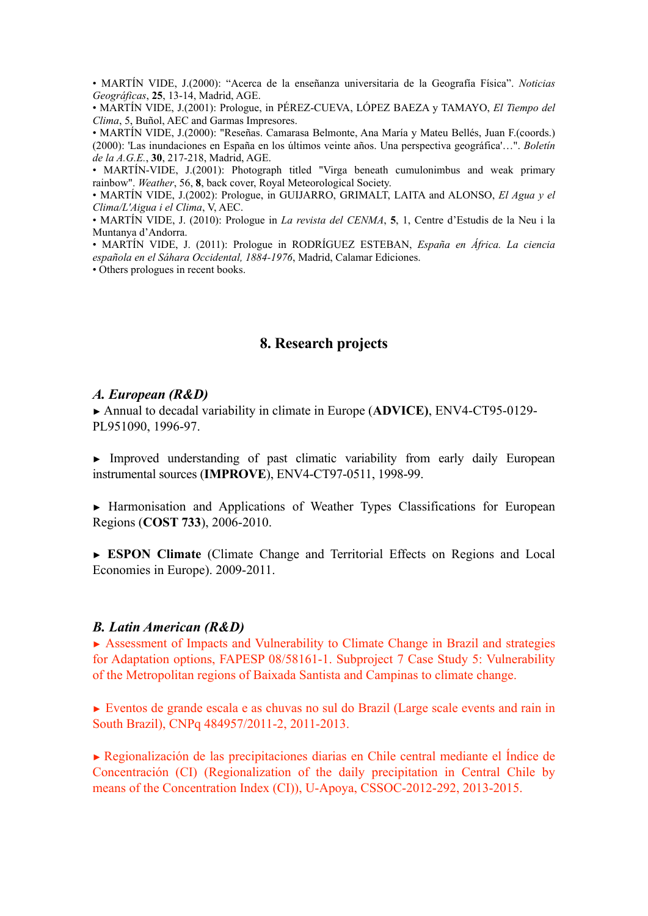• MARTÍN VIDE, J.(2000): "Acerca de la enseñanza universitaria de la Geografía Física". *Noticias Geográficas*, **25**, 13-14, Madrid, AGE.

• MARTÍN VIDE, J.(2001): Prologue, in PÉREZ-CUEVA, LÓPEZ BAEZA y TAMAYO, *El Tiempo del Clima*, 5, Buñol, AEC and Garmas Impresores.

• MARTÍN VIDE, J.(2000): "Reseñas. Camarasa Belmonte, Ana María y Mateu Bellés, Juan F.(coords.) (2000): 'Las inundaciones en España en los últimos veinte años. Una perspectiva geográfica'…". *Boletín de la A.G.E.*, **30**, 217-218, Madrid, AGE.

• MARTÍN-VIDE, J.(2001): Photograph titled "Virga beneath cumulonimbus and weak primary rainbow". *Weather*, 56, **8**, back cover, Royal Meteorological Society.

• MARTÍN VIDE, J.(2002): Prologue, in GUIJARRO, GRIMALT, LAITA and ALONSO, *El Agua y el Clima/L'Aigua i el Clima*, V, AEC.

• MARTÍN VIDE, J. (2010): Prologue in *La revista del CENMA*, **5**, 1, Centre d'Estudis de la Neu i la Muntanya d'Andorra.

• MARTÍN VIDE, J. (2011): Prologue in RODRÍGUEZ ESTEBAN, *España en África. La ciencia española en el Sáhara Occidental, 1884-1976*, Madrid, Calamar Ediciones.

• Others prologues in recent books.

## **8. Research projects**

#### *A. European (R&D)*

► Annual to decadal variability in climate in Europe (**ADVICE)**, ENV4-CT95-0129- PL951090, 1996-97.

► Improved understanding of past climatic variability from early daily European instrumental sources (**IMPROVE**), ENV4-CT97-0511, 1998-99.

[►](http://www.cost733.org/) [H](http://www.cost733.org/)[armonisation and Applications of Weather Types Classifications for European](http://www.cost733.org/%22%20%5Ct%20%22_blank) [Regions](http://www.cost733.org/%22%20%5Ct%20%22_blank) (**COST 733**), 2006-2010.

► **ESPON Climate** (Climate Change and Territorial Effects on Regions and Local Economies in Europe). 2009-2011.

#### *B. Latin American (R&D)*

► Assessment of Impacts and Vulnerability to Climate Change in Brazil and strategies for Adaptation options, FAPESP 08/58161-1. Subproject 7 Case Study 5: Vulnerability of the Metropolitan regions of Baixada Santista and Campinas to climate change.

**►** Eventos de grande escala e as chuvas no sul do Brazil (Large scale events and rain in South Brazil), CNPq 484957/2011-2, 2011-2013.

**►** Regionalización de las precipitaciones diarias en Chile central mediante el Índice de Concentración (CI) (Regionalization of the daily precipitation in Central Chile by means of the Concentration Index (CI)), U-Apoya, CSSOC-2012-292, 2013-2015.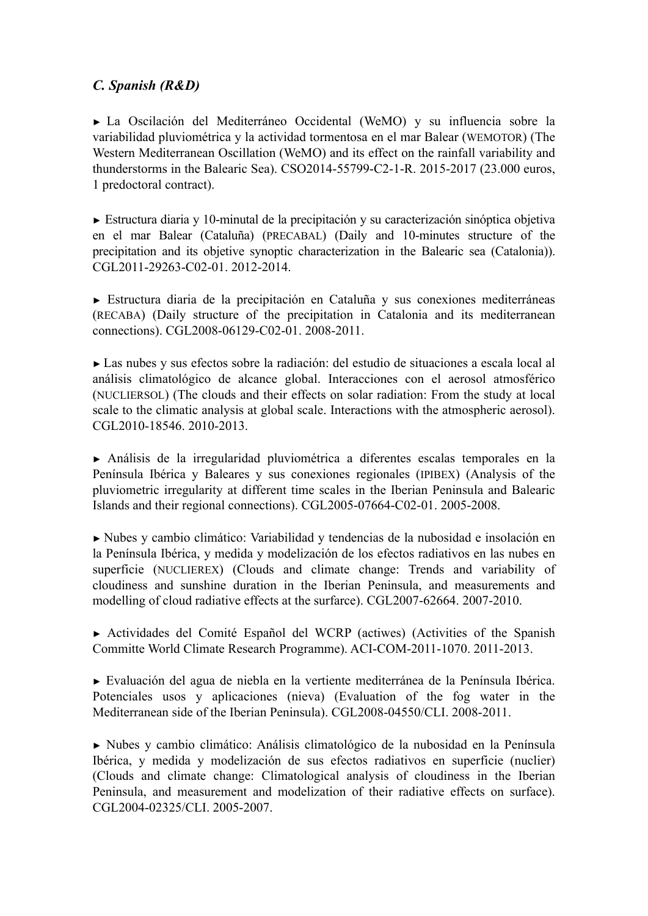# *C. Spanish (R&D)*

► La Oscilación del Mediterráneo Occidental (WeMO) y su influencia sobre la variabilidad pluviométrica y la actividad tormentosa en el mar Balear (WEMOTOR) (The Western Mediterranean Oscillation (WeMO) and its effect on the rainfall variability and thunderstorms in the Balearic Sea). CSO2014-55799-C2-1-R. 2015-2017 (23.000 euros, 1 predoctoral contract).

► Estructura diaria y 10-minutal de la precipitación y su caracterización sinóptica objetiva en el mar Balear (Cataluña) (PRECABAL) (Daily and 10-minutes structure of the precipitation and its objetive synoptic characterization in the Balearic sea (Catalonia)). CGL2011-29263-C02-01. 2012-2014.

► Estructura diaria de la precipitación en Cataluña y sus conexiones mediterráneas (RECABA) (Daily structure of the precipitation in Catalonia and its mediterranean connections). CGL2008-06129-C02-01. 2008-2011.

► Las nubes y sus efectos sobre la radiación: del estudio de situaciones a escala local al análisis climatológico de alcance global. Interacciones con el aerosol atmosférico (NUCLIERSOL) (The clouds and their effects on solar radiation: From the study at local scale to the climatic analysis at global scale. Interactions with the atmospheric aerosol). CGL2010-18546. 2010-2013.

► Análisis de la irregularidad pluviométrica a diferentes escalas temporales en la Península Ibérica y Baleares y sus conexiones regionales (IPIBEX) (Analysis of the pluviometric irregularity at different time scales in the Iberian Peninsula and Balearic Islands and their regional connections). CGL2005-07664-C02-01. 2005-2008.

► Nubes y cambio climático: Variabilidad y tendencias de la nubosidad e insolación en la Península Ibérica, y medida y modelización de los efectos radiativos en las nubes en superficie (NUCLIEREX) (Clouds and climate change: Trends and variability of cloudiness and sunshine duration in the Iberian Peninsula, and measurements and modelling of cloud radiative effects at the surfarce). CGL2007-62664. 2007-2010.

► Actividades del Comité Español del WCRP (actiwes) (Activities of the Spanish Committe World Climate Research Programme). ACI-COM-2011-1070. 2011-2013.

► Evaluación del agua de niebla en la vertiente mediterránea de la Península Ibérica. Potenciales usos y aplicaciones (nieva) (Evaluation of the fog water in the Mediterranean side of the Iberian Peninsula). CGL2008-04550/CLI. 2008-2011.

► Nubes y cambio climático: Análisis climatológico de la nubosidad en la Península Ibérica, y medida y modelización de sus efectos radiativos en superficie (nuclier) (Clouds and climate change: Climatological analysis of cloudiness in the Iberian Peninsula, and measurement and modelization of their radiative effects on surface). CGL2004-02325/CLI. 2005-2007.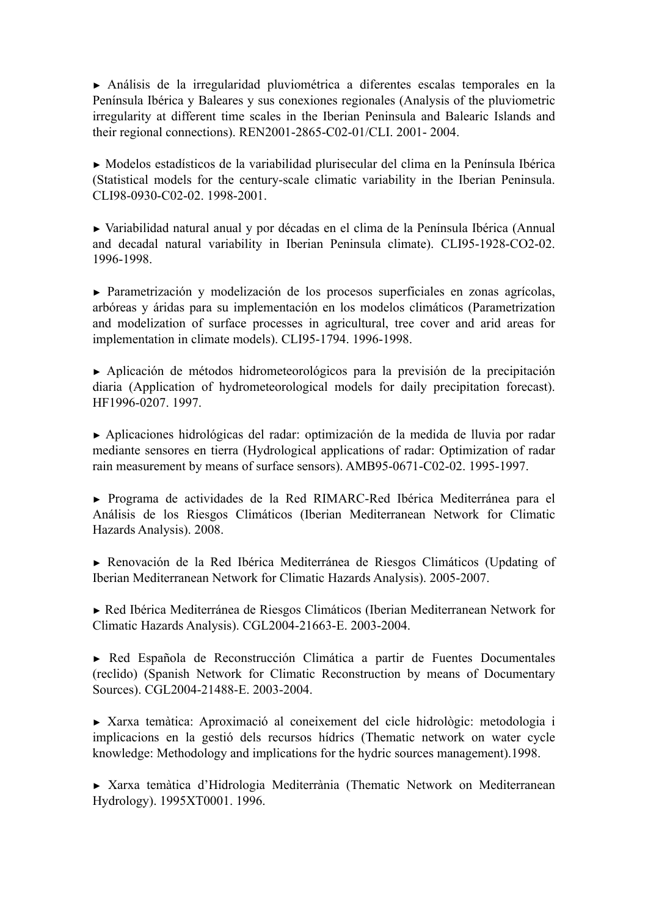► Análisis de la irregularidad pluviométrica a diferentes escalas temporales en la Península Ibérica y Baleares y sus conexiones regionales (Analysis of the pluviometric irregularity at different time scales in the Iberian Peninsula and Balearic Islands and their regional connections). REN2001-2865-C02-01/CLI. 2001- 2004.

► Modelos estadísticos de la variabilidad plurisecular del clima en la Península Ibérica (Statistical models for the century-scale climatic variability in the Iberian Peninsula. CLI98-0930-C02-02. 1998-2001.

► Variabilidad natural anual y por décadas en el clima de la Península Ibérica (Annual and decadal natural variability in Iberian Peninsula climate). CLI95-1928-CO2-02. 1996-1998.

► Parametrización y modelización de los procesos superficiales en zonas agrícolas, arbóreas y áridas para su implementación en los modelos climáticos (Parametrization and modelization of surface processes in agricultural, tree cover and arid areas for implementation in climate models). CLI95-1794. 1996-1998.

► Aplicación de métodos hidrometeorológicos para la previsión de la precipitación diaria (Application of hydrometeorological models for daily precipitation forecast). HF1996-0207. 1997.

► Aplicaciones hidrológicas del radar: optimización de la medida de lluvia por radar mediante sensores en tierra (Hydrological applications of radar: Optimization of radar rain measurement by means of surface sensors). AMB95-0671-C02-02. 1995-1997.

► Programa de actividades de la Red RIMARC-Red Ibérica Mediterránea para el Análisis de los Riesgos Climáticos (Iberian Mediterranean Network for Climatic Hazards Analysis). 2008.

► Renovación de la Red Ibérica Mediterránea de Riesgos Climáticos (Updating of Iberian Mediterranean Network for Climatic Hazards Analysis). 2005-2007.

► Red Ibérica Mediterránea de Riesgos Climáticos (Iberian Mediterranean Network for Climatic Hazards Analysis). CGL2004-21663-E. 2003-2004.

► Red Española de Reconstrucción Climática a partir de Fuentes Documentales (reclido) (Spanish Network for Climatic Reconstruction by means of Documentary Sources). CGL2004-21488-E. 2003-2004.

► Xarxa temàtica: Aproximació al coneixement del cicle hidrològic: metodologia i implicacions en la gestió dels recursos hídrics (Thematic network on water cycle knowledge: Methodology and implications for the hydric sources management).1998.

► Xarxa temàtica d'Hidrologia Mediterrània (Thematic Network on Mediterranean Hydrology). 1995XT0001. 1996.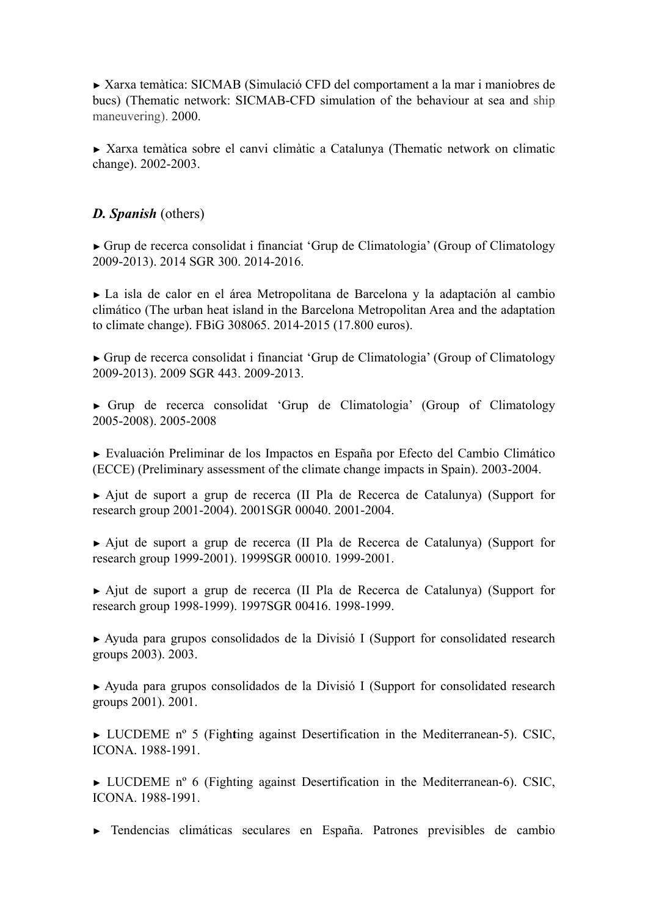► Xarxa temàtica: SICMAB (Simulació CFD del comportament a la mar i maniobres de bucs) (Thematic network: SICMAB-CFD simulation of the behaviour at sea and ship maneuvering). 2000.

► Xarxa temàtica sobre el canvi climàtic a Catalunya (Thematic network on climatic change). 2002-2003.

# *D. Spanish* (others)

► Grup de recerca consolidat i financiat 'Grup de Climatologia' (Group of Climatology 2009-2013). 2014 SGR 300. 2014-2016.

► La isla de calor en el área Metropolitana de Barcelona y la adaptación al cambio climático (The urban heat island in the Barcelona Metropolitan Area and the adaptation to climate change). FBiG 308065. 2014-2015 (17.800 euros).

► Grup de recerca consolidat i financiat 'Grup de Climatologia' (Group of Climatology 2009-2013). 2009 SGR 443. 2009-2013.

► Grup de recerca consolidat 'Grup de Climatologia' (Group of Climatology 2005-2008). 2005-2008

► Evaluación Preliminar de los Impactos en España por Efecto del Cambio Climático (ECCE) (Preliminary assessment of the climate change impacts in Spain). 2003-2004.

► Ajut de suport a grup de recerca (II Pla de Recerca de Catalunya) (Support for research group 2001-2004). 2001SGR 00040. 2001-2004.

► Ajut de suport a grup de recerca (II Pla de Recerca de Catalunya) (Support for research group 1999-2001). 1999SGR 00010. 1999-2001.

► Ajut de suport a grup de recerca (II Pla de Recerca de Catalunya) (Support for research group 1998-1999). 1997SGR 00416. 1998-1999.

► Ayuda para grupos consolidados de la Divisió I (Support for consolidated research groups 2003). 2003.

► Ayuda para grupos consolidados de la Divisió I (Support for consolidated research groups 2001). 2001.

► LUCDEME nº 5 (Figh**t**ing against Desertification in the Mediterranean-5). CSIC, ICONA. 1988-1991.

► LUCDEME nº 6 (Fighting against Desertification in the Mediterranean-6). CSIC, ICONA. 1988-1991.

► Tendencias climáticas seculares en España. Patrones previsibles de cambio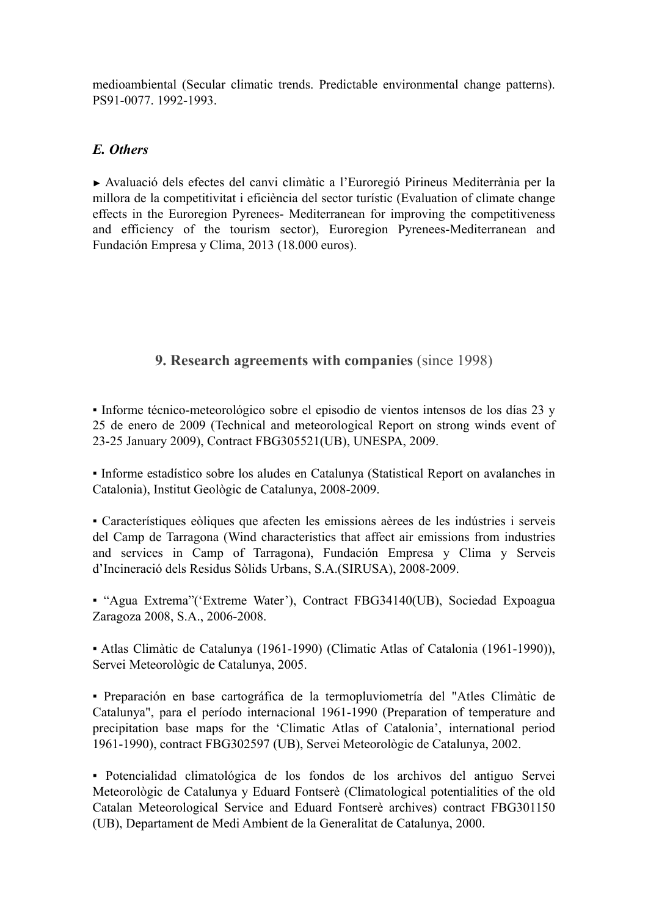medioambiental (Secular climatic trends. Predictable environmental change patterns). PS91-0077. 1992-1993.

## *E. Others*

► Avaluació dels efectes del canvi climàtic a l'Euroregió Pirineus Mediterrània per la millora de la competitivitat i eficiència del sector turístic (Evaluation of climate change effects in the Euroregion Pyrenees- Mediterranean for improving the competitiveness and efficiency of the tourism sector), Euroregion Pyrenees-Mediterranean and Fundación Empresa y Clima, 2013 (18.000 euros).

# **9. Research agreements with companies** (since 1998)

▪ Informe técnico-meteorológico sobre el episodio de vientos intensos de los días 23 y 25 de enero de 2009 (Technical and meteorological Report on strong winds event of 23-25 January 2009), Contract FBG305521(UB), UNESPA, 2009.

▪ Informe estadístico sobre los aludes en Catalunya (Statistical Report on avalanches in Catalonia), Institut Geològic de Catalunya, 2008-2009.

▪ Característiques eòliques que afecten les emissions aèrees de les indústries i serveis del Camp de Tarragona (Wind characteristics that affect air emissions from industries and services in Camp of Tarragona), Fundación Empresa y Clima y Serveis d'Incineració dels Residus Sòlids Urbans, S.A.(SIRUSA), 2008-2009.

▪ "Agua Extrema"('Extreme Water'), Contract FBG34140(UB), Sociedad Expoagua Zaragoza 2008, S.A., 2006-2008.

▪ Atlas Climàtic de Catalunya (1961-1990) (Climatic Atlas of Catalonia (1961-1990)), Servei Meteorològic de Catalunya, 2005.

▪ Preparación en base cartográfica de la termopluviometría del "Atles Climàtic de Catalunya", para el período internacional 1961-1990 (Preparation of temperature and precipitation base maps for the 'Climatic Atlas of Catalonia', international period 1961-1990), contract FBG302597 (UB), Servei Meteorològic de Catalunya, 2002.

▪ Potencialidad climatológica de los fondos de los archivos del antiguo Servei Meteorològic de Catalunya y Eduard Fontserè (Climatological potentialities of the old Catalan Meteorological Service and Eduard Fontserè archives) contract FBG301150 (UB), Departament de Medi Ambient de la Generalitat de Catalunya, 2000.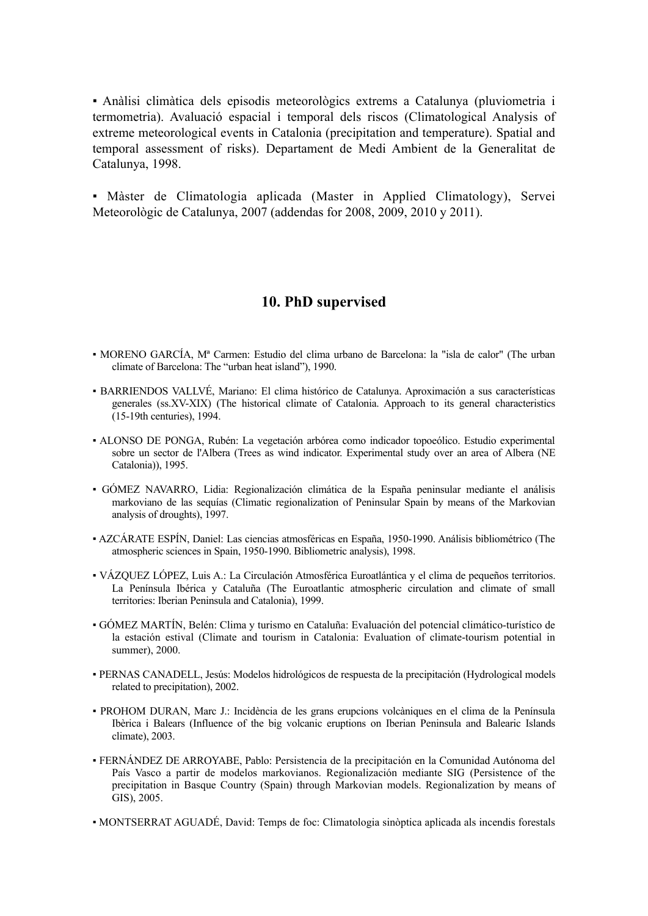▪ Anàlisi climàtica dels episodis meteorològics extrems a Catalunya (pluviometria i termometria). Avaluació espacial i temporal dels riscos (Climatological Analysis of extreme meteorological events in Catalonia (precipitation and temperature). Spatial and temporal assessment of risks). Departament de Medi Ambient de la Generalitat de Catalunya, 1998.

▪ Màster de Climatologia aplicada (Master in Applied Climatology), Servei Meteorològic de Catalunya, 2007 (addendas for 2008, 2009, 2010 y 2011).

#### **10. PhD supervised**

- MORENO GARCÍA, Mª Carmen: Estudio del clima urbano de Barcelona: la "isla de calor" (The urban climate of Barcelona: The "urban heat island"), 1990.
- BARRIENDOS VALLVÉ, Mariano: El clima histórico de Catalunya. Aproximación a sus características generales (ss.XV-XIX) (The historical climate of Catalonia. Approach to its general characteristics (15-19th centuries), 1994.
- ALONSO DE PONGA, Rubén: La vegetación arbórea como indicador topoeólico. Estudio experimental sobre un sector de l'Albera (Trees as wind indicator. Experimental study over an area of Albera (NE Catalonia)), 1995.
- GÓMEZ NAVARRO, Lidia: Regionalización climática de la España peninsular mediante el análisis markoviano de las sequías (Climatic regionalization of Peninsular Spain by means of the Markovian analysis of droughts), 1997.
- AZCÁRATE ESPÍN, Daniel: Las ciencias atmosféricas en España, 1950-1990. Análisis bibliométrico (The atmospheric sciences in Spain, 1950-1990. Bibliometric analysis), 1998.
- VÁZQUEZ LÓPEZ, Luis A.: La Circulación Atmosférica Euroatlántica y el clima de pequeños territorios. La Península Ibérica y Cataluña (The Euroatlantic atmospheric circulation and climate of small territories: Iberian Peninsula and Catalonia), 1999.
- GÓMEZ MARTÍN, Belén: Clima y turismo en Cataluña: Evaluación del potencial climático-turístico de la estación estival (Climate and tourism in Catalonia: Evaluation of climate-tourism potential in summer), 2000.
- PERNAS CANADELL, Jesús: Modelos hidrológicos de respuesta de la precipitación (Hydrological models related to precipitation), 2002.
- PROHOM DURAN, Marc J.: Incidència de les grans erupcions volcàniques en el clima de la Península Ibèrica i Balears (Influence of the big volcanic eruptions on Iberian Peninsula and Balearic Islands climate), 2003.
- FERNÁNDEZ DE ARROYABE, Pablo: Persistencia de la precipitación en la Comunidad Autónoma del País Vasco a partir de modelos markovianos. Regionalización mediante SIG (Persistence of the precipitation in Basque Country (Spain) through Markovian models. Regionalization by means of GIS), 2005.
- MONTSERRAT AGUADÉ, David: Temps de foc: Climatologia sinòptica aplicada als incendis forestals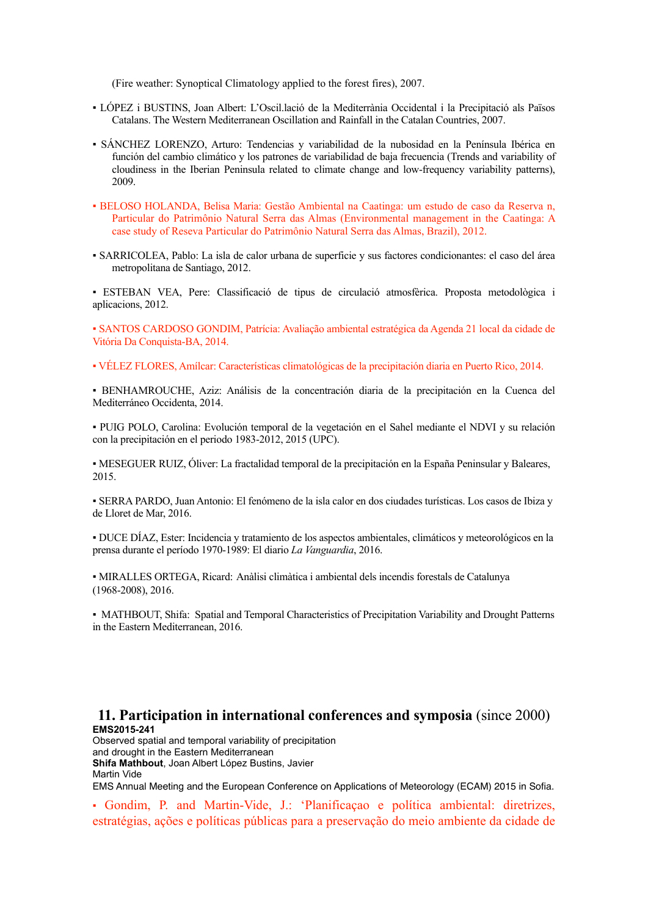(Fire weather: Synoptical Climatology applied to the forest fires), 2007.

- LÓPEZ i BUSTINS, Joan Albert: L'Oscil.lació de la Mediterrània Occidental i la Precipitació als Països Catalans. The Western Mediterranean Oscillation and Rainfall in the Catalan Countries, 2007.
- SÁNCHEZ LORENZO, Arturo: Tendencias y variabilidad de la nubosidad en la Península Ibérica en función del cambio climático y los patrones de variabilidad de baja frecuencia (Trends and variability of cloudiness in the Iberian Peninsula related to climate change and low-frequency variability patterns), 2009.
- BELOSO HOLANDA, Belisa Maria: Gestão Ambiental na Caatinga: um estudo de caso da Reserva n, Particular do Patrimônio Natural Serra das Almas (Environmental management in the Caatinga: A case study of Reseva Particular do Patrimônio Natural Serra das Almas, Brazil), 2012.
- SARRICOLEA, Pablo: La isla de calor urbana de superficie y sus factores condicionantes: el caso del área metropolitana de Santiago, 2012.

▪ ESTEBAN VEA, Pere: Classificació de tipus de circulació atmosfèrica. Proposta metodològica i aplicacions, 2012.

▪ SANTOS CARDOSO GONDIM, Patrícia: Avaliação ambiental estratégica da Agenda 21 local da cidade de Vitória Da Conquista-BA, 2014.

▪ VÉLEZ FLORES, Amílcar: Características climatológicas de la precipitación diaria en Puerto Rico, 2014.

▪ BENHAMROUCHE, Aziz: Análisis de la concentración diaria de la precipitación en la Cuenca del Mediterráneo Occidenta, 2014.

▪ PUIG POLO, Carolina: Evolución temporal de la vegetación en el Sahel mediante el NDVI y su relación con la precipitación en el periodo 1983-2012, 2015 (UPC).

▪ MESEGUER RUIZ, Óliver: La fractalidad temporal de la precipitación en la España Peninsular y Baleares, 2015.

▪ SERRA PARDO, Juan Antonio: El fenómeno de la isla calor en dos ciudades turísticas. Los casos de Ibiza y de Lloret de Mar, 2016.

▪ DUCE DÍAZ, Ester: Incidencia y tratamiento de los aspectos ambientales, climáticos y meteorológicos en la prensa durante el período 1970-1989: El diario *La Vanguardia*, 2016.

▪ MIRALLES ORTEGA, Ricard: Anàlisi climàtica i ambiental dels incendis forestals de Catalunya (1968-2008), 2016.

▪ MATHBOUT, Shifa: Spatial and Temporal Characteristics of Precipitation Variability and Drought Patterns in the Eastern Mediterranean, 2016.

#### **11. Participation in international conferences and symposia** (since 2000) **EMS2015-241**

Observed spatial and temporal variability of precipitation and drought in the Eastern Mediterranean **Shifa Mathbout**, Joan Albert López Bustins, Javier Martin Vide

EMS Annual Meeting and the European Conference on Applications of Meteorology (ECAM) 2015 in Sofia.

▪ Gondim, P. and Martin-Vide, J.: 'Planificaçao e política ambiental: diretrizes, estratégias, ações e políticas públicas para a preservação do meio ambiente da cidade de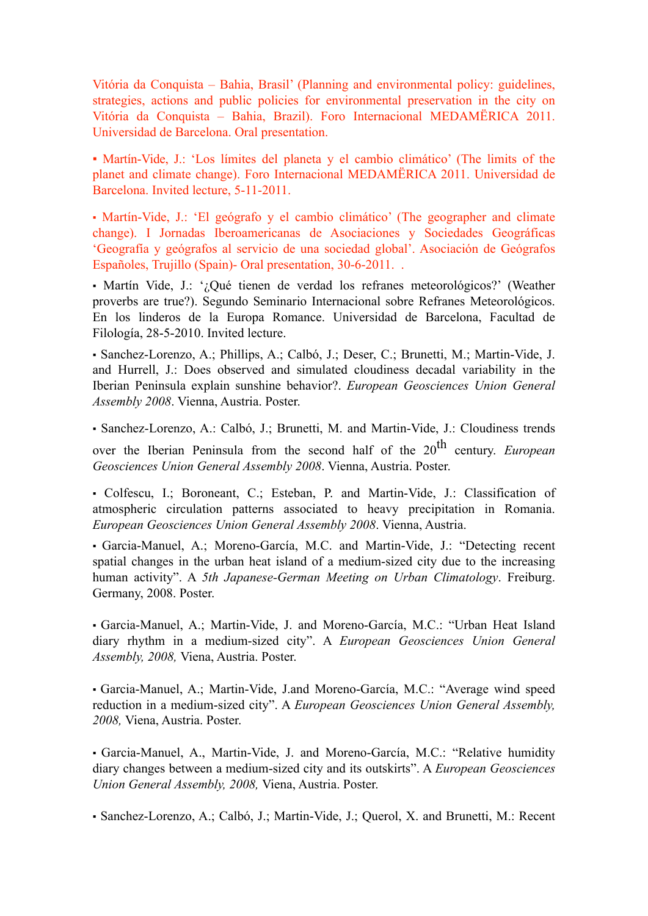Vitória da Conquista – Bahia, Brasil' (Planning and environmental policy: guidelines, strategies, actions and public policies for environmental preservation in the city on Vitória da Conquista – Bahia, Brazil). Foro Internacional MEDAMËRICA 2011. Universidad de Barcelona. Oral presentation.

▪ Martín-Vide, J.: 'Los límites del planeta y el cambio climático' (The limits of the planet and climate change). Foro Internacional MEDAMËRICA 2011. Universidad de Barcelona. Invited lecture, 5-11-2011.

▪ Martín-Vide, J.: 'El geógrafo y el cambio climático' (The geographer and climate change). I Jornadas Iberoamericanas de Asociaciones y Sociedades Geográficas 'Geografía y geógrafos al servicio de una sociedad global'. Asociación de Geógrafos Españoles, Trujillo (Spain)- Oral presentation, 30-6-2011. .

▪ Martín Vide, J.: '¿Qué tienen de verdad los refranes meteorológicos?' (Weather proverbs are true?). Segundo Seminario Internacional sobre Refranes Meteorológicos. En los linderos de la Europa Romance. Universidad de Barcelona, Facultad de Filología, 28-5-2010. Invited lecture.

▪ Sanchez-Lorenzo, A.; Phillips, A.; Calbó, J.; Deser, C.; Brunetti, M.; Martin-Vide, J. and Hurrell, J.: Does observed and simulated cloudiness decadal variability in the Iberian Peninsula explain sunshine behavior?. *European Geosciences Union General Assembly 2008*. Vienna, Austria. [Poster](http://www.ub.edu/gc/Documentos/Sanchez_Lorenzo_etal_EGU2008_cam3.pdf%22%20%5Ct%20%22_blank).

▪ Sanchez-Lorenzo, A.: Calbó, J.; Brunetti, M. and Martin-Vide, J.: Cloudiness trends

over the Iberian Peninsula from the second half of the 20<sup>th</sup> century. *European Geosciences Union General Assembly 2008*. Vienna, Austria. [Poster](http://www.ub.edu/gc/Documentos/Sanchez_Lorenzo_etal_EGU2008_Cloudiness_IP.pdf%22%20%5Ct%20%22_blank).

▪ Colfescu, I.; Boroneant, C.; Esteban, P. and Martin-Vide, J.: Classification of atmospheric circulation patterns associated to heavy precipitation in Romania. *European Geosciences Union General Assembly 2008*. Vienna, Austria.

▪ Garcia-Manuel, A.; Moreno-García, M.C. and Martin-Vide, J.: "Detecting recent spatial changes in the urban heat island of a medium-sized city due to the increasing human activity". A *5th Japanese-German Meeting on Urban Climatology*. Freiburg. Germany, 2008. Poster.

▪ Garcia-Manuel, A.; Martin-Vide, J. and Moreno-García, M.C.: "Urban Heat Island diary rhythm in a medium-sized city". A *European Geosciences Union General Assembly, 2008,* Viena, Austria. Poster.

▪ Garcia-Manuel, A.; Martin-Vide, J.and Moreno-García, M.C.: "Average wind speed reduction in a medium-sized city". A *European Geosciences Union General Assembly, 2008,* Viena, Austria. Poster.

▪ Garcia-Manuel, A., Martin-Vide, J. and Moreno-García, M.C.: "Relative humidity diary changes between a medium-sized city and its outskirts". A *European Geosciences Union General Assembly, 2008,* Viena, Austria. Poster.

▪ Sanchez-Lorenzo, A.; Calbó, J.; Martin-Vide, J.; Querol, X. and Brunetti, M.: Recent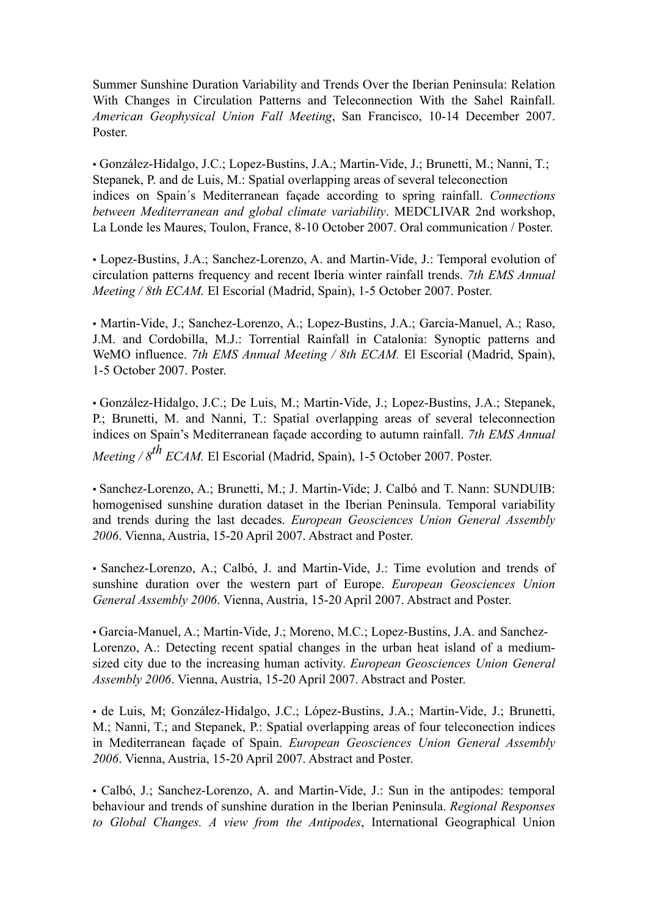Summer Sunshine Duration Variability and Trends Over the Iberian Peninsula: Relation With Changes in Circulation Patterns and Teleconnection With the Sahel Rainfall. *American Geophysical Union Fall Meeting*, San Francisco, 10-14 December 2007. Poster.

▪ González-Hidalgo, J.C.; Lopez-Bustins, J.A.; Martin-Vide, J.; Brunetti, M.; Nanni, T.; Stepanek, P. and de Luis, M.: Spatial overlapping areas of several teleconection indices on Spain´s Mediterranean façade according to spring rainfall. *Connections between Mediterranean and global climate variability*. MEDCLIVAR 2nd workshop, La Londe les Maures, Toulon, France, 8-10 October 2007. Oral communication / Poster.

▪ Lopez-Bustins, J.A.; Sanchez-Lorenzo, A. and Martin-Vide, J.: Temporal evolution of circulation patterns frequency and recent Iberia winter rainfall trends. *7th EMS Annual Meeting / 8th ECAM.* El Escorial (Madrid, Spain), 1-5 October 2007. Poster.

▪ Martin-Vide, J.; Sanchez-Lorenzo, A.; Lopez-Bustins, J.A.; Garcia-Manuel, A.; Raso, J.M. and Cordobilla, M.J.: Torrential Rainfall in Catalonia: Synoptic patterns and WeMO influence. 7th EMS Annual Meeting / 8th ECAM. El Escorial (Madrid, Spain), 1-5 October 2007. Poster.

▪ González-Hidalgo, J.C.; De Luis, M.; Martin-Vide, J.; Lopez-Bustins, J.A.; Stepanek, P.; Brunetti, M. and Nanni, T.: Spatial overlapping areas of several teleconnection indices on Spain's Mediterranean façade according to autumn rainfall. *7th EMS Annual* 

*Meeting / 8th ECAM.* El Escorial (Madrid, Spain), 1-5 October 2007. Poster.

▪ Sanchez-Lorenzo, A.; Brunetti, M.; J. Martin-Vide; J. Calbó and T. Nann: SUNDUIB: homogenised sunshine duration dataset in the Iberian Peninsula. Temporal variability and trends during the last decades. *European Geosciences Union General Assembly 2006*. Vienna, Austria, 15-20 April 2007. Abstract and Poster.

▪ Sanchez-Lorenzo, A.; Calbó, J. and Martin-Vide, J.: Time evolution and trends of sunshine duration over the western part of Europe. *European Geosciences Union General Assembly 2006*. Vienna, Austria, 15-20 April 2007. Abstract and Poster.

▪ Garcia-Manuel, A.; Martin-Vide, J.; Moreno, M.C.; Lopez-Bustins, J.A. and Sanchez-Lorenzo, A.: Detecting recent spatial changes in the urban heat island of a mediumsized city due to the increasing human activity. *European Geosciences Union General Assembly 2006*. Vienna, Austria, 15-20 April 2007. Abstract and Poster.

▪ de Luis, M; González-Hidalgo, J.C.; López-Bustins, J.A.; Martin-Vide, J.; Brunetti, M.; Nanni, T.; and Stepanek, P.: Spatial overlapping areas of four teleconection indices in Mediterranean façade of Spain. *European Geosciences Union General Assembly 2006*. Vienna, Austria, 15-20 April 2007. Abstract and Poster.

▪ Calbó, J.; Sanchez-Lorenzo, A. and Martin-Vide, J.: Sun in the antipodes: temporal behaviour and trends of sunshine duration in the Iberian Peninsula. *Regional Responses to Global Changes. A view from the Antipodes*, International Geographical Union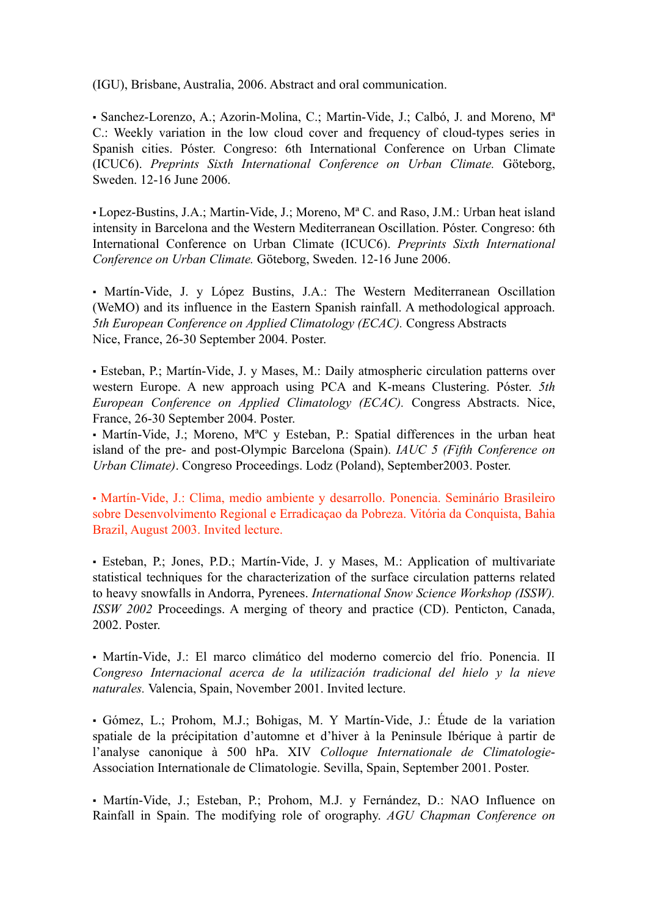(IGU), Brisbane, Australia, 2006. Abstract and oral communication.

▪ Sanchez-Lorenzo, A.; Azorin-Molina, C.; Martin-Vide, J.; Calbó, J. and Moreno, Mª C.: Weekly variation in the low cloud cover and frequency of cloud-types series in Spanish cities. Póster. Congreso: 6th International Conference on Urban Climate (ICUC6). *Preprints Sixth International Conference on Urban Climate.* Göteborg, Sweden. 12-16 June 2006.

▪ Lopez-Bustins, J.A.; Martin-Vide, J.; Moreno, Mª C. and Raso, J.M.: Urban heat island intensity in Barcelona and the Western Mediterranean Oscillation. Póster. Congreso: 6th International Conference on Urban Climate (ICUC6). *Preprints Sixth International Conference on Urban Climate.* Göteborg, Sweden. 12-16 June 2006.

• Martín-Vide, J. y López Bustins, J.A.: The Western Mediterranean Oscillation (WeMO) and its influence in the Eastern Spanish rainfall. A methodological approach. *5th European Conference on Applied Climatology (ECAC).* Congress Abstracts Nice, France, 26-30 September 2004. Poster.

▪ Esteban, P.; Martín-Vide, J. y Mases, M.: Daily atmospheric circulation patterns over western Europe. A new approach using PCA and K-means Clustering. Póster. *5th European Conference on Applied Climatology (ECAC).* Congress Abstracts. Nice, France, 26-30 September 2004. Poster.

▪ Martín-Vide, J.; Moreno, MªC y Esteban, P.: Spatial differences in the urban heat island of the pre- and post-Olympic Barcelona (Spain). *IAUC 5 (Fifth Conference on Urban Climate)*. Congreso Proceedings. Lodz (Poland), September2003. Poster.

▪ Martín-Vide, J.: Clima, medio ambiente y desarrollo. Ponencia. Seminário Brasileiro sobre Desenvolvimento Regional e Erradicaçao da Pobreza. Vitória da Conquista, Bahia Brazil, August 2003. Invited lecture.

▪ Esteban, P.; Jones, P.D.; Martín-Vide, J. y Mases, M.: Application of multivariate statistical techniques for the characterization of the surface circulation patterns related to heavy snowfalls in Andorra, Pyrenees. *International Snow Science Workshop (ISSW). ISSW 2002* Proceedings. A merging of theory and practice (CD). Penticton, Canada, 2002. Poster.

▪ Martín-Vide, J.: El marco climático del moderno comercio del frío. Ponencia. II *Congreso Internacional acerca de la utilización tradicional del hielo y la nieve naturales.* Valencia, Spain, November 2001. Invited lecture.

▪ Gómez, L.; Prohom, M.J.; Bohigas, M. Y Martín-Vide, J.: Étude de la variation spatiale de la précipitation d'automne et d'hiver à la Peninsule Ibérique à partir de l'analyse canonique à 500 hPa. XIV *Colloque Internationale de Climatologie*-Association Internationale de Climatologie. Sevilla, Spain, September 2001. Poster.

▪ Martín-Vide, J.; Esteban, P.; Prohom, M.J. y Fernández, D.: NAO Influence on Rainfall in Spain. The modifying role of orography. *AGU Chapman Conference on*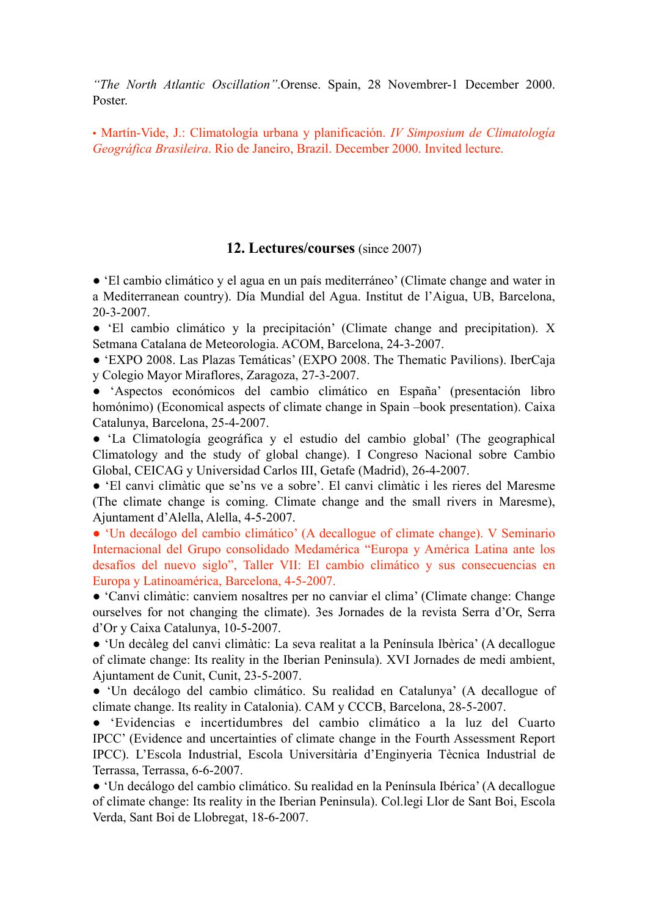*"The North Atlantic Oscillation"*.Orense. Spain, 28 Novembrer-1 December 2000. Poster.

▪ Martín-Vide, J.: Climatología urbana y planificación. *IV Simposium de Climatología Geográfica Brasileira*. Rio de Janeiro, Brazil. December 2000. Invited lecture.

#### **12. Lectures/courses** (since 2007)

● 'El cambio climático y el agua en un país mediterráneo' (Climate change and water in a Mediterranean country). Día Mundial del Agua. Institut de l'Aigua, UB, Barcelona, 20-3-2007.

● 'El cambio climático y la precipitación' (Climate change and precipitation). X Setmana Catalana de Meteorologia. ACOM, Barcelona, 24-3-2007.

● 'EXPO 2008. Las Plazas Temáticas' (EXPO 2008. The Thematic Pavilions). IberCaja y Colegio Mayor Miraflores, Zaragoza, 27-3-2007.

● 'Aspectos económicos del cambio climático en España' (presentación libro homónimo) (Economical aspects of climate change in Spain –book presentation). Caixa Catalunya, Barcelona, 25-4-2007.

● 'La Climatología geográfica y el estudio del cambio global' (The geographical Climatology and the study of global change). I Congreso Nacional sobre Cambio Global, CEICAG y Universidad Carlos III, Getafe (Madrid), 26-4-2007.

● 'El canvi climàtic que se'ns ve a sobre'. El canvi climàtic i les rieres del Maresme (The climate change is coming. Climate change and the small rivers in Maresme), Ajuntament d'Alella, Alella, 4-5-2007.

● 'Un decálogo del cambio climático' (A decallogue of climate change). V Seminario Internacional del Grupo consolidado Medamérica "Europa y América Latina ante los desafíos del nuevo siglo", Taller VII: El cambio climático y sus consecuencias en Europa y Latinoamérica, Barcelona, 4-5-2007.

● 'Canvi climàtic: canviem nosaltres per no canviar el clima' (Climate change: Change ourselves for not changing the climate). 3es Jornades de la revista Serra d'Or, Serra d'Or y Caixa Catalunya, 10-5-2007.

● 'Un decàleg del canvi climàtic: La seva realitat a la Península Ibèrica' (A decallogue of climate change: Its reality in the Iberian Peninsula). XVI Jornades de medi ambient, Ajuntament de Cunit, Cunit, 23-5-2007.

● 'Un decálogo del cambio climático. Su realidad en Catalunya' (A decallogue of climate change. Its reality in Catalonia). CAM y CCCB, Barcelona, 28-5-2007.

● 'Evidencias e incertidumbres del cambio climático a la luz del Cuarto IPCC' (Evidence and uncertainties of climate change in the Fourth Assessment Report IPCC). L'Escola Industrial, Escola Universitària d'Enginyeria Tècnica Industrial de Terrassa, Terrassa, 6-6-2007.

● 'Un decálogo del cambio climático. Su realidad en la Península Ibérica' (A decallogue of climate change: Its reality in the Iberian Peninsula). Col.legi Llor de Sant Boi, Escola Verda, Sant Boi de Llobregat, 18-6-2007.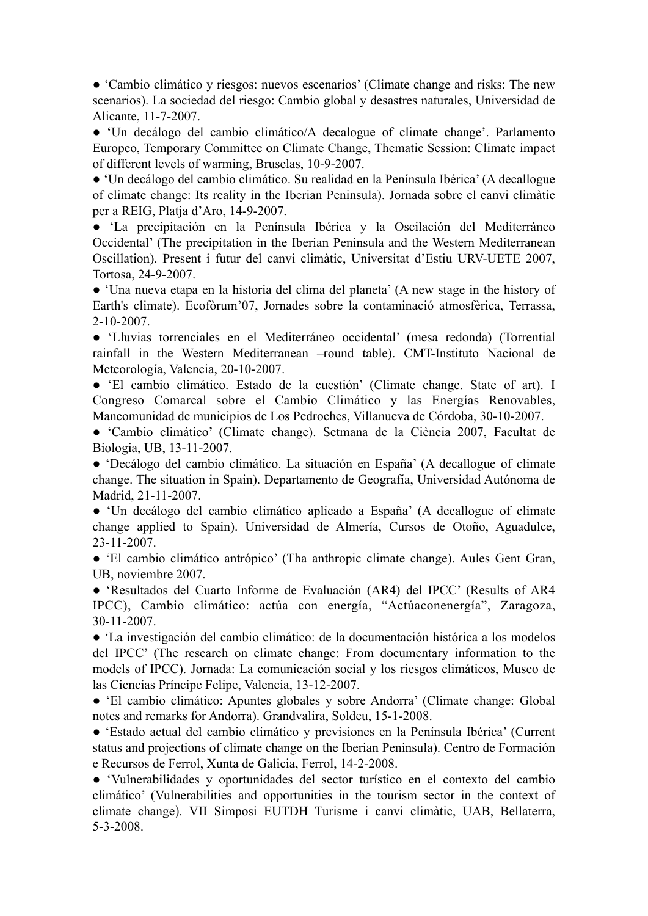● 'Cambio climático y riesgos: nuevos escenarios' (Climate change and risks: The new scenarios). La sociedad del riesgo: Cambio global y desastres naturales, Universidad de Alicante, 11-7-2007.

● 'Un decálogo del cambio climático/A decalogue of climate change'. Parlamento Europeo, Temporary Committee on Climate Change, Thematic Session: Climate impact of different levels of warming, Bruselas, 10-9-2007.

● 'Un decálogo del cambio climático. Su realidad en la Península Ibérica' (A decallogue of climate change: Its reality in the Iberian Peninsula). Jornada sobre el canvi climàtic per a REIG, Platja d'Aro, 14-9-2007.

● 'La precipitación en la Península Ibérica y la Oscilación del Mediterráneo Occidental' (The precipitation in the Iberian Peninsula and the Western Mediterranean Oscillation). Present i futur del canvi climàtic, Universitat d'Estiu URV-UETE 2007, Tortosa, 24-9-2007.

● 'Una nueva etapa en la historia del clima del planeta' (A new stage in the history of Earth's climate). Ecofòrum'07, Jornades sobre la contaminació atmosfèrica, Terrassa, 2-10-2007.

● 'Lluvias torrenciales en el Mediterráneo occidental' (mesa redonda) (Torrential rainfall in the Western Mediterranean –round table). CMT-Instituto Nacional de Meteorología, Valencia, 20-10-2007.

● 'El cambio climático. Estado de la cuestión' (Climate change. State of art). I Congreso Comarcal sobre el Cambio Climático y las Energías Renovables, Mancomunidad de municipios de Los Pedroches, Villanueva de Córdoba, 30-10-2007.

● 'Cambio climático' (Climate change). Setmana de la Ciència 2007, Facultat de Biologia, UB, 13-11-2007.

● 'Decálogo del cambio climático. La situación en España' (A decallogue of climate change. The situation in Spain). Departamento de Geografía, Universidad Autónoma de Madrid, 21-11-2007.

● 'Un decálogo del cambio climático aplicado a España' (A decallogue of climate change applied to Spain). Universidad de Almería, Cursos de Otoño, Aguadulce, 23-11-2007.

● 'El cambio climático antrópico' (Tha anthropic climate change). Aules Gent Gran, UB, noviembre 2007.

● 'Resultados del Cuarto Informe de Evaluación (AR4) del IPCC' (Results of AR4 IPCC), Cambio climático: actúa con energía, "Actúaconenergía", Zaragoza, 30-11-2007.

● 'La investigación del cambio climático: de la documentación histórica a los modelos del IPCC' (The research on climate change: From documentary information to the models of IPCC). Jornada: La comunicación social y los riesgos climáticos, Museo de las Ciencias Príncipe Felipe, Valencia, 13-12-2007.

● 'El cambio climático: Apuntes globales y sobre Andorra' (Climate change: Global notes and remarks for Andorra). Grandvalira, Soldeu, 15-1-2008.

● 'Estado actual del cambio climático y previsiones en la Península Ibérica' (Current status and projections of climate change on the Iberian Peninsula). Centro de Formación e Recursos de Ferrol, Xunta de Galicia, Ferrol, 14-2-2008.

● 'Vulnerabilidades y oportunidades del sector turístico en el contexto del cambio climático' (Vulnerabilities and opportunities in the tourism sector in the context of climate change). VII Simposi EUTDH Turisme i canvi climàtic, UAB, Bellaterra, 5-3-2008.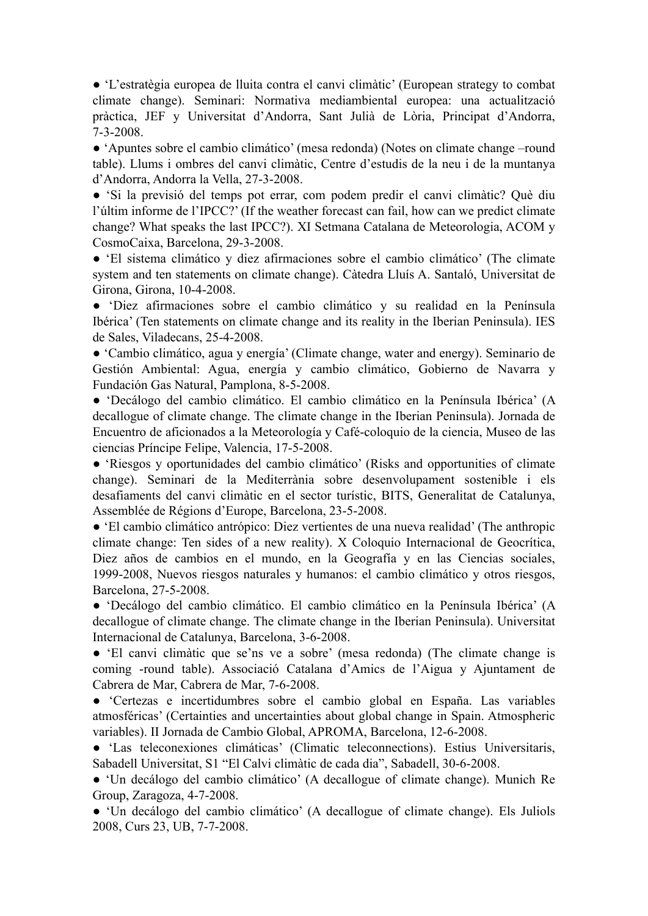● 'L'estratègia europea de lluita contra el canvi climàtic' (European strategy to combat climate change). Seminari: Normativa mediambiental europea: una actualització pràctica, JEF y Universitat d'Andorra, Sant Julià de Lòria, Principat d'Andorra, 7-3-2008.

● 'Apuntes sobre el cambio climático' (mesa redonda) (Notes on climate change –round table). Llums i ombres del canvi climàtic, Centre d'estudis de la neu i de la muntanya d'Andorra, Andorra la Vella, 27-3-2008.

● 'Si la previsió del temps pot errar, com podem predir el canvi climàtic? Què diu l'últim informe de l'IPCC?' (If the weather forecast can fail, how can we predict climate change? What speaks the last IPCC?). XI Setmana Catalana de Meteorologia, ACOM y CosmoCaixa, Barcelona, 29-3-2008.

● 'El sistema climático y diez afirmaciones sobre el cambio climático' (The climate system and ten statements on climate change). Càtedra Lluís A. Santaló, Universitat de Girona, Girona, 10-4-2008.

● 'Diez afirmaciones sobre el cambio climático y su realidad en la Península Ibérica' (Ten statements on climate change and its reality in the Iberian Peninsula). IES de Sales, Viladecans, 25-4-2008.

● 'Cambio climático, agua y energía' (Climate change, water and energy). Seminario de Gestión Ambiental: Agua, energía y cambio climático, Gobierno de Navarra y Fundación Gas Natural, Pamplona, 8-5-2008.

● 'Decálogo del cambio climático. El cambio climático en la Península Ibérica' (A decallogue of climate change. The climate change in the Iberian Peninsula). Jornada de Encuentro de aficionados a la Meteorología y Café-coloquio de la ciencia, Museo de las ciencias Príncipe Felipe, Valencia, 17-5-2008.

● 'Riesgos y oportunidades del cambio climático' (Risks and opportunities of climate change). Seminari de la Mediterrània sobre desenvolupament sostenible i els desafiaments del canvi climàtic en el sector turístic, BITS, Generalitat de Catalunya, Assemblée de Régions d'Europe, Barcelona, 23-5-2008.

● 'El cambio climático antrópico: Diez vertientes de una nueva realidad' (The anthropic climate change: Ten sides of a new reality). X Coloquio Internacional de Geocrítica, Diez años de cambios en el mundo, en la Geografía y en las Ciencias sociales, 1999-2008, Nuevos riesgos naturales y humanos: el cambio climático y otros riesgos, Barcelona, 27-5-2008.

● 'Decálogo del cambio climático. El cambio climático en la Península Ibérica' (A decallogue of climate change. The climate change in the Iberian Peninsula). Universitat Internacional de Catalunya, Barcelona, 3-6-2008.

● 'El canvi climàtic que se'ns ve a sobre' (mesa redonda) (The climate change is coming -round table). Associació Catalana d'Amics de l'Aigua y Ajuntament de Cabrera de Mar, Cabrera de Mar, 7-6-2008.

● 'Certezas e incertidumbres sobre el cambio global en España. Las variables atmosféricas' (Certainties and uncertainties about global change in Spain. Atmospheric variables). II Jornada de Cambio Global, APROMA, Barcelona, 12-6-2008.

● 'Las teleconexiones climáticas' (Climatic teleconnections). Estius Universitaris, Sabadell Universitat, S1 "El Calvi climàtic de cada dia", Sabadell, 30-6-2008.

● 'Un decálogo del cambio climático' (A decallogue of climate change). Munich Re Group, Zaragoza, 4-7-2008.

● 'Un decálogo del cambio climático' (A decallogue of climate change). Els Juliols 2008, Curs 23, UB, 7-7-2008.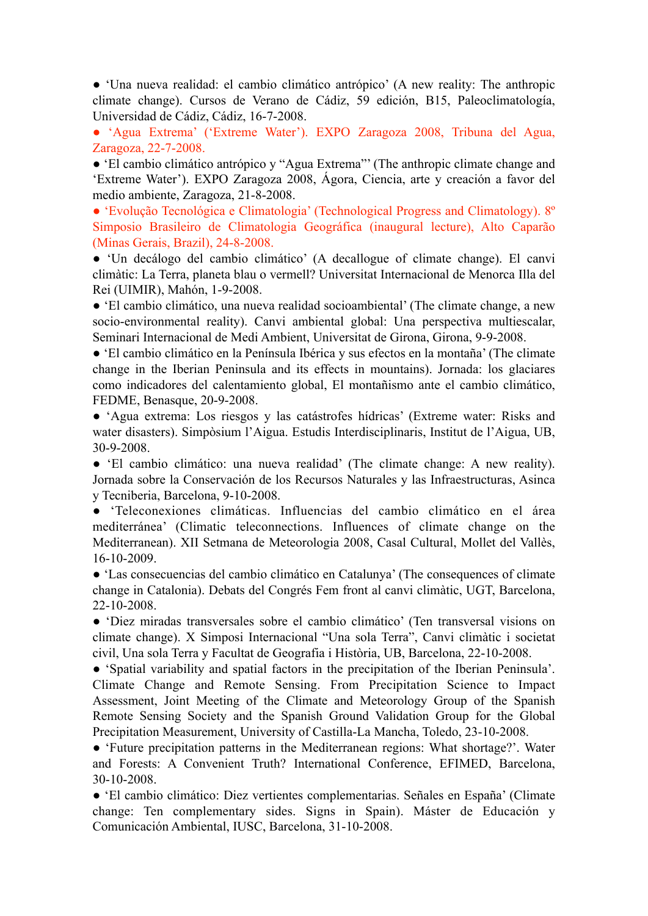● 'Una nueva realidad: el cambio climático antrópico' (A new reality: The anthropic climate change). Cursos de Verano de Cádiz, 59 edición, B15, Paleoclimatología, Universidad de Cádiz, Cádiz, 16-7-2008.

● 'Agua Extrema' ('Extreme Water'). EXPO Zaragoza 2008, Tribuna del Agua, Zaragoza, 22-7-2008.

● 'El cambio climático antrópico y "Agua Extrema"' (The anthropic climate change and 'Extreme Water'). EXPO Zaragoza 2008, Ágora, Ciencia, arte y creación a favor del medio ambiente, Zaragoza, 21-8-2008.

● 'Evolução Tecnológica e Climatologia' (Technological Progress and Climatology). 8º Simposio Brasileiro de Climatologia Geográfica (inaugural lecture), Alto Caparão (Minas Gerais, Brazil), 24-8-2008.

● 'Un decálogo del cambio climático' (A decallogue of climate change). El canvi climàtic: La Terra, planeta blau o vermell? Universitat Internacional de Menorca Illa del Rei (UIMIR), Mahón, 1-9-2008.

● 'El cambio climático, una nueva realidad socioambiental' (The climate change, a new socio-environmental reality). Canvi ambiental global: Una perspectiva multiescalar, Seminari Internacional de Medi Ambient, Universitat de Girona, Girona, 9-9-2008.

● 'El cambio climático en la Península Ibérica y sus efectos en la montaña' (The climate change in the Iberian Peninsula and its effects in mountains). Jornada: los glaciares como indicadores del calentamiento global, El montañismo ante el cambio climático, FEDME, Benasque, 20-9-2008.

● 'Agua extrema: Los riesgos y las catástrofes hídricas' (Extreme water: Risks and water disasters). Simpòsium l'Aigua. Estudis Interdisciplinaris, Institut de l'Aigua, UB, 30-9-2008.

● 'El cambio climático: una nueva realidad' (The climate change: A new reality). Jornada sobre la Conservación de los Recursos Naturales y las Infraestructuras, Asinca y Tecniberia, Barcelona, 9-10-2008.

● 'Teleconexiones climáticas. Influencias del cambio climático en el área mediterránea' (Climatic teleconnections. Influences of climate change on the Mediterranean). XII Setmana de Meteorologia 2008, Casal Cultural, Mollet del Vallès, 16-10-2009.

● 'Las consecuencias del cambio climático en Catalunya' (The consequences of climate change in Catalonia). Debats del Congrés Fem front al canvi climàtic, UGT, Barcelona, 22-10-2008.

● 'Diez miradas transversales sobre el cambio climático' (Ten transversal visions on climate change). X Simposi Internacional "Una sola Terra", Canvi climàtic i societat civil, Una sola Terra y Facultat de Geografia i Història, UB, Barcelona, 22-10-2008.

● 'Spatial variability and spatial factors in the precipitation of the Iberian Peninsula'. Climate Change and Remote Sensing. From Precipitation Science to Impact Assessment, Joint Meeting of the Climate and Meteorology Group of the Spanish Remote Sensing Society and the Spanish Ground Validation Group for the Global Precipitation Measurement, University of Castilla-La Mancha, Toledo, 23-10-2008.

● 'Future precipitation patterns in the Mediterranean regions: What shortage?'. Water and Forests: A Convenient Truth? International Conference, EFIMED, Barcelona, 30-10-2008.

● 'El cambio climático: Diez vertientes complementarias. Señales en España' (Climate change: Ten complementary sides. Signs in Spain). Máster de Educación y Comunicación Ambiental, IUSC, Barcelona, 31-10-2008.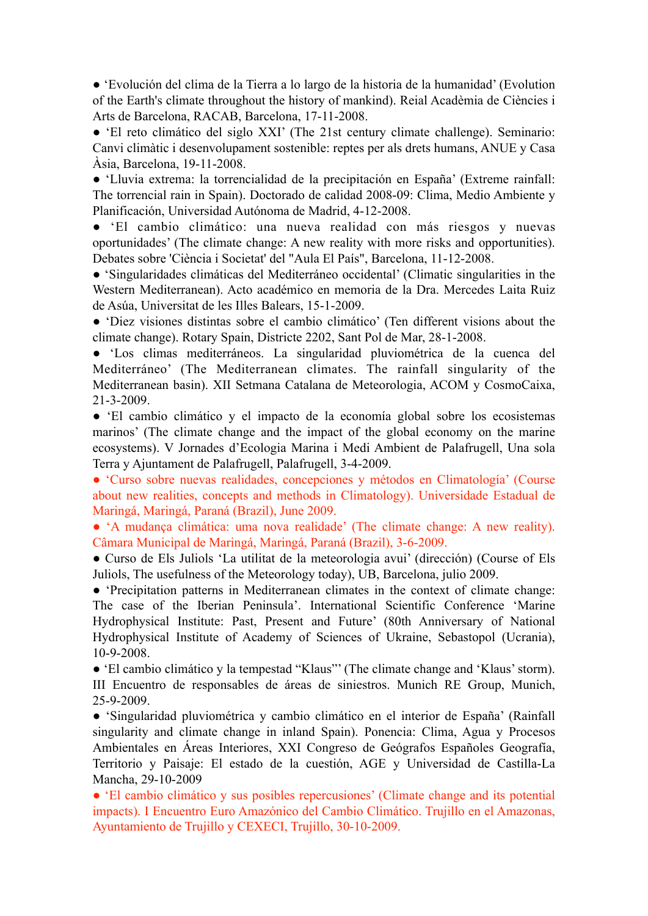● 'Evolución del clima de la Tierra a lo largo de la historia de la humanidad' (Evolution of the Earth's climate throughout the history of mankind). Reial Acadèmia de Ciències i Arts de Barcelona, RACAB, Barcelona, 17-11-2008.

● 'El reto climático del siglo XXI' (The 21st century climate challenge). Seminario: Canvi climàtic i desenvolupament sostenible: reptes per als drets humans, ANUE y Casa Àsia, Barcelona, 19-11-2008.

● 'Lluvia extrema: la torrencialidad de la precipitación en España' (Extreme rainfall: The torrencial rain in Spain). Doctorado de calidad 2008-09: Clima, Medio Ambiente y Planificación, Universidad Autónoma de Madrid, 4-12-2008.

● 'El cambio climático: una nueva realidad con más riesgos y nuevas oportunidades' (The climate change: A new reality with more risks and opportunities). Debates sobre 'Ciència i Societat' del "Aula El País", Barcelona, 11-12-2008.

● 'Singularidades climáticas del Mediterráneo occidental' (Climatic singularities in the Western Mediterranean). Acto académico en memoria de la Dra. Mercedes Laita Ruiz de Asúa, Universitat de les Illes Balears, 15-1-2009.

● 'Diez visiones distintas sobre el cambio climático' (Ten different visions about the climate change). Rotary Spain, Districte 2202, Sant Pol de Mar, 28-1-2008.

● 'Los climas mediterráneos. La singularidad pluviométrica de la cuenca del Mediterráneo' (The Mediterranean climates. The rainfall singularity of the Mediterranean basin). XII Setmana Catalana de Meteorologia, ACOM y CosmoCaixa, 21-3-2009.

● 'El cambio climático y el impacto de la economía global sobre los ecosistemas marinos' (The climate change and the impact of the global economy on the marine ecosystems). V Jornades d'Ecologia Marina i Medi Ambient de Palafrugell, Una sola Terra y Ajuntament de Palafrugell, Palafrugell, 3-4-2009.

● 'Curso sobre nuevas realidades, concepciones y métodos en Climatología' (Course about new realities, concepts and methods in Climatology). Universidade Estadual de Maringá, Maringá, Paraná (Brazil), June 2009.

● 'A mudança climática: uma nova realidade' (The climate change: A new reality). Câmara Municipal de Maringá, Maringá, Paraná (Brazil), 3-6-2009.

● Curso de Els Juliols 'La utilitat de la meteorologia avui' (dirección) (Course of Els Juliols, The usefulness of the Meteorology today), UB, Barcelona, julio 2009.

● 'Precipitation patterns in Mediterranean climates in the context of climate change: The case of the Iberian Peninsula'. International Scientific Conference 'Marine Hydrophysical Institute: Past, Present and Future' (80th Anniversary of National Hydrophysical Institute of Academy of Sciences of Ukraine, Sebastopol (Ucrania), 10-9-2008.

● 'El cambio climático y la tempestad "Klaus"' (The climate change and 'Klaus' storm). III Encuentro de responsables de áreas de siniestros. Munich RE Group, Munich, 25-9-2009.

● 'Singularidad pluviométrica y cambio climático en el interior de España' (Rainfall singularity and climate change in inland Spain). Ponencia: Clima, Agua y Procesos Ambientales en Áreas Interiores, XXI Congreso de Geógrafos Españoles Geografía, Territorio y Paisaje: El estado de la cuestión, AGE y Universidad de Castilla-La Mancha, 29-10-2009

● 'El cambio climático y sus posibles repercusiones' (Climate change and its potential impacts). I Encuentro Euro Amazónico del Cambio Climático. Trujillo en el Amazonas, Ayuntamiento de Trujillo y CEXECI, Trujillo, 30-10-2009.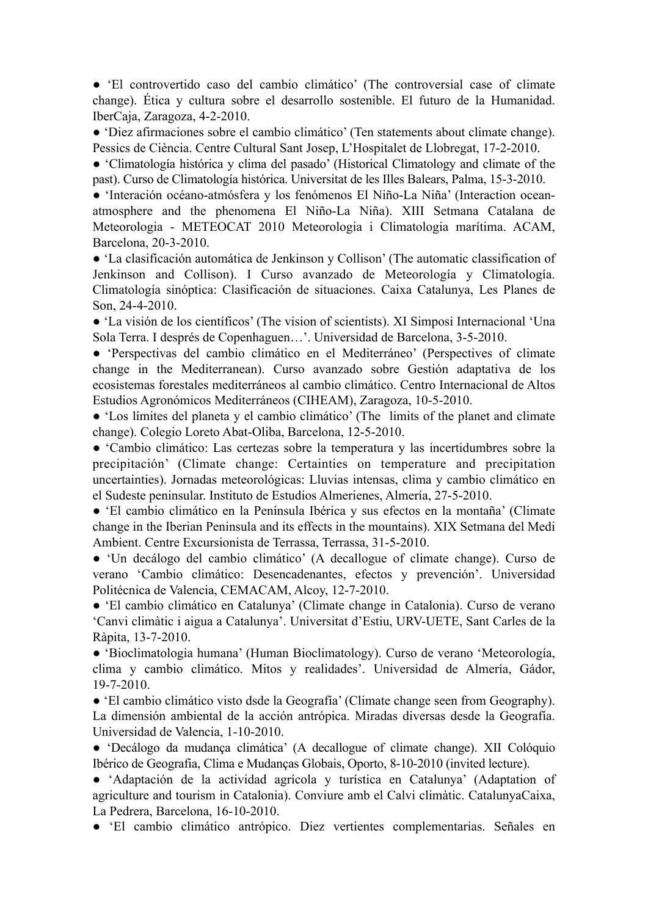● 'El controvertido caso del cambio climático' (The controversial case of climate change). Ética y cultura sobre el desarrollo sostenible. El futuro de la Humanidad. IberCaja, Zaragoza, 4-2-2010.

● 'Diez afirmaciones sobre el cambio climático' (Ten statements about climate change). Pessics de Ciència. Centre Cultural Sant Josep, L'Hospitalet de Llobregat, 17-2-2010.

● 'Climatología histórica y clima del pasado' (Historical Climatology and climate of the past). Curso de Climatología histórica. Universitat de les Illes Balears, Palma, 15-3-2010.

● 'Interación océano-atmósfera y los fenómenos El Niño-La Niña' (Interaction oceanatmosphere and the phenomena El Niño-La Niña). XIII Setmana Catalana de Meteorologia - METEOCAT 2010 Meteorologia i Climatologia marítima. ACAM, Barcelona, 20-3-2010.

● 'La clasificación automática de Jenkinson y Collison' (The automatic classification of Jenkinson and Collison). I Curso avanzado de Meteorología y Climatología. Climatología sinóptica: Clasificación de situaciones. Caixa Catalunya, Les Planes de Son, 24-4-2010.

● 'La visión de los científicos' (The vision of scientists). XI Simposi Internacional 'Una Sola Terra. I després de Copenhaguen…'. Universidad de Barcelona, 3-5-2010.

● 'Perspectivas del cambio climático en el Mediterráneo' (Perspectives of climate change in the Mediterranean). Curso avanzado sobre Gestión adaptativa de los ecosistemas forestales mediterráneos al cambio climático. Centro Internacional de Altos Estudios Agronómicos Mediterráneos (CIHEAM), Zaragoza, 10-5-2010.

● 'Los límites del planeta y el cambio climático' (The limits of the planet and climate change). Colegio Loreto Abat-Oliba, Barcelona, 12-5-2010.

● 'Cambio climático: Las certezas sobre la temperatura y las incertidumbres sobre la precipitación' (Climate change: Certainties on temperature and precipitation uncertainties). Jornadas meteorológicas: Lluvias intensas, clima y cambio climático en el Sudeste peninsular. Instituto de Estudios Almerienes, Almería, 27-5-2010.

● 'El cambio climático en la Península Ibérica y sus efectos en la montaña' (Climate change in the Iberian Peninsula and its effects in the mountains). XIX Setmana del Medi Ambient. Centre Excursionista de Terrassa, Terrassa, 31-5-2010.

● 'Un decálogo del cambio climático' (A decallogue of climate change). Curso de verano 'Cambio climático: Desencadenantes, efectos y prevención'. Universidad Politécnica de Valencia, CEMACAM, Alcoy, 12-7-2010.

● 'El cambio climático en Catalunya' (Climate change in Catalonia). Curso de verano 'Canvi climàtic i aigua a Catalunya'. Universitat d'Estiu, URV-UETE, Sant Carles de la Ràpita, 13-7-2010.

● 'Bioclimatologia humana' (Human Bioclimatology). Curso de verano 'Meteorología, clima y cambio climático. Mitos y realidades'. Universidad de Almería, Gádor, 19-7-2010.

● 'El cambio climático visto dsde la Geografía' (Climate change seen from Geography). La dimensión ambiental de la acción antrópica. Miradas diversas desde la Geografía. Universidad de Valencia, 1-10-2010.

● 'Decálogo da mudança climática' (A decallogue of climate change). XII Colóquio Ibérico de Geografia, Clima e Mudanças Globais, Oporto, 8-10-2010 (invited lecture).

● 'Adaptación de la actividad agrícola y turística en Catalunya' (Adaptation of agriculture and tourism in Catalonia). Conviure amb el Calvi climàtic. CatalunyaCaixa, La Pedrera, Barcelona, 16-10-2010.

● 'El cambio climático antrópico. Diez vertientes complementarias. Señales en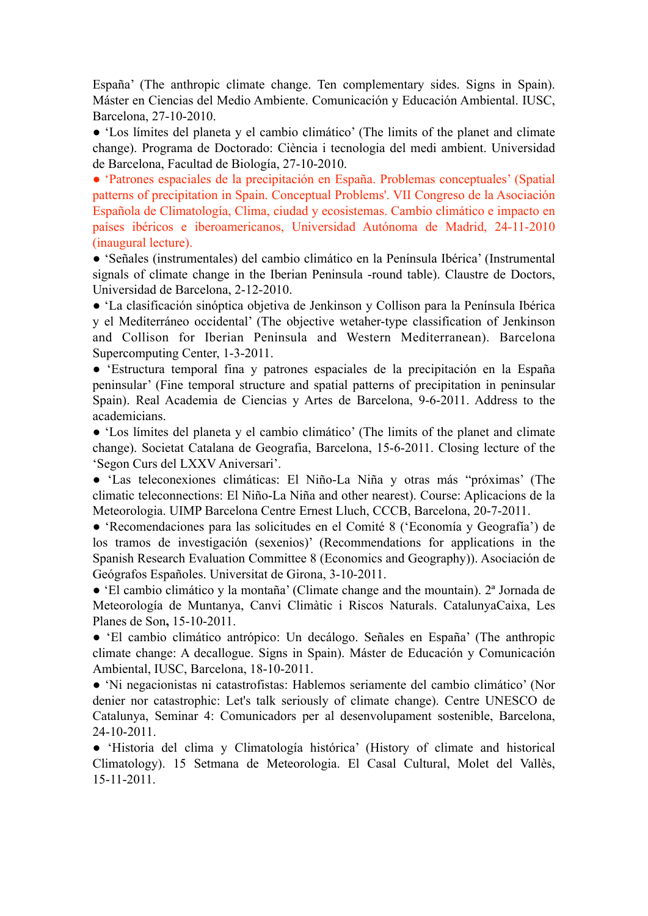España' (The anthropic climate change. Ten complementary sides. Signs in Spain). Máster en Ciencias del Medio Ambiente. Comunicación y Educación Ambiental. IUSC, Barcelona, 27-10-2010.

● 'Los límites del planeta y el cambio climático' (The limits of the planet and climate change). Programa de Doctorado: Ciència i tecnologia del medi ambient. Universidad de Barcelona, Facultad de Biología, 27-10-2010.

● 'Patrones espaciales de la precipitación en España. Problemas conceptuales' (Spatial patterns of precipitation in Spain. Conceptual Problems'. VII Congreso de la Asociación Española de Climatología, Clima, ciudad y ecosistemas. Cambio climático e impacto en países ibéricos e iberoamericanos, Universidad Autónoma de Madrid, 24-11-2010 (inaugural lecture).

● 'Señales (instrumentales) del cambio climático en la Península Ibérica' (Instrumental signals of climate change in the Iberian Peninsula -round table). Claustre de Doctors, Universidad de Barcelona, 2-12-2010.

● 'La clasificación sinóptica objetiva de Jenkinson y Collison para la Península Ibérica y el Mediterráneo occidental' (The objective wetaher-type classification of Jenkinson and Collison for Iberian Peninsula and Western Mediterranean). Barcelona Supercomputing Center, 1-3-2011.

● 'Estructura temporal fina y patrones espaciales de la precipitación en la España peninsular' (Fine temporal structure and spatial patterns of precipitation in peninsular Spain). Real Academia de Ciencias y Artes de Barcelona, 9-6-2011. Address to the academicians.

● 'Los límites del planeta y el cambio climático' (The limits of the planet and climate change). Societat Catalana de Geografia, Barcelona, 15-6-2011. Closing lecture of the 'Segon Curs del LXXV Aniversari'.

● 'Las teleconexiones climáticas: El Niño-La Niña y otras más "próximas' (The climatic teleconnections: El Niño-La Niña and other nearest). Course: Aplicacions de la Meteorologia. UIMP Barcelona Centre Ernest Lluch, CCCB, Barcelona, 20-7-2011.

● 'Recomendaciones para las solicitudes en el Comité 8 ('Economía y Geografía') de los tramos de investigación (sexenios)' (Recommendations for applications in the Spanish Research Evaluation Committee 8 (Economics and Geography)). Asociación de Geógrafos Españoles. Universitat de Girona, 3-10-2011.

● 'El cambio climático y la montaña' (Climate change and the mountain). 2ª Jornada de Meteorología de Muntanya, Canvi Climàtic i Riscos Naturals. CatalunyaCaixa, Les Planes de Son**,** 15-10-2011.

● 'El cambio climático antrópico: Un decálogo. Señales en España' (The anthropic climate change: A decallogue. Signs in Spain). Máster de Educación y Comunicación Ambiental, IUSC, Barcelona, 18-10-2011.

● 'Ni negacionistas ni catastrofistas: Hablemos seriamente del cambio climático' (Nor denier nor catastrophic: Let's talk seriously of climate change). Centre UNESCO de Catalunya, Seminar 4: Comunicadors per al desenvolupament sostenible, Barcelona, 24-10-2011.

● 'Historia del clima y Climatología histórica' (History of climate and historical Climatology). 15 Setmana de Meteorologia. El Casal Cultural, Molet del Vallès, 15-11-2011.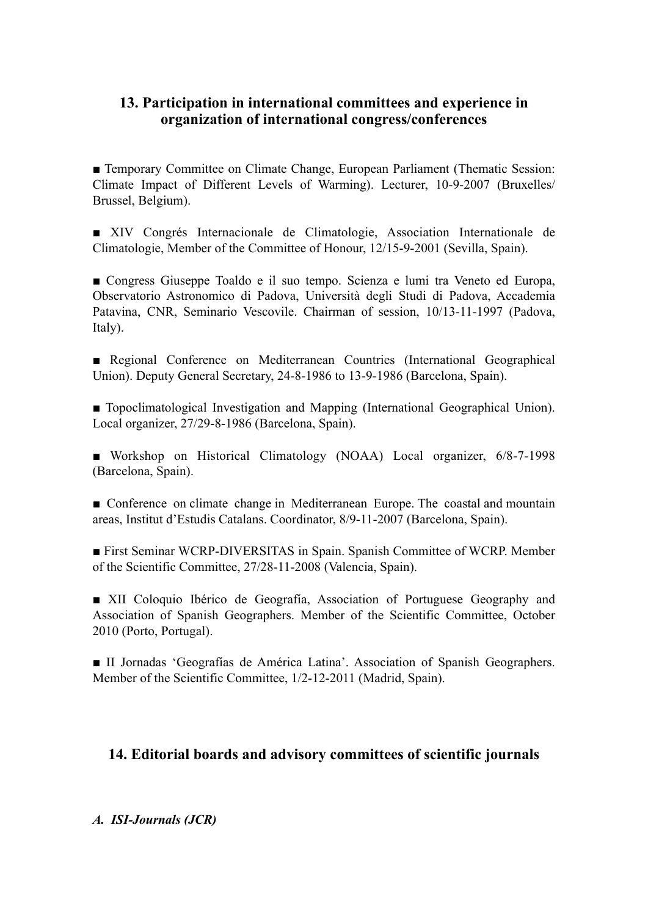# **13. Participation in international committees and experience in organization of international congress/conferences**

■ Temporary Committee on Climate Change, European Parliament (Thematic Session: Climate Impact of Different Levels of Warming). Lecturer, 10-9-2007 (Bruxelles/ Brussel, Belgium).

■ XIV Congrés Internacionale de Climatologie, Association Internationale de Climatologie, Member of the Committee of Honour, 12/15-9-2001 (Sevilla, Spain).

■ Congress Giuseppe Toaldo e il suo tempo. Scienza e lumi tra Veneto ed Europa, Observatorio Astronomico di Padova, Università degli Studi di Padova, Accademia Patavina, CNR, Seminario Vescovile. Chairman of session, 10/13-11-1997 (Padova, Italy).

■ Regional Conference on Mediterranean Countries (International Geographical Union). Deputy General Secretary, 24-8-1986 to 13-9-1986 (Barcelona, Spain).

■ Topoclimatological Investigation and Mapping (International Geographical Union). Local organizer, 27/29-8-1986 (Barcelona, Spain).

■ Workshop on Historical Climatology (NOAA) Local organizer, 6/8-7-1998 (Barcelona, Spain).

■ Conference on climate change in Mediterranean Europe. The coastal and mountain areas, Institut d'Estudis Catalans. Coordinator, 8/9-11-2007 (Barcelona, Spain).

■ First Seminar WCRP-DIVERSITAS in Spain. Spanish Committee of WCRP. Member of the Scientific Committee, 27/28-11-2008 (Valencia, Spain).

■ XII Coloquio Ibérico de Geografía, Association of Portuguese Geography and Association of Spanish Geographers. Member of the Scientific Committee, October 2010 (Porto, Portugal).

■ II Jornadas 'Geografías de América Latina'. Association of Spanish Geographers. Member of the Scientific Committee, 1/2-12-2011 (Madrid, Spain).

# **14. Editorial boards and advisory committees of scientific journals**

### *A. ISI-Journals (JCR)*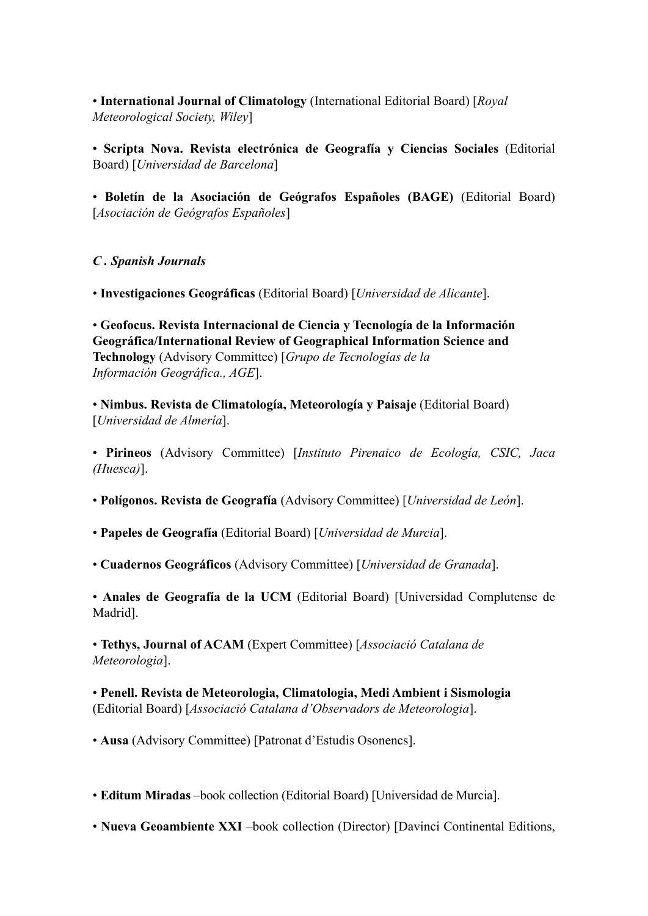• **International Journal of Climatology** (International Editorial Board) [*Royal Meteorological Society, Wiley*]

• **Scripta Nova. Revista electrónica de Geografía y Ciencias Sociales** (Editorial Board) [*Universidad de Barcelona*]

• **Boletín de la Asociación de Geógrafos Españoles (BAGE)** (Editorial Board) [*Asociación de Geógrafos Españoles*]

*C . Spanish Journals*

• **Investigaciones Geográficas** (Editorial Board) [*Universidad de Alicante*].

• **Geofocus. Revista Internacional de Ciencia y Tecnología de la Información Geográfica/International Review of Geographical Information Science and Technology** (Advisory Committee) [*Grupo de Tecnologías de la Información Geográfica., AGE*].

• **Nimbus. Revista de Climatología, Meteorología y Paisaje** (Editorial Board) [*Universidad de Almería*].

• **Pirineos** (Advisory Committee) [*Instituto Pirenaico de Ecología, CSIC, Jaca (Huesca)*].

• **Polígonos. Revista de Geografía** (Advisory Committee) [*Universidad de León*].

• **Papeles de Geografía** (Editorial Board) [*Universidad de Murcia*].

• **Cuadernos Geográficos** (Advisory Committee) [*Universidad de Granada*].

• **Anales de Geografía de la UCM** (Editorial Board) [Universidad Complutense de Madrid].

• **Tethys, Journal of ACAM** (Expert Committee) [*Associació Catalana de Meteorologia*].

• **Penell. Revista de Meteorologia, Climatologia, Medi Ambient i Sismologia** (Editorial Board) [*Associació Catalana d'Observadors de Meteorologia*].

• **Ausa** (Advisory Committee) [Patronat d'Estudis Osonencs].

• **Editum Miradas** –book collection (Editorial Board) [Universidad de Murcia].

• **Nueva Geoambiente XXI** –book collection (Director) [Davinci Continental Editions,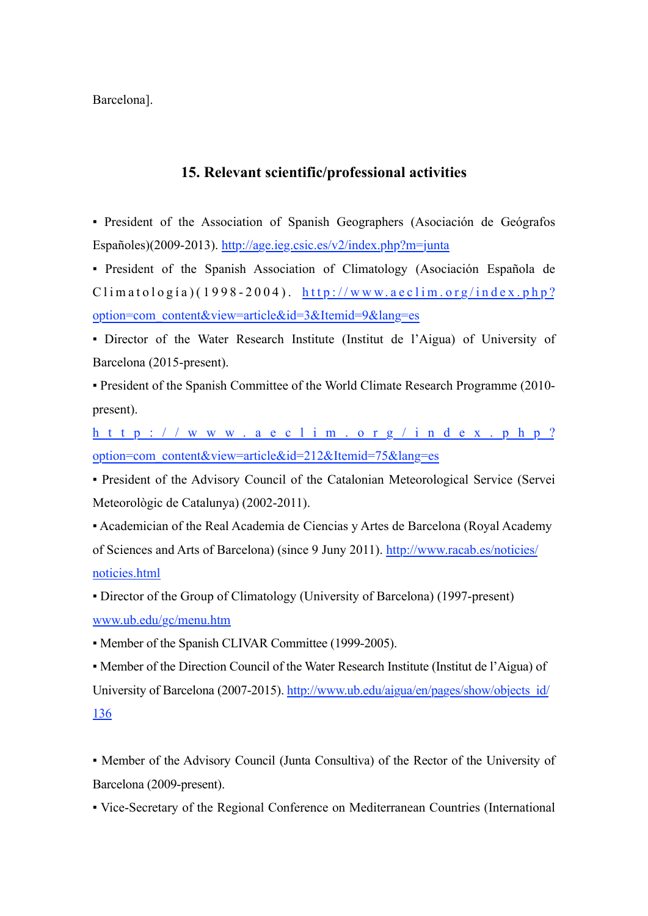Barcelona].

## **15. Relevant scientific/professional activities**

▪ President of the Association of Spanish Geographers (Asociación de Geógrafos Españoles)(2009-2013). <http://age.ieg.csic.es/v2/index.php?m=junta>

▪ President of the Spanish Association of Climatology (Asociación Española de  $C$ limatología)(1998-2004). [http://www.aeclim.org/index.php?](http://www.aeclim.org/index.php?option=com_content&view=article&id=3&Itemid=9&lang=es) [option=com\\_content&view=article&id=3&Itemid=9&lang=es](http://www.aeclim.org/index.php?option=com_content&view=article&id=3&Itemid=9&lang=es)

▪ Director of the Water Research Institute (Institut de l'Aigua) of University of Barcelona (2015-present).

▪ President of the Spanish Committee of the World Climate Research Programme (2010 present).

[http://www.aeclim.org/index.php?](http://www.aeclim.org/index.php?option=com_content&view=article&id=212&Itemid=75&lang=es) [option=com\\_content&view=article&id=212&Itemid=75&lang=es](http://www.aeclim.org/index.php?option=com_content&view=article&id=212&Itemid=75&lang=es)

▪ President of the Advisory Council of the Catalonian Meteorological Service (Servei Meteorològic de Catalunya) (2002-2011).

▪ Academician of the Real Academia de Ciencias y Artes de Barcelona (Royal Academy of Sciences and Arts of Barcelona) (since 9 Juny 2011). [http://www.racab.es/noticies/](http://www.racab.es/noticies/noticies.html) [noticies.html](http://www.racab.es/noticies/noticies.html)

▪ Director of the Group of Climatology (University of Barcelona) (1997-present) [www.ub.edu/gc/menu.htm](http://www.ub.edu/gc/menu.htm)

▪ Member of the Spanish CLIVAR Committee (1999-2005).

▪ Member of the Direction Council of the Water Research Institute (Institut de l'Aigua) of University of Barcelona (2007-2015). http://www.ub.edu/aigua/en/pages/show/objects id/ [136](http://www.ub.edu/aigua/en/pages/show/objects_id/136)

▪ Member of the Advisory Council (Junta Consultiva) of the Rector of the University of Barcelona (2009-present).

▪ Vice-Secretary of the Regional Conference on Mediterranean Countries (International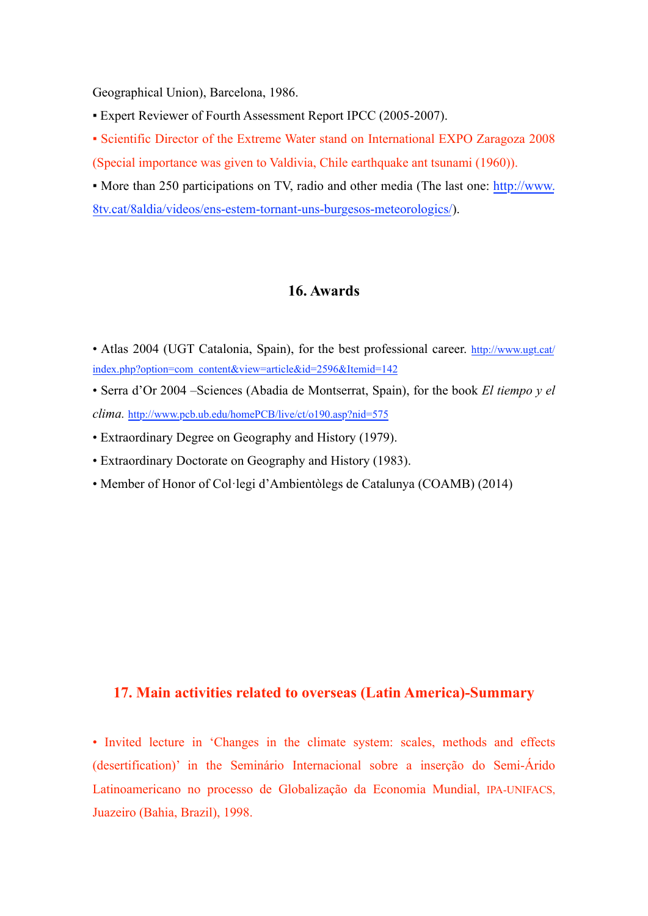Geographical Union), Barcelona, 1986.

**Expert Reviewer of Fourth Assessment Report IPCC (2005-2007).** 

▪ Scientific Director of the Extreme Water stand on International EXPO Zaragoza 2008 (Special importance was given to Valdivia, Chile earthquake ant tsunami (1960)).

• More than 250 participations on TV, radio and other media (The last one: [http://www.](http://www.8tv.cat/8aldia/videos/ens-estem-tornant-uns-burgesos-meteorologics/) [8tv.cat/8aldia/videos/ens-estem-tornant-uns-burgesos-meteorologics/\)](http://www.8tv.cat/8aldia/videos/ens-estem-tornant-uns-burgesos-meteorologics/).

#### **16. Awards**

- Atlas 2004 (UGT Catalonia, Spain), for the best professional career. [http://www.ugt.cat/](%22) [index.php?option=com\\_content&view=article&id=2596&Itemid=142](%22)
- Serra d'Or 2004 –Sciences (Abadia de Montserrat, Spain), for the book *El tiempo y el clima.* [http://www.pcb.ub.edu/homePCB/live/ct/o190.asp?nid=575](%22)
- Extraordinary Degree on Geography and History (1979).
- Extraordinary Doctorate on Geography and History (1983).
- Member of Honor of Col·legi d'Ambientòlegs de Catalunya (COAMB) (2014)

## **17. Main activities related to overseas (Latin America)-Summary**

• Invited lecture in 'Changes in the climate system: scales, methods and effects (desertification)' in the Seminário Internacional sobre a inserção do Semi-Árido Latinoamericano no processo de Globalização da Economia Mundial, IPA-UNIFACS, Juazeiro (Bahia, Brazil), 1998.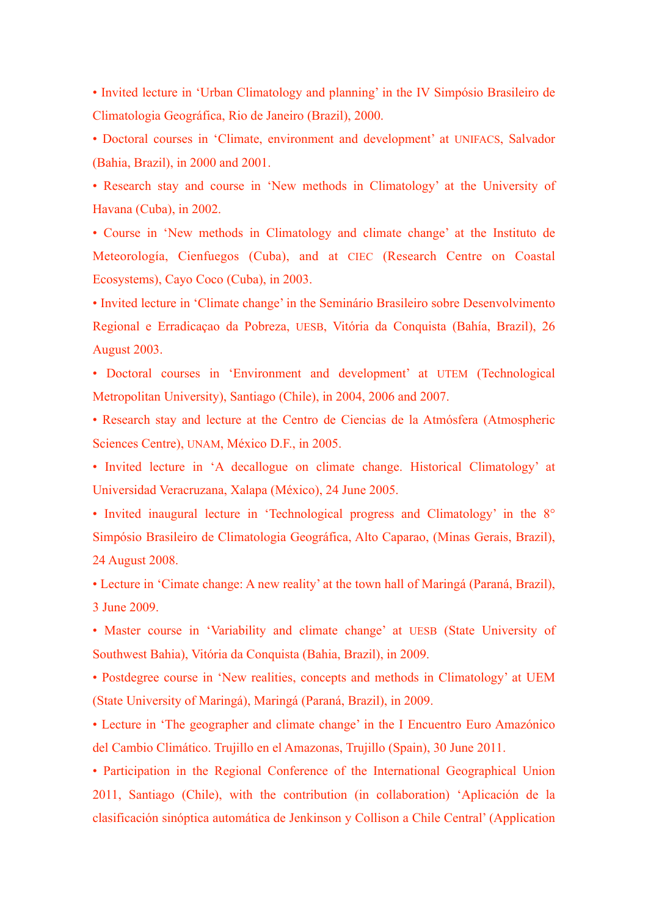• Invited lecture in 'Urban Climatology and planning' in the IV Simpósio Brasileiro de Climatologia Geográfica, Rio de Janeiro (Brazil), 2000.

• Doctoral courses in 'Climate, environment and development' at UNIFACS, Salvador (Bahia, Brazil), in 2000 and 2001.

• Research stay and course in 'New methods in Climatology' at the University of Havana (Cuba), in 2002.

• Course in 'New methods in Climatology and climate change' at the Instituto de Meteorología, Cienfuegos (Cuba), and at CIEC (Research Centre on Coastal Ecosystems), Cayo Coco (Cuba), in 2003.

• Invited lecture in 'Climate change' in the Seminário Brasileiro sobre Desenvolvimento Regional e Erradicaçao da Pobreza, UESB, Vitória da Conquista (Bahía, Brazil), 26 August 2003.

• Doctoral courses in 'Environment and development' at UTEM (Technological Metropolitan University), Santiago (Chile), in 2004, 2006 and 2007.

• Research stay and lecture at the Centro de Ciencias de la Atmósfera (Atmospheric Sciences Centre), UNAM, México D.F., in 2005.

• Invited lecture in 'A decallogue on climate change. Historical Climatology' at Universidad Veracruzana, Xalapa (México), 24 June 2005.

• Invited inaugural lecture in 'Technological progress and Climatology' in the 8° Simpósio Brasileiro de Climatologia Geográfica, Alto Caparao, (Minas Gerais, Brazil), 24 August 2008.

• Lecture in 'Cimate change: A new reality' at the town hall of Maringá (Paraná, Brazil), 3 June 2009.

• Master course in 'Variability and climate change' at UESB (State University of Southwest Bahia), Vitória da Conquista (Bahia, Brazil), in 2009.

• Postdegree course in 'New realities, concepts and methods in Climatology' at UEM (State University of Maringá), Maringá (Paraná, Brazil), in 2009.

• Lecture in 'The geographer and climate change' in the I Encuentro Euro Amazónico del Cambio Climático. Trujillo en el Amazonas, Trujillo (Spain), 30 June 2011.

• Participation in the Regional Conference of the International Geographical Union 2011, Santiago (Chile), with the contribution (in collaboration) 'Aplicación de la clasificación sinóptica automática de Jenkinson y Collison a Chile Central' (Application